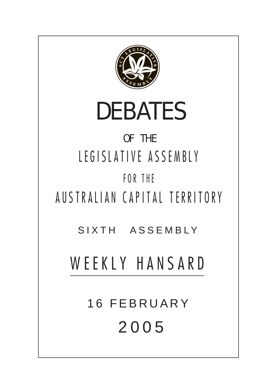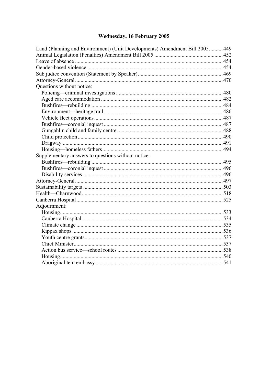# Wednesday, 16 February 2005

| Land (Planning and Environment) (Unit Developments) Amendment Bill 2005 449 |  |
|-----------------------------------------------------------------------------|--|
|                                                                             |  |
|                                                                             |  |
|                                                                             |  |
|                                                                             |  |
|                                                                             |  |
| Questions without notice:                                                   |  |
|                                                                             |  |
|                                                                             |  |
|                                                                             |  |
|                                                                             |  |
|                                                                             |  |
|                                                                             |  |
|                                                                             |  |
|                                                                             |  |
|                                                                             |  |
|                                                                             |  |
| Supplementary answers to questions without notice:                          |  |
|                                                                             |  |
|                                                                             |  |
|                                                                             |  |
|                                                                             |  |
|                                                                             |  |
|                                                                             |  |
|                                                                             |  |
| Adjournment:                                                                |  |
|                                                                             |  |
|                                                                             |  |
|                                                                             |  |
|                                                                             |  |
|                                                                             |  |
|                                                                             |  |
|                                                                             |  |
|                                                                             |  |
|                                                                             |  |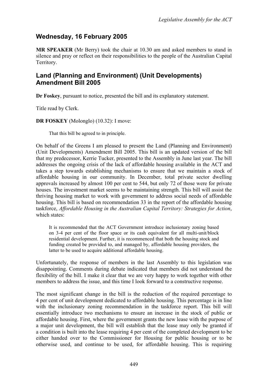# **Wednesday, 16 February 2005**

**MR SPEAKER** (Mr Berry) took the chair at 10.30 am and asked members to stand in silence and pray or reflect on their responsibilities to the people of the Australian Capital Territory.

### <span id="page-2-0"></span>**Land (Planning and Environment) (Unit Developments) Amendment Bill 2005**

**Dr Foskey**, pursuant to notice, presented the bill and its explanatory statement.

Title read by Clerk.

**DR FOSKEY** (Molonglo) (10.32): I move:

That this bill be agreed to in principle.

On behalf of the Greens I am pleased to present the Land (Planning and Environment) (Unit Developments) Amendment Bill 2005. This bill is an updated version of the bill that my predecessor, Kerrie Tucker, presented to the Assembly in June last year. The bill addresses the ongoing crisis of the lack of affordable housing available in the ACT and takes a step towards establishing mechanisms to ensure that we maintain a stock of affordable housing in our community. In December, total private sector dwelling approvals increased by almost 100 per cent to 544, but only 72 of those were for private houses. The investment market seems to be maintaining strength. This bill will assist the thriving housing market to work with government to address social needs of affordable housing. This bill is based on recommendation 33 in the report of the affordable housing taskforce, *Affordable Housing in the Australian Capital Territory: Strategies for Action*, which states:

It is recommended that the ACT Government introduce inclusionary zoning based on 3-4 per cent of the floor space or its cash equivalent for all multi-unit/block residential development. Further, it is recommenced that both the housing stock and funding created be provided to, and managed by, affordable housing providers, the latter to be used to acquire additional affordable housing.

Unfortunately, the response of members in the last Assembly to this legislation was disappointing. Comments during debate indicated that members did not understand the flexibility of the bill. I make it clear that we are very happy to work together with other members to address the issue, and this time I look forward to a constructive response.

The most significant change in the bill is the reduction of the required percentage to 4 per cent of unit development dedicated to affordable housing. This percentage is in line with the inclusionary zoning recommendation in the taskforce report. This bill will essentially introduce two mechanisms to ensure an increase in the stock of public or affordable housing. First, where the government grants the new lease with the purpose of a major unit development, the bill will establish that the lease may only be granted if a condition is built into the lease requiring 4 per cent of the completed development to be either handed over to the Commissioner for Housing for public housing or to be otherwise used, and continue to be used, for affordable housing. This is requiring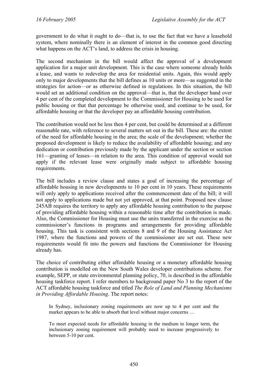government to do what it ought to do—that is, to use the fact that we have a leasehold system, where nominally there is an element of interest in the common good directing what happens on the ACT's land, to address the crisis in housing.

The second mechanism in the bill would affect the approval of a development application for a major unit development. This is the case where someone already holds a lease, and wants to redevelop the area for residential units. Again, this would apply only to major developments that the bill defines as 10 units or more—as suggested in the strategies for action—or as otherwise defined in regulations. In this situation, the bill would set an additional condition on the approval—that is, that the developer hand over 4 per cent of the completed development to the Commissioner for Housing to be used for public housing or that that percentage be otherwise used, and continue to be used, for affordable housing or that the developer pay an affordable housing contribution.

The contribution would not be less then 4 per cent, but could be determined at a different reasonable rate, with reference to several matters set out in the bill. These are: the extent of the need for affordable housing in the area; the scale of the development; whether the proposed development is likely to reduce the availability of affordable housing; and any dedication or contribution previously made by the applicant under the section or section 161—granting of leases—in relation to the area. This condition of approval would not apply if the relevant lease were originally made subject to affordable housing requirements.

The bill includes a review clause and states a goal of increasing the percentage of affordable housing in new developments to 10 per cent in 10 years. These requirements will only apply to applications received after the commencement date of the bill; it will not apply to applications made but not yet approved, at that point. Proposed new clause 245AB requires the territory to apply any affordable housing contribution to the purpose of providing affordable housing within a reasonable time after the contribution is made. Also, the Commissioner for Housing must use the units transferred in the exercise as the commissioner's functions in programs and arrangements for providing affordable housing. This task is consistent with sections 8 and 9 of the Housing Assistance Act 1987, where the functions and powers of the commissioner are set out. These new requirements would fit into the powers and functions the Commissioner for Housing already has.

The choice of contributing either affordable housing or a monetary affordable housing contribution is modelled on the New South Wales developer contributions scheme. For example, SEPP, or state environmental planning policy, 70, is described in the affordable housing taskforce report. I refer members to background paper No 3 to the report of the ACT affordable housing taskforce and titled *The Role of Land and Planning Mechanisms in Providing Affordable Housing*. The report notes:

In Sydney, inclusionary zoning requirements are now up to 4 per cent and the market appears to be able to absorb that level without major concerns …

To meet expected needs for affordable housing in the medium to longer term, the inclusionary zoning requirement will probably need to increase progressively to between 5-10 per cent.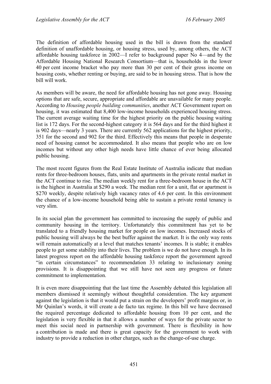The definition of affordable housing used in the bill is drawn from the standard definition of unaffordable housing, or housing stress, used by, among others, the ACT affordable housing taskforce in 2002—I refer to background paper No 4—and by the Affordable Housing National Research Consortium—that is, households in the lower 40 per cent income bracket who pay more than 30 per cent of their gross income on housing costs, whether renting or buying, are said to be in housing stress. That is how the bill will work.

As members will be aware, the need for affordable housing has not gone away. Housing options that are safe, secure, appropriate and affordable are unavailable for many people. According to *Housing people building communities*, another ACT Government report on housing, it was estimated that 8,400 low-income households experienced housing stress. The current average waiting time for the highest priority on the public housing waiting list is 172 days. For the second-highest category it is 564 days and for the third highest it is 902 days—nearly 3 years. There are currently 562 applications for the highest priority, 351 for the second and 902 for the third. Effectively this means that people in desperate need of housing cannot be accommodated. It also means that people who are on low incomes but without any other high needs have little chance of ever being allocated public housing.

The most recent figures from the Real Estate Institute of Australia indicate that median rents for three-bedroom houses, flats, units and apartments in the private rental market in the ACT continue to rise. The median weekly rent for a three-bedroom house in the ACT is the highest in Australia at \$290 a week. The median rent for a unit, flat or apartment is \$270 weekly, despite relatively high vacancy rates of 4.6 per cent. In this environment the chance of a low-income household being able to sustain a private rental tenancy is very slim.

In its social plan the government has committed to increasing the supply of public and community housing in the territory. Unfortunately this commitment has yet to be translated to a friendly housing market for people on low incomes. Increased stocks of public housing will always be the best buffer against the market. It is the only way rents will remain automatically at a level that matches tenants' incomes. It is stable; it enables people to get some stability into their lives. The problem is we do not have enough. In its latest progress report on the affordable housing taskforce report the government agreed "in certain circumstances" to recommendation 33 relating to inclusionary zoning provisions. It is disappointing that we still have not seen any progress or future commitment to implementation.

It is even more disappointing that the last time the Assembly debated this legislation all members dismissed it seemingly without thoughtful consideration. The key argument against the legislation is that it would put a strain on the developers' profit margins or, in Mr Quinlan's words, it will create a de facto tax regime. In this bill we have decreased the required percentage dedicated to affordable housing from 10 per cent, and the legislation is very flexible in that it allows a number of ways for the private sector to meet this social need in partnership with government. There is flexibility in how a contribution is made and there is great capacity for the government to work with industry to provide a reduction in other charges, such as the change-of-use charge.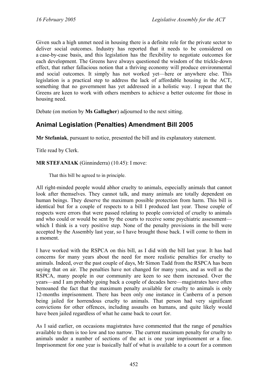Given such a high unmet need in housing there is a definite role for the private sector to deliver social outcomes. Industry has reported that it needs to be considered on a case-by-case basis, and this legislation has the flexibility to negotiate outcomes for each development. The Greens have always questioned the wisdom of the trickle-down effect, that rather fallacious notion that a thriving economy will produce environmental and social outcomes. It simply has not worked yet—here or anywhere else. This legislation is a practical step to address the lack of affordable housing in the ACT, something that no government has yet addressed in a holistic way. I repeat that the Greens are keen to work with others members to achieve a better outcome for those in housing need.

Debate (on motion by **Ms Gallagher**) adjourned to the next sitting.

# <span id="page-5-0"></span>**Animal Legislation (Penalties) Amendment Bill 2005**

**Mr Stefaniak**, pursuant to notice, presented the bill and its explanatory statement.

Title read by Clerk.

**MR STEFANIAK** (Ginninderra) (10.45): I move:

That this bill be agreed to in principle.

All right-minded people would abhor cruelty to animals, especially animals that cannot look after themselves. They cannot talk, and many animals are totally dependent on human beings. They deserve the maximum possible protection from harm. This bill is identical but for a couple of respects to a bill I produced last year. Those couple of respects were errors that were passed relating to people convicted of cruelty to animals and who could or would be sent by the courts to receive some psychiatric assessment which I think is a very positive step. None of the penalty provisions in the bill were accepted by the Assembly last year, so I have brought those back. I will come to them in a moment.

I have worked with the RSPCA on this bill, as I did with the bill last year. It has had concerns for many years about the need for more realistic penalties for cruelty to animals. Indeed, over the past couple of days, Mr Simon Tadd from the RSPCA has been saying that on air. The penalties have not changed for many years, and as well as the RSPCA, many people in our community are keen to see them increased. Over the years—and I am probably going back a couple of decades here—magistrates have often bemoaned the fact that the maximum penalty available for cruelty to animals is only 12-months imprisonment. There has been only one instance in Canberra of a person being jailed for horrendous cruelty to animals. That person had very significant convictions for other offences, including assaults on humans, and quite likely would have been jailed regardless of what he came back to court for.

As I said earlier, on occasions magistrates have commented that the range of penalties available to them is too low and too narrow. The current maximum penalty for cruelty to animals under a number of sections of the act is one year imprisonment or a fine. Imprisonment for one year is basically half of what is available to a court for a common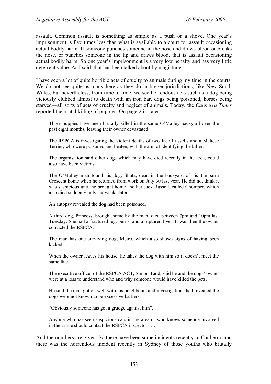assault. Common assault is something as simple as a push or a shove. One year's imprisonment is five times less than what is available to a court for assault occasioning actual bodily harm. If someone punches someone in the nose and draws blood or breaks the nose, or punches someone in the lip and draws blood, that is assault occasioning actual bodily harm. So one year's imprisonment is a very low penalty and has very little deterrent value. As I said, that has been talked about by magistrates.

I have seen a lot of quite horrible acts of cruelty to animals during my time in the courts. We do not see quite as many here as they do in bigger jurisdictions, like New South Wales, but nevertheless, from time to time, we see horrendous acts such as a dog being viciously clubbed almost to death with an iron bar, dogs being poisoned, horses being starved—all sorts of acts of cruelty and neglect of animals. Today, the *Canberra Times* reported the brutal killing of puppies. On page 2 it states:

Three puppies have been brutally killed in the same O'Malley backyard over the past eight months, leaving their owner devastated.

The RSPCA is investigating the violent deaths of two Jack Russells and a Maltese Terrier, who were poisoned and beaten, with the aim of identifying the killer.

The organisation said other dogs which may have died recently in the area, could also have been victims.

The O'Malley man found his dog, Shuta, dead in the backyard of his Timbarra Crescent home when he returned from work on July 30 last year. He did not think it was suspicious until he brought home another Jack Russell, called Chomper, which also died suddenly only six weeks later.

An autopsy revealed the dog had been poisoned.

A third dog, Princess, brought home by the man, died between 7pm and 10pm last Tuesday. She had a fractured leg, burns, and a ruptured liver. It was then the owner contacted the RSPCA.

The man has one surviving dog, Metro, which also shows signs of having been kicked.

When the owner leaves his house, he takes the dog with him so it doesn't meet the same fate.

The executive officer of the RSPCA ACT, Simon Tadd, said he and the dogs' owner were at a loss to understand who and why someone would have killed the pets.

He said the man got on well with his neighbours and investigations had revealed the dogs were not known to be excessive barkers.

"Obviously someone has got a grudge against him".

Anyone who has seen suspicious cars in the area or who knows someone involved in the crime should contact the RSPCA inspectors …

And the numbers are given. So there have been some incidents recently in Canberra, and there was the horrendous incident recently in Sydney of those youths who brutally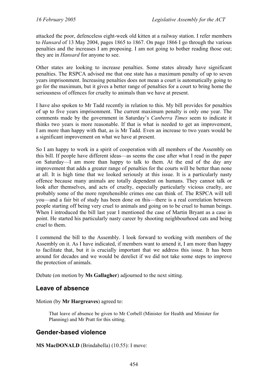attacked the poor, defenceless eight-week old kitten at a railway station. I refer members to *Hansard* of 13 May 2004, pages 1865 to 1867. On page 1866 I go through the various penalties and the increases I am proposing. I am not going to bother reading those out; they are in *Hansard* for anyone to see.

Other states are looking to increase penalties. Some states already have significant penalties. The RSPCA advised me that one state has a maximum penalty of up to seven years imprisonment. Increasing penalties does not mean a court is automatically going to go for the maximum, but it gives a better range of penalties for a court to bring home the seriousness of offences for cruelty to animals than we have at present.

I have also spoken to Mr Tadd recently in relation to this. My bill provides for penalties of up to five years imprisonment. The current maximum penalty is only one year. The comments made by the government in Saturday's *Canberra Times* seem to indicate it thinks two years is more reasonable. If that is what is needed to get an improvement, I am more than happy with that, as is Mr Tadd. Even an increase to two years would be a significant improvement on what we have at present.

So I am happy to work in a spirit of cooperation with all members of the Assembly on this bill. If people have different ideas—as seems the case after what I read in the paper on Saturday—I am more than happy to talk to them. At the end of the day any improvement that adds a greater range of penalties for the courts will be better than none at all. It is high time that we looked seriously at this issue. It is a particularly nasty offence because many animals are totally dependent on humans. They cannot talk or look after themselves, and acts of cruelty, especially particularly vicious cruelty, are probably some of the more reprehensible crimes one can think of. The RSPCA will tell you—and a fair bit of study has been done on this—there is a real correlation between people starting off being very cruel to animals and going on to be cruel to human beings. When I introduced the bill last year I mentioned the case of Martin Bryant as a case in point. He started his particularly nasty career by shooting neighbourhood cats and being cruel to them.

I commend the bill to the Assembly. I look forward to working with members of the Assembly on it. As I have indicated, if members want to amend it, I am more than happy to facilitate that, but it is crucially important that we address this issue. It has been around for decades and we would be derelict if we did not take some steps to improve the protection of animals.

Debate (on motion by **Ms Gallagher**) adjourned to the next sitting.

### <span id="page-7-0"></span>**Leave of absence**

Motion (by **Mr Hargreaves**) agreed to:

That leave of absence be given to Mr Corbell (Minister for Health and Minister for Planning) and Mr Pratt for this sitting.

### <span id="page-7-1"></span>**Gender-based violence**

**MS MacDONALD** (Brindabella) (10.55): I move: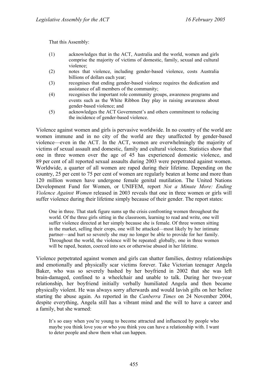That this Assembly:

- (1) acknowledges that in the ACT, Australia and the world, women and girls comprise the majority of victims of domestic, family, sexual and cultural violence;
- (2) notes that violence, including gender-based violence, costs Australia billions of dollars each year;
- (3) recognises that ending gender-based violence requires the dedication and assistance of all members of the community;
- (4) recognises the important role community groups, awareness programs and events such as the White Ribbon Day play in raising awareness about gender-based violence; and
- (5) acknowledges the ACT Government's and others commitment to reducing the incidence of gender-based violence.

Violence against women and girls is pervasive worldwide. In no country of the world are women immune and in no city of the world are they unaffected by gender-based violence—even in the ACT. In the ACT, women are overwhelmingly the majority of victims of sexual assault and domestic, family and cultural violence. Statistics show that one in three women over the age of 45 has experienced domestic violence, and 89 per cent of all reported sexual assaults during 2003 were perpetrated against women. Worldwide, a quarter of all women are raped during their lifetime. Depending on the country, 25 per cent to 75 per cent of women are regularly beaten at home and more than 120 million women have undergone female genital mutilation. The United Nations Development Fund for Women, or UNIFEM, report *Not a Minute More: Ending Violence Against Women* released in 2003 reveals that one in three women or girls will suffer violence during their lifetime simply because of their gender. The report states:

One in three. That stark figure sums up the crisis confronting women throughout the world. Of the three girls sitting in the classroom, learning to read and write, one will suffer violence directed at her simply because she is female. Of three women sitting in the market, selling their crops, one will be attacked—most likely by her intimate partner—and hurt so severely she may no longer be able to provide for her family. Throughout the world, the violence will be repeated: globally, one in three women will be raped, beaten, coerced into sex or otherwise abused in her lifetime.

Violence perpetrated against women and girls can shatter families, destroy relationships and emotionally and physically scar victims forever. Take Victorian teenager Angela Baker, who was so severely bashed by her boyfriend in 2002 that she was left brain-damaged, confined to a wheelchair and unable to talk. During her two-year relationship, her boyfriend initially verbally humiliated Angela and then became physically violent. He was always sorry afterwards and would lavish gifts on her before starting the abuse again. As reported in the *Canberra Times* on 24 November 2004, despite everything, Angela still has a vibrant mind and the will to have a career and a family, but she warned:

It's so easy when you're young to become attracted and influenced by people who maybe you think love you or who you think you can have a relationship with. I want to deter people and show them what can happen.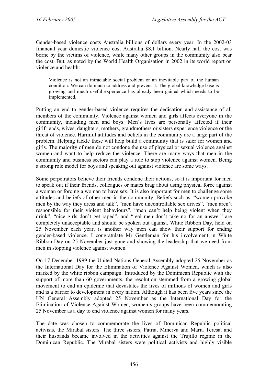Gender-based violence costs Australia billions of dollars every year. In the 2002-03 financial year domestic violence cost Australia \$8.1 billion. Nearly half the cost was borne by the victims of violence, while many other groups in the community also bear the cost. But, as noted by the World Health Organisation in 2002 in its world report on violence and health:

Violence is not an intractable social problem or an inevitable part of the human condition. We can do much to address and prevent it. The global knowledge base is growing and much useful experience has already been gained which needs to be implemented.

Putting an end to gender-based violence requires the dedication and assistance of all members of the community. Violence against women and girls affects everyone in the community, including men and boys. Men's lives are personally affected if their girlfriends, wives, daughters, mothers, grandmothers or sisters experience violence or the threat of violence. Harmful attitudes and beliefs in the community are a large part of the problem. Helping tackle these will help build a community that is safer for women and girls. The majority of men do not condone the use of physical or sexual violence against women and want to help reduce the violence. There are many ways that men in the community and business sectors can play a role to stop violence against women. Being a strong role model for boys and speaking out against violence are some ways.

Some perpetrators believe their friends condone their actions, so it is important for men to speak out if their friends, colleagues or mates brag about using physical force against a woman or forcing a woman to have sex. It is also important for men to challenge some attitudes and beliefs of other men in the community. Beliefs such as, "women provoke men by the way they dress and talk", "men have uncontrollable sex drives", "men aren't responsible for their violent behaviours", "men can't help being violent when they drink", "nice girls don't get raped", and "real men don't take no for an answer" are completely unacceptable and should be spoken out against. White Ribbon Day, held on 25 November each year, is another way men can show their support for ending gender-based violence. I congratulate Mr Gentleman for his involvement in White Ribbon Day on 25 November just gone and showing the leadership that we need from men in stopping violence against women.

On 17 December 1999 the United Nations General Assembly adopted 25 November as the International Day for the Elimination of Violence Against Women, which is also marked by the white ribbon campaign. Introduced by the Dominican Republic with the support of more than 60 governments, the resolution stemmed from a growing global movement to end an epidemic that devastates the lives of millions of women and girls and is a barrier to development in every nation. Although it has been five years since the UN General Assembly adopted 25 November as the International Day for the Elimination of Violence Against Women, women's groups have been commemorating 25 November as a day to end violence against women for many years.

The date was chosen to commemorate the lives of Dominican Republic political activists, the Mirabal sisters. The three sisters, Patria, Minerva and Maria Teresa, and their husbands became involved in the activities against the Trujillo regime in the Dominican Republic. The Mirabal sisters were political activists and highly visible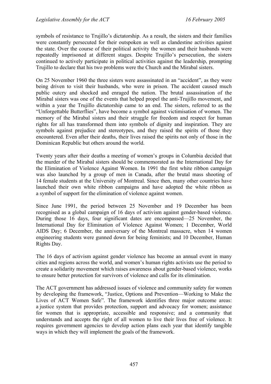symbols of resistance to Trujillo's dictatorship. As a result, the sisters and their families were constantly persecuted for their outspoken as well as clandestine activities against the state. Over the course of their political activity the women and their husbands were repeatedly imprisoned at different stages. Despite Trujillo's persecution, the sisters continued to actively participate in political activities against the leadership, prompting Trujillo to declare that his two problems were the Church and the Mirabal sisters.

On 25 November 1960 the three sisters were assassinated in an "accident", as they were being driven to visit their husbands, who were in prison. The accident caused much public outcry and shocked and enraged the nation. The brutal assassination of the Mirabal sisters was one of the events that helped propel the anti-Trujillo movement, and within a year the Trujillo dictatorship came to an end. The sisters, referred to as the "Unforgettable Butterflies", have become a symbol against victimisation of women. The memory of the Mirabal sisters and their struggle for freedom and respect for human rights for all has transformed them into symbols of dignity and inspiration. They are symbols against prejudice and stereotypes, and they raised the spirits of those they encountered. Even after their deaths, their lives raised the spirits not only of those in the Dominican Republic but others around the world.

Twenty years after their deaths a meeting of women's groups in Columbia decided that the murder of the Mirabal sisters should be commemorated as the International Day for the Elimination of Violence Against Women. In 1991 the first white ribbon campaign was also launched by a group of men in Canada, after the brutal mass shooting of 14 female students at the University of Montreal. Since then, many other countries have launched their own white ribbon campaigns and have adopted the white ribbon as a symbol of support for the elimination of violence against women.

Since June 1991, the period between 25 November and 19 December has been recognised as a global campaign of 16 days of activism against gender-based violence. During those 16 days, four significant dates are encompassed—25 November, the International Day for Elimination of Violence Against Women; 1 December, World AIDS Day; 6 December, the anniversary of the Montreal massacre, when 14 women engineering students were gunned down for being feminists; and 10 December, Human Rights Day.

The 16 days of activism against gender violence has become an annual event in many cities and regions across the world, and women's human rights activists use the period to create a solidarity movement which raises awareness about gender-based violence, works to ensure better protection for survivors of violence and calls for its elimination.

The ACT government has addressed issues of violence and community safety for women by developing the framework, "Justice, Options and Prevention—Working to Make the Lives of ACT Women Safe". The framework identifies three major outcome areas: a justice system that provides protection, support and advocacy for women; assistance for women that is appropriate, accessible and responsive; and a community that understands and accepts the right of all women to live their lives free of violence. It requires government agencies to develop action plans each year that identify tangible ways in which they will implement the goals of the framework.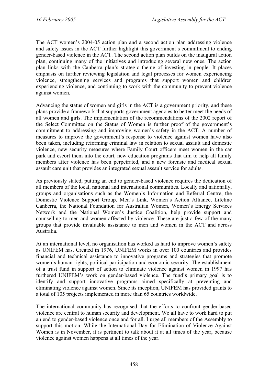The ACT women's 2004-05 action plan and a second action plan addressing violence and safety issues in the ACT further highlight this government's commitment to ending gender-based violence in the ACT. The second action plan builds on the inaugural action plan, continuing many of the initiatives and introducing several new ones. The action plan links with the Canberra plan's strategic theme of investing in people. It places emphasis on further reviewing legislation and legal processes for women experiencing violence, strengthening services and programs that support women and children experiencing violence, and continuing to work with the community to prevent violence against women.

Advancing the status of women and girls in the ACT is a government priority, and these plans provide a framework that supports government agencies to better meet the needs of all women and girls. The implementation of the recommendations of the 2002 report of the Select Committee on the Status of Women is further proof of the government's commitment to addressing and improving women's safety in the ACT. A number of measures to improve the government's response to violence against women have also been taken, including reforming criminal law in relation to sexual assault and domestic violence, new security measures where Family Court officers meet women in the car park and escort them into the court, new education programs that aim to help all family members after violence has been perpetrated, and a new forensic and medical sexual assault care unit that provides an integrated sexual assault service for adults.

As previously stated, putting an end to gender-based violence requires the dedication of all members of the local, national and international communities. Locally and nationally, groups and organisations such as the Women's Information and Referral Centre, the Domestic Violence Support Group, Men's Link, Women's Action Alliance, Lifeline Canberra, the National Foundation for Australian Women, Women's Energy Services Network and the National Women's Justice Coalition, help provide support and counselling to men and women affected by violence. These are just a few of the many groups that provide invaluable assistance to men and women in the ACT and across Australia.

At an international level, no organisation has worked as hard to improve women's safety as UNIFEM has. Created in 1976, UNIFEM works in over 100 countries and provides financial and technical assistance to innovative programs and strategies that promote women's human rights, political participation and economic security. The establishment of a trust fund in support of action to eliminate violence against women in 1997 has furthered UNIFEM's work on gender-based violence. The fund's primary goal is to identify and support innovative programs aimed specifically at preventing and eliminating violence against women. Since its inception, UNIFEM has provided grants to a total of 105 projects implemented in more than 65 countries worldwide.

The international community has recognised that the efforts to confront gender-based violence are central to human security and development. We all have to work hard to put an end to gender-based violence once and for all. I urge all members of the Assembly to support this motion. While the International Day for Elimination of Violence Against Women is in November, it is pertinent to talk about it at all times of the year, because violence against women happens at all times of the year.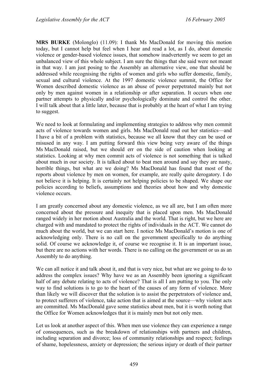**MRS BURKE** (Molonglo) (11.09): I thank Ms MacDonald for moving this motion today, but I cannot help but feel when I hear and read a lot, as I do, about domestic violence or gender-based violence issues, that somehow inadvertently we seem to get an unbalanced view of this whole subject. I am sure the things that she said were not meant in that way. I am just posing to the Assembly an alternative view, one that should be addressed while recognising the rights of women and girls who suffer domestic, family, sexual and cultural violence. At the 1997 domestic violence summit, the Office for Women described domestic violence as an abuse of power perpetrated mainly but not only by men against women in a relationship or after separation. It occurs when one partner attempts to physically and/or psychologically dominate and control the other. I will talk about that a little later, because that is probably at the heart of what I am trying to suggest.

We need to look at formulating and implementing strategies to address why men commit acts of violence towards women and girls. Ms MacDonald read out her statistics—and I have a bit of a problem with statistics, because we all know that they can be used or misused in any way. I am putting forward this view being very aware of the things Ms MacDonald raised, but we should err on the side of caution when looking at statistics. Looking at why men commit acts of violence is not something that is talked about much in our society. It is talked about to beat men around and say they are nasty, horrible things, but what are we doing? Ms MacDonald has found that most of the reports about violence by men on women, for example, are really quite derogatory. I do not believe it is helping. It is certainly not helping policies to be shaped. We shape our policies according to beliefs, assumptions and theories about how and why domestic violence occurs.

I am greatly concerned about any domestic violence, as we all are, but I am often more concerned about the pressure and inequity that is placed upon men. Ms MacDonald ranged widely in her motion about Australia and the world. That is right, but we here are charged with and mandated to protect the rights of individuals in the ACT. We cannot do much about the world, but we can start here. I notice Ms MacDonald's motion is one of acknowledging only. There is no call on the government specifically to do anything solid. Of course we acknowledge it, of course we recognise it. It is an important issue, but there are no actions with her words. There is no calling on the government or us as an Assembly to do anything.

We can all notice it and talk about it, and that is very nice, but what are we going to do to address the complex issues? Why have we as an Assembly been ignoring a significant half of any debate relating to acts of violence? That is all I am putting to you. The only way to find solutions is to go to the heart of the causes of any form of violence. More than likely we will discover that the solution is to assist the perpetrators of violence and, to protect sufferers of violence, take action that is aimed at the source—why violent acts are committed. Ms MacDonald gave some statistics about men, but it is worth noting that the Office for Women acknowledges that it is mainly men but not only men.

Let us look at another aspect of this. When men use violence they can experience a range of consequences, such as the breakdown of relationships with partners and children, including separation and divorce; loss of community relationships and respect; feelings of shame, hopelessness, anxiety or depression; the serious injury or death of their partner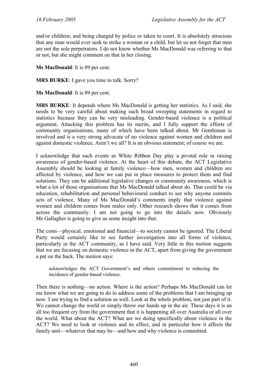and/or children; and being charged by police or taken to court. It is absolutely atrocious that any man would ever seek to strike a woman or a child, but let us not forget that men are not the sole perpetrators. I do not know whether Ms MacDonald was referring to that or not, but she might comment on that in her closing.

**Ms MacDonald**: It is 89 per cent.

**MRS BURKE**: I gave you time to talk. Sorry?

**Ms MacDonald**: It is 89 per cent.

**MRS BURKE**: It depends where Ms MacDonald is getting her statistics. As I said, she needs to be very careful about making such broad sweeping statements in regard to statistics because they can be very misleading. Gender-based violence is a political argument. Attacking this problem has its merits, and I fully support the efforts of community organisations, many of which have been talked about. Mr Gentleman is involved and is a very strong advocate of no violence against women and children and against domestic violence. Aren't we all? It is an obvious statement; of course we are.

I acknowledge that such events as White Ribbon Day play a pivotal role in raising awareness of gender-based violence. At the heart of this debate, the ACT Legislative Assembly should be looking at family violence—how men, women and children are affected by violence, and how we can put in place measures to protect them and find solutions. They can be additional legislative changes or community awareness, which is what a lot of those organisations that Ms MacDonald talked about do. That could be via education, rehabilitation and personal behavioural conduct to see why anyone commits acts of violence. Many of Ms MacDonald's comments imply that violence against women and children comes from males only. Other research shows that it comes from across the community. I am not going to go into the details now. Obviously Ms Gallagher is going to give us some insight into that.

The costs—physical, emotional and financial—to society cannot be ignored. The Liberal Party would certainly like to see further investigation into all forms of violence, particularly in the ACT community, as I have said. Very little in this motion suggests that we are focusing on domestic violence in the ACT, apart from giving the government a pat on the back. The motion says:

acknowledges the ACT Government's and others commitment to reducing the incidence of gender-based violence.

Then there is nothing—no action. Where is the action? Perhaps Ms MacDonald can let me know what we are going to do to address some of the problems that I am bringing up now. I am trying to find a solution as well. Look at the whole problem, not just part of it. We cannot change the world or simply throw our hands up in the air. These days it is an all too frequent cry from the government that it is happening all over Australia or all over the world. What about the ACT? What are we doing specifically about violence in the ACT? We need to look at violence and its effect, and in particular how it affects the family unit—whatever that may be—and how and why violence is committed.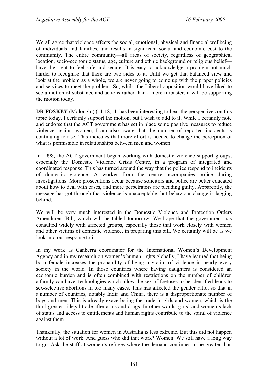We all agree that violence affects the social, emotional, physical and financial wellbeing of individuals and families, and results in significant social and economic cost to the community. The entire community—all areas of society, regardless of geographical location, socio-economic status, age, culture and ethnic background or religious belief have the right to feel safe and secure. It is easy to acknowledge a problem but much harder to recognise that there are two sides to it. Until we get that balanced view and look at the problem as a whole, we are never going to come up with the proper policies and services to meet the problem. So, whilst the Liberal opposition would have liked to see a motion of substance and actions rather than a mere filibuster, it will be supporting the motion today.

**DR FOSKEY** (Molonglo) (11.18): It has been interesting to hear the perspectives on this topic today. I certainly support the motion, but I wish to add to it. While I certainly note and endorse that the ACT government has set in place some positive measures to reduce violence against women, I am also aware that the number of reported incidents is continuing to rise. This indicates that more effort is needed to change the perception of what is permissible in relationships between men and women.

In 1998, the ACT government began working with domestic violence support groups, especially the Domestic Violence Crisis Centre, in a program of integrated and coordinated response. This has turned around the way that the police respond to incidents of domestic violence. A worker from the centre accompanies police during investigations. More prosecutions occur because solicitors and police are better educated about how to deal with cases, and more perpetrators are pleading guilty. Apparently, the message has got through that violence is unacceptable, but behaviour change is lagging behind.

We will be very much interested in the Domestic Violence and Protection Orders Amendment Bill, which will be tabled tomorrow. We hope that the government has consulted widely with affected groups, especially those that work closely with women and other victims of domestic violence, in preparing this bill. We certainly will be as we look into our response to it.

In my work as Canberra coordinator for the International Women's Development Agency and in my research on women's human rights globally, I have learned that being born female increases the probability of being a victim of violence in nearly every society in the world. In those countries where having daughters is considered an economic burden and is often combined with restrictions on the number of children a family can have, technologies which allow the sex of foetuses to be identified leads to sex-selective abortions in too many cases. This has affected the gender ratio, so that in a number of countries, notably India and China, there is a disproportionate number of boys and men. This is already exacerbating the trade in girls and women, which is the third greatest illegal trade after arms and drugs. In other words, girls' and women's lack of status and access to entitlements and human rights contribute to the spiral of violence against them.

Thankfully, the situation for women in Australia is less extreme. But this did not happen without a lot of work. And guess who did that work? Women. We still have a long way to go. Ask the staff at women's refuges where the demand continues to be greater than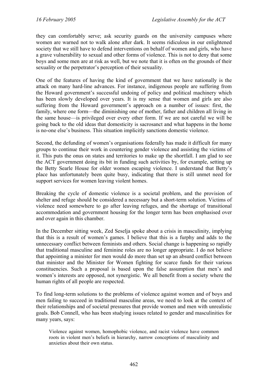they can comfortably serve; ask security guards on the university campuses where women are warned not to walk alone after dark. It seems ridiculous in our enlightened society that we still have to defend interventions on behalf of women and girls, who have a grave vulnerability to sexual and other forms of violence. This is not to deny that some boys and some men are at risk as well, but we note that it is often on the grounds of their sexuality or the perpetrator's perception of their sexuality.

One of the features of having the kind of government that we have nationally is the attack on many hard-line advances. For instance, indigenous people are suffering from the Howard government's successful undoing of policy and political machinery which has been slowly developed over years. It is my sense that women and girls are also suffering from the Howard government's approach on a number of issues: first, the family, where one form—the diminishing one of mother, father and children all living in the same house—is privileged over every other form. If we are not careful we will be going back to the old ideas that domesticity is sacrosanct and what happens in the home is no-one else's business. This situation implicitly sanctions domestic violence.

Second, the defunding of women's organisations federally has made it difficult for many groups to continue their work in countering gender violence and assisting the victims of it. This puts the onus on states and territories to make up the shortfall. I am glad to see the ACT government doing its bit in funding such activities by, for example, setting up the Betty Searle House for older women escaping violence. I understand that Betty's place has unfortunately been quite busy, indicating that there is still unmet need for support services for women leaving violent homes.

Breaking the cycle of domestic violence is a societal problem, and the provision of shelter and refuge should be considered a necessary but a short-term solution. Victims of violence need somewhere to go after leaving refuges, and the shortage of transitional accommodation and government housing for the longer term has been emphasised over and over again in this chamber.

In the December sitting week, Zed Seselja spoke about a crisis in masculinity, implying that this is a result of women's games. I believe that this is a furphy and adds to the unnecessary conflict between feminists and others. Social change is happening so rapidly that traditional masculine and feminine roles are no longer appropriate. I do not believe that appointing a minister for men would do more than set up an absurd conflict between that minister and the Minister for Women fighting for scarce funds for their various constituencies. Such a proposal is based upon the false assumption that men's and women's interests are opposed, not synergistic. We all benefit from a society where the human rights of all people are respected.

To find long-term solutions to the problems of violence against women and of boys and men failing to succeed in traditional masculine areas, we need to look at the context of their relationships and of societal pressures that provide women and men with unrealistic goals. Bob Connell, who has been studying issues related to gender and masculinities for many years, says:

Violence against women, homophobic violence, and racist violence have common roots in violent men's beliefs in hierarchy, narrow conceptions of masculinity and anxieties about their own status.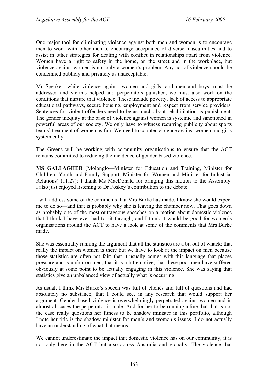One major tool for eliminating violence against both men and women is to encourage men to work with other men to encourage acceptance of diverse masculinities and to assist in other strategies for dealing with conflict in relationships apart from violence. Women have a right to safety in the home, on the street and in the workplace, but violence against women is not only a women's problem. Any act of violence should be condemned publicly and privately as unacceptable.

Mr Speaker, while violence against women and girls, and men and boys, must be addressed and victims helped and perpetrators punished, we must also work on the conditions that nurture that violence. These include poverty, lack of access to appropriate educational pathways, secure housing, employment and respect from service providers. Sentences for violent offenders need to be as much about rehabilitation as punishment. The gender inequity at the base of violence against women is systemic and sanctioned in powerful areas of our society. We only have to witness recurring publicity about sports teams' treatment of women as fun. We need to counter violence against women and girls systemically.

The Greens will be working with community organisations to ensure that the ACT remains committed to reducing the incidence of gender-based violence.

**MS GALLAGHER** (Molonglo—Minister for Education and Training, Minister for Children, Youth and Family Support, Minister for Women and Minister for Industrial Relations) (11.27): I thank Ms MacDonald for bringing this motion to the Assembly. I also just enjoyed listening to Dr Foskey's contribution to the debate.

I will address some of the comments that Mrs Burke has made. I know she would expect me to do so—and that is probably why she is leaving the chamber now. That goes down as probably one of the most outrageous speeches on a motion about domestic violence that I think I have ever had to sit through, and I think it would be good for women's organisations around the ACT to have a look at some of the comments that Mrs Burke made.

She was essentially running the argument that all the statistics are a bit out of whack; that really the impact on women is there but we have to look at the impact on men because those statistics are often not fair; that it usually comes with this language that places pressure and is unfair on men; that it is a bit emotive; that these poor men have suffered obviously at some point to be actually engaging in this violence. She was saying that statistics give an unbalanced view of actually what is occurring.

As usual, I think Mrs Burke's speech was full of clichés and full of questions and had absolutely no substance, that I could see, in any research that would support her argument. Gender-based violence is overwhelmingly perpetrated against women and in almost all cases the perpetrator is male. And for her to be running a line that that is not the case really questions her fitness to be shadow minister in this portfolio, although I note her title is the shadow minister for men's and women's issues. I do not actually have an understanding of what that means.

We cannot underestimate the impact that domestic violence has on our community; it is not only here in the ACT but also across Australia and globally. The violence that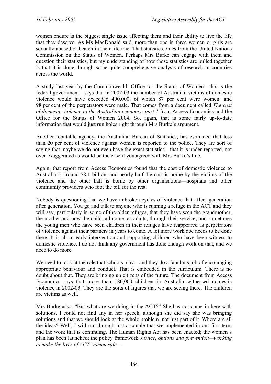women endure is the biggest single issue affecting them and their ability to live the life that they deserve. As Ms MacDonald said, more than one in three women or girls are sexually abused or beaten in their lifetime. That statistic comes from the United Nations Commission on the Status of Women. Perhaps Mrs Burke can engage with them and question their statistics, but my understanding of how those statistics are pulled together is that it is done through some quite comprehensive analysis of research in countries across the world.

A study last year by the Commonwealth Office for the Status of Women—this is the federal government—says that in 2002-03 the number of Australian victims of domestic violence would have exceeded 400,000, of which 87 per cent were women, and 98 per cent of the perpetrators were male. That comes from a document called *The cost of domestic violence to the Australian economy: part 1* from Access Economics and the Office for the Status of Women 2004. So, again, that is some fairly up-to-date information that would just run holes right through Mrs Burke's argument.

Another reputable agency, the Australian Bureau of Statistics, has estimated that less than 20 per cent of violence against women is reported to the police. They are sort of saying that maybe we do not even have the exact statistics—that it is under-reported, not over-exaggerated as would be the case if you agreed with Mrs Burke's line.

Again, that report from Access Economics found that the cost of domestic violence to Australia is around \$8.1 billion, and nearly half the cost is borne by the victims of the violence and the other half is borne by other organisations—hospitals and other community providers who foot the bill for the rest.

Nobody is questioning that we have unbroken cycles of violence that affect generation after generation. You go and talk to anyone who is running a refuge in the ACT and they will say, particularly in some of the older refuges, that they have seen the grandmother, the mother and now the child, all come, as adults, through their service; and sometimes the young men who have been children in their refuges have reappeared as perpetrators of violence against their partners in years to come. A lot more work doe needs to be done there. It is about early intervention and supporting children who have been witness to domestic violence. I do not think any government has done enough work on that, and we need to do more.

We need to look at the role that schools play—and they do a fabulous job of encouraging appropriate behaviour and conduct. That is embedded in the curriculum. There is no doubt about that. They are bringing up citizens of the future. The document from Access Economics says that more than 180,000 children in Australia witnessed domestic violence in 2002-03. They are the sorts of figures that we are seeing there. The children are victims as well.

Mrs Burke asks, "But what are we doing in the ACT?" She has not come in here with solutions. I could not find any in her speech, although she did say she was bringing solutions and that we should look at the whole problem, not just part of it. Where are all the ideas? Well, I will run through just a couple that we implemented in our first term and the work that is continuing. The Human Rights Act has been enacted; the women's plan has been launched; the policy framework *Justice*, *options and prevention—working to make the lives of ACT women safe—*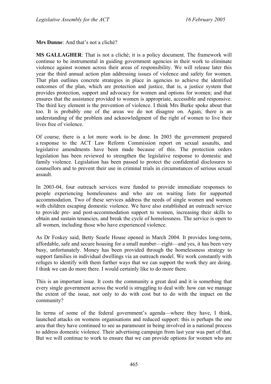**Mrs Dunne**: And that's not a cliché?

**MS GALLAGHER**: That is not a cliché; it is a policy document. The framework will continue to be instrumental in guiding government agencies in their work to eliminate violence against women across their areas of responsibility. We will release later this year the third annual action plan addressing issues of violence and safety for women. That plan outlines concrete strategies in place in agencies to achieve the identified outcomes of the plan, which are protection and justice, that is, a justice system that provides protection, support and advocacy for women and options for women; and that ensures that the assistance provided to women is appropriate, accessible and responsive. The third key element is the prevention of violence. I think Mrs Burke spoke about that too. It is probably one of the areas we do not disagree on. Again, there is an understanding of the problem and acknowledgment of the right of women to live their lives free of violence.

Of course, there is a lot more work to be done. In 2003 the government prepared a response to the ACT Law Reform Commission report on sexual assaults, and legislative amendments have been made because of this. The protection orders legislation has been reviewed to strengthen the legislative response to domestic and family violence. Legislation has been passed to protect the confidential disclosures to counsellors and to prevent their use in criminal trials in circumstances of serious sexual assault.

In 2003-04, four outreach services were funded to provide immediate responses to people experiencing homelessness and who are on waiting lists for supported accommodation. Two of these services address the needs of single women and women with children escaping domestic violence. We have also established an outreach service to provide pre- and post-accommodation support to women, increasing their skills to obtain and sustain tenancies, and break the cycle of homelessness. The service is open to all women, including those who have experienced violence.

As Dr Foskey said, Betty Searle House opened in March 2004. It provides long-term, affordable, safe and secure housing for a small number—eight—and yes, it has been very busy, unfortunately. Money has been provided through the homelessness strategy to support families in individual dwellings via an outreach model. We work constantly with refuges to identify with them further ways that we can support the work they are doing. I think we can do more there. I would certainly like to do more there.

This is an important issue. It costs the community a great deal and it is something that every single government across the world is struggling to deal with: how can we manage the extent of the issue, not only to do with cost but to do with the impact on the community?

In terms of some of the federal government's agenda—where they have, I think, launched attacks on womens organisations and reduced support: this is perhaps the one area that they have continued to see as paramount in being involved in a national process to address domestic violence. Their advertising campaign from last year was part of that. But we will continue to work to ensure that we can provide options for women who are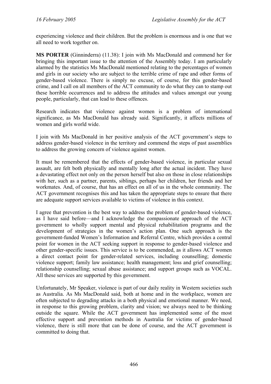experiencing violence and their children. But the problem is enormous and is one that we all need to work together on.

**MS PORTER** (Ginninderra) (11.38): I join with Ms MacDonald and commend her for bringing this important issue to the attention of the Assembly today. I am particularly alarmed by the statistics Ms MacDonald mentioned relating to the percentages of women and girls in our society who are subject to the terrible crime of rape and other forms of gender-based violence. There is simply no excuse, of course, for this gender-based crime, and I call on all members of the ACT community to do what they can to stamp out these horrible occurrences and to address the attitudes and values amongst our young people, particularly, that can lead to these offences.

Research indicates that violence against women is a problem of international significance, as Ms MacDonald has already said. Significantly, it affects millions of women and girls world wide.

I join with Ms MacDonald in her positive analysis of the ACT government's steps to address gender-based violence in the territory and commend the steps of past assemblies to address the growing concern of violence against women.

It must be remembered that the effects of gender-based violence, in particular sexual assault, are felt both physically and mentally long after the actual incident. They have a devastating effect not only on the person herself but also on those in close relationships with her, such as a partner, parents, siblings, perhaps her children, her friends and her workmates. And, of course, that has an effect on all of us in the whole community. The ACT government recognises this and has taken the appropriate steps to ensure that there are adequate support services available to victims of violence in this context.

I agree that prevention is the best way to address the problem of gender-based violence, as I have said before—and I acknowledge the compassionate approach of the ACT government to wholly support mental and physical rehabilitation programs and the development of strategies in the women's action plan. One such approach is the government-funded Women's Information and Referral Centre, which provides a central point for women in the ACT seeking support in response to gender-based violence and other gender-specific issues. This service is to be commended, as it allows ACT women a direct contact point for gender-related services, including counselling; domestic violence support; family law assistance; health management; loss and grief counselling; relationship counselling; sexual abuse assistance; and support groups such as VOCAL. All these services are supported by this government.

Unfortunately, Mr Speaker, violence is part of our daily reality in Western societies such as Australia. As Ms MacDonald said, both at home and in the workplace, women are often subjected to degrading attacks in a both physical and emotional manner. We need, in response to this growing problem, clarity and vision; we always need to be thinking outside the square. While the ACT government has implemented some of the most effective support and prevention methods in Australia for victims of gender-based violence, there is still more that can be done of course, and the ACT government is committed to doing that.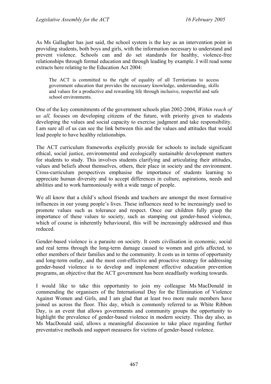As Ms Gallagher has just said, the school system is the key as an intervention point in providing students, both boys and girls, with the information necessary to understand and prevent violence. Schools can and do set standards for healthy, violence-free relationships through formal education and through leading by example. I will read some extracts here relating to the Education Act 2004:

The ACT is committed to the right of equality of all Territorians to access government education that provides the necessary knowledge, understanding, skills and values for a productive and rewarding life through inclusive, respectful and safe school environments.

One of the key commitments of the government schools plan 2002-2004, *Within reach of us all,* focuses on developing citizens of the future, with priority given to students developing the values and social capacity to exercise judgment and take responsibility. I am sure all of us can see the link between this and the values and attitudes that would lead people to have healthy relationships.

The ACT curriculum frameworks explicitly provide for schools to include significant ethical, social justice, environmental and ecologically sustainable development matters for students to study. This involves students clarifying and articulating their attitudes, values and beliefs about themselves, others, their place in society and the environment. Cross-curriculum perspectives emphasise the importance of students learning to appreciate human diversity and to accept differences in culture, aspirations, needs and abilities and to work harmoniously with a wide range of people.

We all know that a child's school friends and teachers are amongst the most formative influences in our young people's lives. These influences need to be increasingly used to promote values such as tolerance and respect. Once our children fully grasp the importance of these values to society, such as stamping out gender-based violence, which of course is inherently behavioural, this will be increasingly addressed and thus reduced.

Gender-based violence is a parasite on society. It costs civilisation in economic, social and real terms through the long-term damage caused to women and girls affected, to other members of their families and to the community. It costs us in terms of opportunity and long-term outlay, and the most cost-effective and proactive strategy for addressing gender-based violence is to develop and implement effective education prevention programs, an objective that the ACT government has been steadfastly working towards.

I would like to take this opportunity to join my colleague Ms MacDonald in commending the organisers of the International Day for the Elimination of Violence Against Women and Girls, and I am glad that at least two more male members have joined us across the floor. This day, which is commonly referred to as White Ribbon Day, is an event that allows governments and community groups the opportunity to highlight the prevalence of gender-based violence in modern society. This day also, as Ms MacDonald said, allows a meaningful discussion to take place regarding further preventative methods and support measures for victims of gender-based violence.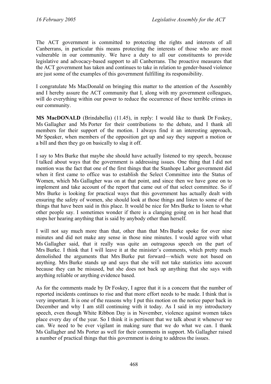The ACT government is committed to protecting the rights and interests of all Canberrans, in particular this means protecting the interests of those who are most vulnerable in our community. We have a duty to all our constituents to provide legislative and advocacy-based support to all Canberrans. The proactive measures that the ACT government has taken and continues to take in relation to gender-based violence are just some of the examples of this government fulfilling its responsibility.

I congratulate Ms MacDonald on bringing this matter to the attention of the Assembly and I hereby assure the ACT community that I, along with my government colleagues, will do everything within our power to reduce the occurrence of these terrible crimes in our community.

**MS MacDONALD** (Brindabella) (11.45), in reply: I would like to thank Dr Foskey, Ms Gallagher and Ms Porter for their contributions to the debate, and I thank all members for their support of the motion. I always find it an interesting approach, Mr Speaker, when members of the opposition get up and say they support a motion or a bill and then they go on basically to slag it off.

I say to Mrs Burke that maybe she should have actually listened to my speech, because I talked about ways that the government is addressing issues. One thing that I did not mention was the fact that one of the first things that the Stanhope Labor government did when it first came to office was to establish the Select Committee into the Status of Women, which Ms Gallagher was on at that point, and since then we have gone on to implement and take account of the report that came out of that select committee. So if Mrs Burke is looking for practical ways that this government has actually dealt with ensuring the safety of women, she should look at those things and listen to some of the things that have been said in this place. It would be nice for Mrs Burke to listen to what other people say. I sometimes wonder if there is a clanging going on in her head that stops her hearing anything that is said by anybody other than herself.

I will not say much more than that, other than that Mrs Burke spoke for over nine minutes and did not make any sense in those nine minutes. I would agree with what Ms Gallagher said, that it really was quite an outrageous speech on the part of Mrs Burke. I think that I will leave it at the minister's comments, which pretty much demolished the arguments that Mrs Burke put forward—which were not based on anything. Mrs Burke stands up and says that she will not take statistics into account because they can be misused, but she does not back up anything that she says with anything reliable or anything evidence based.

As for the comments made by Dr Foskey, I agree that it is a concern that the number of reported incidents continues to rise and that more effort needs to be made. I think that is very important. It is one of the reasons why I put this motion on the notice paper back in December and why I am still continuing with it today. As I said in my introductory speech, even though White Ribbon Day is in November, violence against women takes place every day of the year. So I think it is pertinent that we talk about it whenever we can. We need to be ever vigilant in making sure that we do what we can. I thank Ms Gallagher and Ms Porter as well for their comments in support. Ms Gallagher raised a number of practical things that this government is doing to address the issues.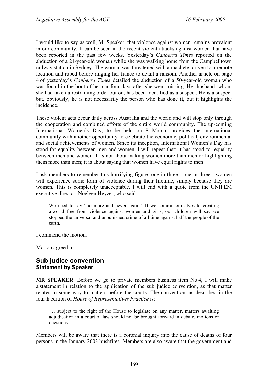I would like to say as well, Mr Speaker, that violence against women remains prevalent in our community. It can be seen in the recent violent attacks against women that have been reported in the past few weeks. Yesterday's *Canberra Times* reported on the abduction of a 21-year-old woman while she was walking home from the Campbelltown railway station in Sydney. The woman was threatened with a machete, driven to a remote location and raped before ringing her fiancé to detail a ransom. Another article on page 4 of yesterday's *Canberra Times* detailed the abduction of a 50-year-old woman who was found in the boot of her car four days after she went missing. Her husband, whom she had taken a restraining order out on, has been identified as a suspect. He is a suspect but, obviously, he is not necessarily the person who has done it, but it highlights the incidence.

These violent acts occur daily across Australia and the world and will stop only through the cooperation and combined efforts of the entire world community. The up-coming International Women's Day, to be held on 8 March, provides the international community with another opportunity to celebrate the economic, political, environmental and social achievements of women. Since its inception, International Women's Day has stood for equality between men and women. I will repeat that: it has stood for equality between men and women. It is not about making women more than men or highlighting them more than men; it is about saying that women have equal rights to men.

I ask members to remember this horrifying figure: one in three—one in three—women will experience some form of violence during their lifetime, simply because they are women. This is completely unacceptable. I will end with a quote from the UNIFEM executive director, Noeleen Heyzer, who said:

We need to say "no more and never again". If we commit ourselves to creating a world free from violence against women and girls, our children will say we stopped the universal and unpunished crime of all time against half the people of the earth.

I commend the motion.

Motion agreed to.

### <span id="page-22-0"></span>**Sub judice convention Statement by Speaker**

**MR SPEAKER**: Before we go to private members business item No 4, I will make a statement in relation to the application of the sub judice convention, as that matter relates in some way to matters before the courts. The convention, as described in the fourth edition of *House of Representatives Practice* is:

 … subject to the right of the House to legislate on any matter, matters awaiting adjudication in a court of law should not be brought forward in debate, motions or questions.

Members will be aware that there is a coronial inquiry into the cause of deaths of four persons in the January 2003 bushfires. Members are also aware that the government and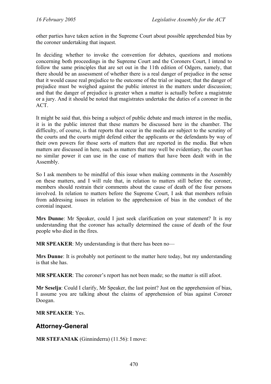other parties have taken action in the Supreme Court about possible apprehended bias by the coroner undertaking that inquest.

In deciding whether to invoke the convention for debates, questions and motions concerning both proceedings in the Supreme Court and the Coroners Court, I intend to follow the same principles that are set out in the 11th edition of Odgers, namely, that there should be an assessment of whether there is a real danger of prejudice in the sense that it would cause real prejudice to the outcome of the trial or inquest; that the danger of prejudice must be weighed against the public interest in the matters under discussion; and that the danger of prejudice is greater when a matter is actually before a magistrate or a jury. And it should be noted that magistrates undertake the duties of a coroner in the ACT.

It might be said that, this being a subject of public debate and much interest in the media, it is in the public interest that these matters be discussed here in the chamber. The difficulty, of course, is that reports that occur in the media are subject to the scrutiny of the courts and the courts might defend either the applicants or the defendants by way of their own powers for those sorts of matters that are reported in the media. But when matters are discussed in here, such as matters that may well be evidentiary, the court has no similar power it can use in the case of matters that have been dealt with in the Assembly.

So I ask members to be mindful of this issue when making comments in the Assembly on these matters, and I will rule that, in relation to matters still before the coroner, members should restrain their comments about the cause of death of the four persons involved. In relation to matters before the Supreme Court, I ask that members refrain from addressing issues in relation to the apprehension of bias in the conduct of the coronial inquest.

**Mrs Dunne**: Mr Speaker, could I just seek clarification on your statement? It is my understanding that the coroner has actually determined the cause of death of the four people who died in the fires.

**MR SPEAKER**: My understanding is that there has been no—

**Mrs Dunne**: It is probably not pertinent to the matter here today, but my understanding is that she has.

**MR SPEAKER**: The coroner's report has not been made; so the matter is still afoot.

**Mr Seselja**: Could I clarify, Mr Speaker, the last point? Just on the apprehension of bias, I assume you are talking about the claims of apprehension of bias against Coroner Doogan.

**MR SPEAKER**: Yes.

### <span id="page-23-0"></span>**Attorney-General**

**MR STEFANIAK** (Ginninderra) (11.56): I move: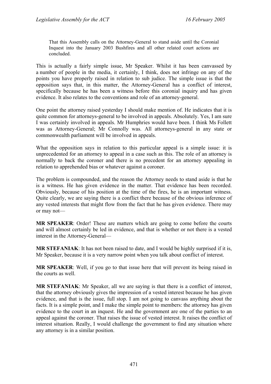That this Assembly calls on the Attorney-General to stand aside until the Coronial Inquest into the January 2003 Bushfires and all other related court actions are concluded.

This is actually a fairly simple issue, Mr Speaker. Whilst it has been canvassed by a number of people in the media, it certainly, I think, does not infringe on any of the points you have properly raised in relation to sub judice. The simple issue is that the opposition says that, in this matter, the Attorney-General has a conflict of interest, specifically because he has been a witness before this coronial inquiry and has given evidence. It also relates to the conventions and role of an attorney-general.

One point the attorney raised yesterday I should make mention of. He indicates that it is quite common for attorneys-general to be involved in appeals. Absolutely. Yes, I am sure I was certainly involved in appeals. Mr Humphries would have been. I think Ms Follett was as Attorney-General; Mr Connolly was. All attorneys-general in any state or commonwealth parliament will be involved in appeals.

What the opposition says in relation to this particular appeal is a simple issue: it is unprecedented for an attorney to appeal in a case such as this. The role of an attorney is normally to back the coroner and there is no precedent for an attorney appealing in relation to apprehended bias or whatever against a coroner.

The problem is compounded, and the reason the Attorney needs to stand aside is that he is a witness. He has given evidence in the matter. That evidence has been recorded. Obviously, because of his position at the time of the fires, he is an important witness. Quite clearly, we are saying there is a conflict there because of the obvious inference of any vested interests that might flow from the fact that he has given evidence. There may or may not—

**MR SPEAKER**: Order! These are matters which are going to come before the courts and will almost certainly be led in evidence, and that is whether or not there is a vested interest in the Attorney-General—

**MR STEFANIAK**: It has not been raised to date, and I would be highly surprised if it is, Mr Speaker, because it is a very narrow point when you talk about conflict of interest.

**MR SPEAKER**: Well, if you go to that issue here that will prevent its being raised in the courts as well.

**MR STEFANIAK**: Mr Speaker, all we are saying is that there is a conflict of interest, that the attorney obviously gives the impression of a vested interest because he has given evidence, and that is the issue, full stop. I am not going to canvass anything about the facts. It is a simple point, and I make the simple point to members: the attorney has given evidence to the court in an inquest. He and the government are one of the parties to an appeal against the coroner. That raises the issue of vested interest. It raises the conflict of interest situation. Really, I would challenge the government to find any situation where any attorney is in a similar position.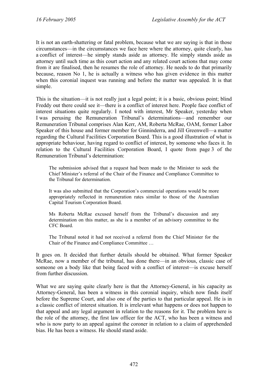It is not an earth-shattering or fatal problem, because what we are saying is that in those circumstances—in the circumstances we face here where the attorney, quite clearly, has a conflict of interest—he simply stands aside as attorney. He simply stands aside as attorney until such time as this court action and any related court actions that may come from it are finalised, then he resumes the role of attorney. He needs to do that primarily because, reason No 1, he is actually a witness who has given evidence in this matter when this coronial inquest was running and before the matter was appealed. It is that simple.

This is the situation—it is not really just a legal point; it is a basic, obvious point; blind Freddy out there could see it—there is a conflict of interest here. People face conflict of interest situations quite regularly. I noted with interest, Mr Speaker, yesterday when I was perusing the Remuneration Tribunal's determinations—and remember our Remuneration Tribunal comprises Alan Kerr, AM, Roberta McRae, OAM, former Labor Speaker of this house and former member for Ginninderra, and Jill Greenwell—a matter regarding the Cultural Facilities Corporation Board. This is a good illustration of what is appropriate behaviour, having regard to conflict of interest, by someone who faces it. In relation to the Cultural Facilities Corporation Board, I quote from page 3 of the Remuneration Tribunal's determination:

The submission advised that a request had been made to the Minister to seek the Chief Minister's referral of the Chair of the Finance and Compliance Committee to the Tribunal for determination.

It was also submitted that the Corporation's commercial operations would be more appropriately reflected in remuneration rates similar to those of the Australian Capital Tourism Corporation Board.

Ms Roberta McRae excused herself from the Tribunal's discussion and any determination on this matter, as she is a member of an advisory committee to the CFC Board.

The Tribunal noted it had not received a referral from the Chief Minister for the Chair of the Finance and Compliance Committee …

It goes on. It decided that further details should be obtained. What former Speaker McRae, now a member of the tribunal, has done there—in an obvious, classic case of someone on a body like that being faced with a conflict of interest—is excuse herself from further discussion.

What we are saying quite clearly here is that the Attorney-General, in his capacity as Attorney-General, has been a witness in this coronial inquiry, which now finds itself before the Supreme Court, and also one of the parties to that particular appeal. He is in a classic conflict of interest situation. It is irrelevant what happens or does not happen to that appeal and any legal argument in relation to the reasons for it. The problem here is the role of the attorney, the first law officer for the ACT, who has been a witness and who is now party to an appeal against the coroner in relation to a claim of apprehended bias. He has been a witness. He should stand aside.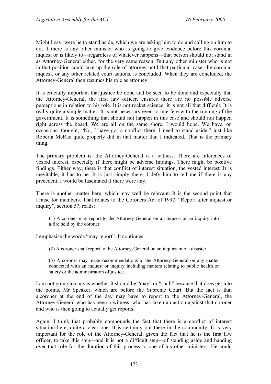Might I say, were he to stand aside, which we are asking him to do and calling on him to do, if there is any other minister who is going to give evidence before this coronial inquest or is likely to—regardless of whatever happens—that person should not stand in as Attorney-General either, for the very same reason. But any other minister who is not in that position could take up the role of attorney until that particular case, the coronial inquest, or any other related court actions, is concluded. When they are concluded, the Attorney-General then resumes his role as attorney.

It is crucially important that justice be done and be seen to be done and especially that the Attorney-General, the first law officer, ensures there are no possible adverse perceptions in relation to his role. It is not rocket science; it is not all that difficult. It is really quite a simple matter. It is not necessary even to interfere with the running of the government. It is something that should not happen in this case and should not happen right across the board. We are all on the same shore, I would hope. We have, on occasions, thought, "No, I have got a conflict there. I need to stand aside," just like Roberta McRae quite properly did in that matter that I indicated. That is the primary thing.

The primary problem is: the Attorney-General is a witness. There are inferences of vested interest, especially if there might be adverse findings. There might be positive findings. Either way, there is that conflict of interest situation, the vested interest. It is inevitable; it has to be. It is just simply there. I defy him to tell me if there is any precedent. I would be fascinated if there were any.

There is another matter here, which may well be relevant. It is the second point that I raise for members. That relates to the Coroners Act of 1997. "Report after inquest or inquiry", section 57, reads:

(1) A coroner may report to the Attorney-General on an inquest or an inquiry into a fire held by the coroner.

I emphasise the words "may report". It continues:

(2) A coroner shall report to the Attorney-General on an inquiry into a disaster.

(3) A coroner may make recommendations to the Attorney-General on any matter connected with an inquest or inquiry including matters relating to public health or safety or the administration of justice.

I am not going to canvas whether it should be "may" or "shall" because that does get into the points, Mr Speaker, which are before the Supreme Court. But the fact is that a coroner at the end of the day may have to report to the Attorney-General, the Attorney-General who has been a witness, who has taken an action against that coroner and who is then going to actually get reports.

Again, I think that probably compounds the fact that there is a conflict of interest situation here, quite a clear one. It is certainly out there in the community. It is very important for the role of the Attorney-General, given the fact that he is the first law officer, to take this step—and it is not a difficult step—of standing aside and handing over that role for the duration of this process to one of his other ministers. He could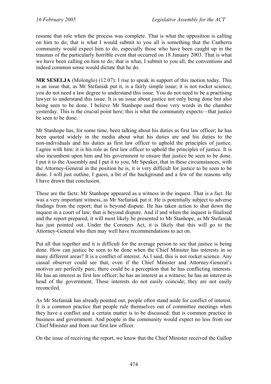resume that role when the process was complete. That is what the opposition is calling on him to do; that is what I would submit to you all is something that the Canberra community would expect him to do, especially those who have been caught up in the traumas of the particularly horrible event that occurred on 18 January 2003. That is what we have been calling on him to do; that is what, I submit to you all, the conventions and indeed common sense would dictate that he do.

**MR SESELJA** (Molonglo) (12.07): I rise to speak in support of this motion today. This is an issue that, as Mr Stefaniak put it, is a fairly simple issue; it is not rocket science; you do not need a law degree to understand this issue. You do not need to be a practising lawyer to understand this issue. It is an issue about justice not only being done but also being seen to be done. I believe Mr Stanhope used those very words in the chamber yesterday. This is the crucial point here; this is what the community expects—that justice be seen to be done.

Mr Stanhope has, for some time, been talking about his duties as first law officer; he has been quoted widely in the media about what his duties are and his duties to the non-individuals and his duties as first law officer to uphold the principles of justice. I agree with him: it is his role as first law officer to uphold the principles of justice. It is also incumbent upon him and his government to ensure that justice be seen to be done. I put it to the Assembly and I put it to you, Mr Speaker, that in these circumstances, with the Attorney-General in the position he is, it is very difficult for justice to be seen to be done. I will just outline, I guess, a bit of the background and a few of the reasons why I have drawn that conclusion.

These are the facts: Mr Stanhope appeared as a witness in the inquest. That is a fact. He was a very important witness, as Mr Stefaniak put it. He is potentially subject to adverse findings from the report; that is beyond dispute. He has taken action to shut down the inquest in a court of law; that is beyond dispute. And if and when the inquest is finalised and the report prepared, it will most likely be presented to Mr Stanhope, as Mr Stefaniak has just pointed out. Under the Coroners Act, it is likely that this will go to the Attorney-General who then may well have recommendations to act on.

Put all that together and it is difficult for the average person to see that justice is being done. How can justice be seen to be done when the Chief Minister has interests in so many different areas? It is a conflict of interest. As I said, this is not rocket science. Any casual observer could see that, even if the Chief Minister and Attorney-General's motives are perfectly pure, there could be a perception that he has conflicting interests. He has an interest as first law officer; he has an interest as a witness; he has an interest as head of the government. These interests do not easily coincide; they are not easily reconciled.

As Mr Stefaniak has already pointed out, people often stand aside for conflict of interest. It is a common practice that people rule themselves out of committee meetings when they have a conflict and a certain matter is to be discussed; that is common practice in business and government. And people in the community would expect no less from our Chief Minister and from our first law officer.

On the issue of receiving the report, we know that the Chief Minister received the Gallop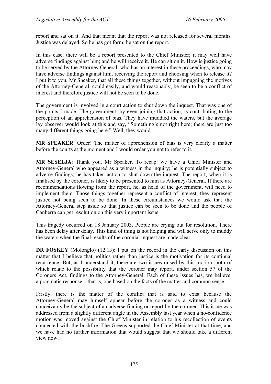report and sat on it. And that meant that the report was not released for several months. Justice was delayed. So he has got form; he sat on the report.

In this case, there will be a report presented to the Chief Minister; it may well have adverse findings against him; and he will receive it. He can sit on it. How is justice going to be served by the Attorney General, who has an interest in these proceedings, who may have adverse findings against him, receiving the report and choosing when to release it? I put it to you, Mr Speaker, that all these things together, without impugning the motives of the Attorney-General, could easily, and would reasonably, be seen to be a conflict of interest and therefore justice will not be seen to be done.

The government is involved in a court action to shut down the inquest. That was one of the points I made. The government, by even joining that action, is contributing to the perception of an apprehension of bias. They have muddied the waters, but the average lay observer would look at this and say, "Something's not right here; there are just too many different things going here." Well, they would.

**MR SPEAKER**: Order! The matter of apprehension of bias is very clearly a matter before the courts at the moment and I would order you not to refer to it.

**MR SESELJA**: Thank you, Mr Speaker. To recap: we have a Chief Minister and Attorney-General who appeared as a witness in the inquiry; he is potentially subject to adverse findings; he has taken action to shut down the inquest. The report, when it is finalised by the coroner, is likely to be presented to him as Attorney-General. If there are recommendations flowing from the report, he, as head of the government, will need to implement them. Those things together represent a conflict of interest; they represent justice not being seen to be done. In these circumstances we would ask that the Attorney-General step aside so that justice can be seen to be done and the people of Canberra can get resolution on this very important issue.

This tragedy occurred on 18 January 2003. People are crying out for resolution. There has been delay after delay. This kind of thing is not helping and will serve only to muddy the waters when the final results of the coronial inquest are made clear.

**DR FOSKEY** (Molonglo) (12.13): I put on the record in the early discussion on this matter that I believe that politics rather than justice is the motivation for its continual recurrence. But, as I understand it, there are two issues raised by this motion, both of which relate to the possibility that the coroner may report, under section 57 of the Coroners Act, findings to the Attorney-General. Each of these issues has, we believe, a pragmatic response—that is, one based on the facts of the matter and common sense.

Firstly, there is the matter of the conflict that is said to exist because the Attorney-General may himself appear before the coroner as a witness and could conceivably be the subject of an adverse finding or report by the coroner. This issue was addressed from a slightly different angle in the Assembly last year when a no-confidence motion was moved against the Chief Minister in relation to his recollection of events connected with the bushfire. The Greens supported the Chief Minister at that time, and we have had no further information that would suggest that we should take a different view now.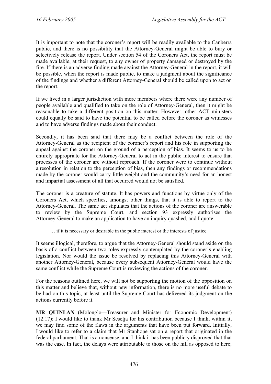It is important to note that the coroner's report will be readily available to the Canberra public, and there is no possibility that the Attorney-General might be able to bury or selectively release the report. Under section 54 of the Coroners Act, the report must be made available, at their request, to any owner of property damaged or destroyed by the fire. If there is an adverse finding made against the Attorney-General in the report, it will be possible, when the report is made public, to make a judgment about the significance of the findings and whether a different Attorney-General should be called upon to act on the report.

If we lived in a larger jurisdiction with more members where there were any number of people available and qualified to take on the role of Attorney-General, then it might be reasonable to take a different position on this matter. However, other ACT ministers could equally be said to have the potential to be called before the coroner as witnesses and to have adverse findings made about their conduct.

Secondly, it has been said that there may be a conflict between the role of the Attorney-General as the recipient of the coroner's report and his role in supporting the appeal against the coroner on the ground of a perception of bias. It seems to us to be entirely appropriate for the Attorney-General to act in the public interest to ensure that processes of the coroner are without reproach. If the coroner were to continue without a resolution in relation to the perception of bias, then any findings or recommendations made by the coroner would carry little weight and the community's need for an honest and impartial assessment of all that occurred would not be satisfied.

The coroner is a creature of statute. It has powers and functions by virtue only of the Coroners Act, which specifies, amongst other things, that it is able to report to the Attorney-General. The same act stipulates that the actions of the coroner are answerable to review by the Supreme Court, and section 93 expressly authorises the Attorney-General to make an application to have an inquiry quashed, and I quote:

… if it is necessary or desirable in the public interest or the interests of justice.

It seems illogical, therefore, to argue that the Attorney-General should stand aside on the basis of a conflict between two roles expressly contemplated by the coroner's enabling legislation. Nor would the issue be resolved by replacing this Attorney-General with another Attorney-General, because every subsequent Attorney-General would have the same conflict while the Supreme Court is reviewing the actions of the coroner.

For the reasons outlined here, we will not be supporting the motion of the opposition on this matter and believe that, without new information, there is no more useful debate to be had on this topic, at least until the Supreme Court has delivered its judgment on the actions currently before it.

**MR QUINLAN** (Molonglo—Treasurer and Minister for Economic Development) (12.17): I would like to thank Mr Seselja for his contribution because I think, within it, we may find some of the flaws in the arguments that have been put forward. Initially, I would like to refer to a claim that Mr Stanhope sat on a report that originated in the federal parliament. That is a nonsense, and I think it has been publicly disproved that that was the case. In fact, the delays were attributable to those on the hill as opposed to here;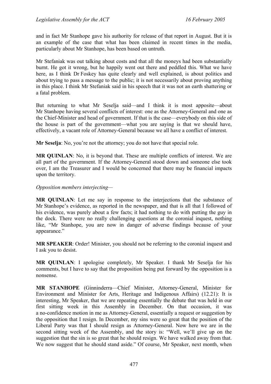and in fact Mr Stanhope gave his authority for release of that report in August. But it is an example of the case that what has been claimed in recent times in the media, particularly about Mr Stanhope, has been based on untruth.

Mr Stefaniak was out talking about costs and that all the moneys had been substantially burnt. He got it wrong, but he happily went out there and peddled this. What we have here, as I think Dr Foskey has quite clearly and well explained, is about politics and about trying to pass a message to the public; it is not necessarily about proving anything in this place. I think Mr Stefaniak said in his speech that it was not an earth shattering or a fatal problem.

But returning to what Mr Seselja said—and I think it is most apposite—about Mr Stanhope having several conflicts of interest: one as the Attorney-General and one as the Chief-Minister and head of government. If that is the case—everybody on this side of the house is part of the government—what you are saying is that we should have, effectively, a vacant role of Attorney-General because we all have a conflict of interest.

**Mr Seselja**: No, you're not the attorney; you do not have that special role.

**MR QUINLAN**: No, it is beyond that. These are multiple conflicts of interest. We are all part of the government. If the Attorney-General stood down and someone else took over, I am the Treasurer and I would be concerned that there may be financial impacts upon the territory.

#### *Opposition members interjecting—*

**MR QUINLAN**: Let me say in response to the interjections that the substance of Mr Stanhope's evidence, as reported in the newspaper, and that is all that I followed of his evidence, was purely about a few facts; it had nothing to do with putting the guy in the dock. There were no really challenging questions at the coronial inquest, nothing like, "Mr Stanhope, you are now in danger of adverse findings because of your appearance."

**MR SPEAKER**: Order! Minister, you should not be referring to the coronial inquest and I ask you to desist.

**MR QUINLAN**: I apologise completely, Mr Speaker. I thank Mr Seselja for his comments, but I have to say that the proposition being put forward by the opposition is a nonsense.

**MR STANHOPE** (Ginninderra—Chief Minister, Attorney-General, Minister for Environment and Minister for Arts, Heritage and Indigenous Affairs) (12.21): It is interesting, Mr Speaker, that we are repeating essentially the debate that was held in our first sitting week in this Assembly in December. On that occasion, it was a no-confidence motion in me as Attorney-General, essentially a request or suggestion by the opposition that I resign. In December, my sins were so great that the position of the Liberal Party was that I should resign as Attorney-General. Now here we are in the second sitting week of the Assembly, and the story is: "Well, we'll give up on the suggestion that the sin is so great that he should resign. We have walked away from that. We now suggest that he should stand aside." Of course, Mr Speaker, next month, when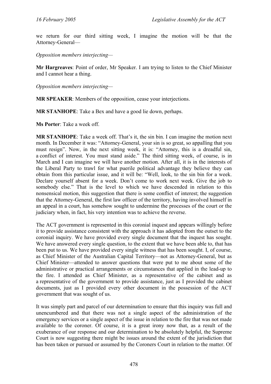we return for our third sitting week, I imagine the motion will be that the Attorney-General—

*Opposition members interjecting—* 

**Mr Hargreaves**: Point of order, Mr Speaker. I am trying to listen to the Chief Minister and I cannot hear a thing.

*Opposition members interjecting—* 

**MR SPEAKER**: Members of the opposition, cease your interjections.

**MR STANHOPE**: Take a Bex and have a good lie down, perhaps.

**Ms Porter**: Take a week off.

**MR STANHOPE**: Take a week off. That's it, the sin bin. I can imagine the motion next month. In December it was: "Attorney-General, your sin is so great, so appalling that you must resign". Now, in the next sitting week, it is: "Attorney, this is a dreadful sin, a conflict of interest. You must stand aside." The third sitting week, of course, is in March and I can imagine we will have another motion. After all, it is in the interests of the Liberal Party to trawl for what puerile political advantage they believe they can obtain from this particular issue, and it will be: "Well, look, to the sin bin for a week. Declare yourself absent for a week. Don't come to work next week. Give the job to somebody else." That is the level to which we have descended in relation to this nonsensical motion, this suggestion that there is some conflict of interest; the suggestion that the Attorney-General, the first law officer of the territory, having involved himself in an appeal in a court, has somehow sought to undermine the processes of the court or the judiciary when, in fact, his very intention was to achieve the reverse.

The ACT government is represented in this coronial inquest and appears willingly before it to provide assistance consistent with the approach it has adopted from the outset to the coronial inquiry. We have provided every single document that the inquest has sought. We have answered every single question, to the extent that we have been able to, that has been put to us. We have provided every single witness that has been sought. I, of course, as Chief Minister of the Australian Capital Territory—not as Attorney-General, but as Chief Minister—attended to answer questions that were put to me about some of the administrative or practical arrangements or circumstances that applied in the lead-up to the fire. I attended as Chief Minister, as a representative of the cabinet and as a representative of the government to provide assistance, just as I provided the cabinet documents, just as I provided every other document in the possession of the ACT government that was sought of us.

It was simply part and parcel of our determination to ensure that this inquiry was full and unencumbered and that there was not a single aspect of the administration of the emergency services or a single aspect of the issue in relation to the fire that was not made available to the coroner. Of course, it is a great irony now that, as a result of the exuberance of our response and our determination to be absolutely helpful, the Supreme Court is now suggesting there might be issues around the extent of the jurisdiction that has been taken or pursued or assumed by the Coroners Court in relation to the matter. Of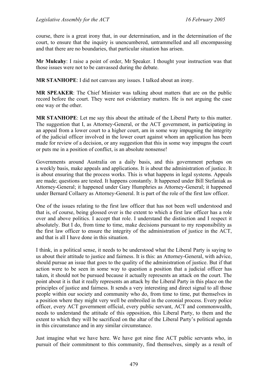course, there is a great irony that, in our determination, and in the determination of the court, to ensure that the inquiry is unencumbered, untrammelled and all encompassing and that there are no boundaries, that particular situation has arisen.

**Mr Mulcahy**: I raise a point of order, Mr Speaker. I thought your instruction was that those issues were not to be canvassed during the debate.

**MR STANHOPE**: I did not canvass any issues. I talked about an irony.

**MR SPEAKER**: The Chief Minister was talking about matters that are on the public record before the court. They were not evidentiary matters. He is not arguing the case one way or the other.

**MR STANHOPE**: Let me say this about the attitude of the Liberal Party to this matter. The suggestion that I, as Attorney-General, or the ACT government, in participating in an appeal from a lower court to a higher court, am in some way impugning the integrity of the judicial officer involved in the lower court against whom an application has been made for review of a decision, or any suggestion that this in some way impugns the court or puts me in a position of conflict, is an absolute nonsense!

Governments around Australia on a daily basis, and this government perhaps on a weekly basis, make appeals and applications. It is about the administration of justice. It is about ensuring that the process works. This is what happens in legal systems. Appeals are made; questions are tested. It happens constantly. It happened under Bill Stefaniak as Attorney-General; it happened under Gary Humphries as Attorney-General; it happened under Bernard Collaery as Attorney-General. It is part of the role of the first law officer.

One of the issues relating to the first law officer that has not been well understood and that is, of course, being glossed over is the extent to which a first law officer has a role over and above politics. I accept that role. I understand the distinction and I respect it absolutely. But I do, from time to time, make decisions pursuant to my responsibility as the first law officer to ensure the integrity of the administration of justice in the ACT, and that is all I have done in this situation.

I think, in a political sense, it needs to be understood what the Liberal Party is saying to us about their attitude to justice and fairness. It is this: an Attorney-General, with advice, should pursue an issue that goes to the quality of the administration of justice. But if that action were to be seen in some way to question a position that a judicial officer has taken, it should not be pursued because it actually represents an attack on the court. The point about it is that it really represents an attack by the Liberal Party in this place on the principles of justice and fairness. It sends a very interesting and direct signal to all those people within our society and community who do, from time to time, put themselves in a position where they might very well be embroiled in the coronial process. Every police officer, every ACT government official, every public servant, ACT and commonwealth, needs to understand the attitude of this opposition, this Liberal Party, to them and the extent to which they will be sacrificed on the altar of the Liberal Party's political agenda in this circumstance and in any similar circumstance.

Just imagine what we have here. We have got nine fine ACT public servants who, in pursuit of their commitment to this community, find themselves, simply as a result of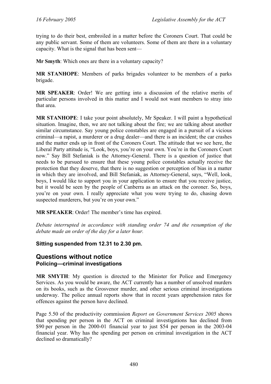trying to do their best, embroiled in a matter before the Coroners Court. That could be any public servant. Some of them are volunteers. Some of them are there in a voluntary capacity. What is the signal that has been sent—

**Mr Smyth**: Which ones are there in a voluntary capacity?

**MR STANHOPE**: Members of parks brigades volunteer to be members of a parks brigade.

**MR SPEAKER**: Order! We are getting into a discussion of the relative merits of particular persons involved in this matter and I would not want members to stray into that area.

**MR STANHOPE**: I take your point absolutely, Mr Speaker. I will paint a hypothetical situation. Imagine, then, we are not talking about the fire; we are talking about another similar circumstance. Say young police constables are engaged in a pursuit of a vicious criminal—a rapist, a murderer or a drug dealer—and there is an incident; the car crashes and the matter ends up in front of the Coroners Court. The attitude that we see here, the Liberal Party attitude is, "Look, boys, you're on your own. You're in the Coroners Court now." Say Bill Stefaniak is the Attorney-General. There is a question of justice that needs to be pursued to ensure that these young police constables actually receive the protection that they deserve, that there is no suggestion or perception of bias in a matter in which they are involved, and Bill Stefaniak, as Attorney-General, says, "Well, look, boys, I would like to support you in your application to ensure that you receive justice, but it would be seen by the people of Canberra as an attack on the coroner. So, boys, you're on your own. I really appreciate what you were trying to do, chasing down suspected murderers, but you're on your own."

**MR SPEAKER**: Order! The member's time has expired.

*Debate interrupted in accordance with standing order 74 and the resumption of the debate made an order of the day for a later hour.* 

### **Sitting suspended from 12.31 to 2.30 pm.**

### <span id="page-33-0"></span>**Questions without notice Policing—criminal investigations**

**MR SMYTH**: My question is directed to the Minister for Police and Emergency Services. As you would be aware, the ACT currently has a number of unsolved murders on its books, such as the Grosvenor murder, and other serious criminal investigations underway. The police annual reports show that in recent years apprehension rates for offences against the person have declined.

Page 5.50 of the productivity commission *Report on Government Services 2005* shows that spending per person in the ACT on criminal investigations has declined from \$90 per person in the 2000-01 financial year to just \$54 per person in the 2003-04 financial year. Why has the spending per person on criminal investigation in the ACT declined so dramatically?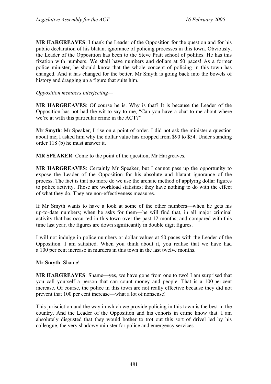**MR HARGREAVES**: I thank the Leader of the Opposition for the question and for his public declaration of his blatant ignorance of policing processes in this town. Obviously, the Leader of the Opposition has been to the Steve Pratt school of politics. He has this fixation with numbers. We shall have numbers and dollars at 50 paces! As a former police minister, he should know that the whole concept of policing in this town has changed. And it has changed for the better. Mr Smyth is going back into the bowels of history and dragging up a figure that suits him.

#### *Opposition members interjecting—*

**MR HARGREAVES**: Of course he is. Why is that? It is because the Leader of the Opposition has not had the wit to say to me, "Can you have a chat to me about where we're at with this particular crime in the ACT?"

**Mr Smyth**: Mr Speaker, I rise on a point of order. I did not ask the minister a question about me; I asked him why the dollar value has dropped from \$90 to \$54. Under standing order 118 (b) he must answer it.

**MR SPEAKER**: Come to the point of the question, Mr Hargreaves.

**MR HARGREAVES**: Certainly Mr Speaker, but I cannot pass up the opportunity to expose the Leader of the Opposition for his absolute and blatant ignorance of the process. The fact is that no more do we use the archaic method of applying dollar figures to police activity. Those are workload statistics; they have nothing to do with the effect of what they do. They are non-effectiveness measures.

If Mr Smyth wants to have a look at some of the other numbers—when he gets his up-to-date numbers; when he asks for them—he will find that, in all major criminal activity that has occurred in this town over the past 12 months, and compared with this time last year, the figures are down significantly in double digit figures.

I will not indulge in police numbers or dollar values at 50 paces with the Leader of the Opposition. I am satisfied. When you think about it, you realise that we have had a 100 per cent increase in murders in this town in the last twelve months.

#### **Mr Smyth**: Shame!

**MR HARGREAVES**: Shame—yes, we have gone from one to two! I am surprised that you call yourself a person that can count money and people. That is a 100 per cent increase. Of course, the police in this town are not really effective because they did not prevent that 100 per cent increase—what a lot of nonsense!

This jurisdiction and the way in which we provide policing in this town is the best in the country. And the Leader of the Opposition and his cohorts in crime know that. I am absolutely disgusted that they would bother to trot out this sort of drivel led by his colleague, the very shadowy minister for police and emergency services.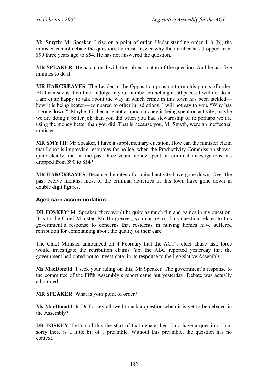**Mr Smyth**: Mr Speaker, I rise on a point of order. Under standing order 118 (b), the minister cannot debate the question; he must answer why the number has dropped from \$90 three years ago to \$54. He has not answered the question.

**MR SPEAKER**: He has to deal with the subject matter of the question. And he has five minutes to do it.

**MR HARGREAVES**: The Leader of the Opposition pops up to run his points of order. All I can say is: I will not indulge in your number crunching at 50 paces; I will not do it. I am quite happy to talk about the way in which crime in this town has been tackled how it is being beaten—compared to other jurisdictions. I will not say to you, "Why has it gone down?" Maybe it is because not as much money is being spent on activity; maybe we are doing a better job than you did when you had stewardship of it; perhaps we are using the money better than you did. That is because you, Mr Smyth, were an ineffectual minister.

**MR SMYTH**: Mr Speaker, I have a supplementary question. How can the minister claim that Labor is improving resources for police, when the Productivity Commission shows, quite clearly, that in the past three years money spent on criminal investigations has dropped from \$90 to \$54?

**MR HARGREAVES**: Because the rates of criminal activity have gone down. Over the past twelve months, most of the criminal activities in this town have gone down in double digit figures.

### <span id="page-35-0"></span>**Aged care accommodation**

**DR FOSKEY**: Mr Speaker, there won't be quite as much fun and games in my question. It is to the Chief Minister. Mr Hargreaves, you can relax. This question relates to this government's response to concerns that residents in nursing homes have suffered retribution for complaining about the quality of their care.

The Chief Minister announced on 4 February that the ACT's elder abuse task force would investigate the retribution claims. Yet the ABC reported yesterday that the government had opted not to investigate, in its response to the Legislative Assembly—

**Ms MacDonald**: I seek your ruling on this, Mr Speaker. The government's response to the committee of the Fifth Assembly's report came out yesterday. Debate was actually adjourned.

**MR SPEAKER**: What is your point of order?

**Ms MacDonald**: Is Dr Foskey allowed to ask a question when it is yet to be debated in the Assembly?

**DR FOSKEY**: Let's call this the start of that debate then. I do have a question. I am sorry there is a little bit of a preamble. Without this preamble, the question has no context.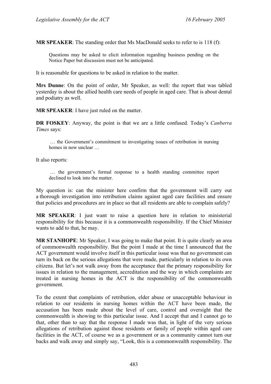**MR SPEAKER**: The standing order that Ms MacDonald seeks to refer to is 118 (f):

Questions may be asked to elicit information regarding business pending on the Notice Paper but discussion must not be anticipated.

It is reasonable for questions to be asked in relation to the matter.

**Mrs Dunne**: On the point of order, Mr Speaker, as well: the report that was tabled yesterday is about the allied health care needs of people in aged care. That is about dental and podiatry as well.

**MR SPEAKER**: I have just ruled on the matter.

**DR FOSKEY**: Anyway, the point is that we are a little confused. Today's *Canberra Times* says:

 … the Government's commitment to investigating issues of retribution in nursing homes in now unclear …

It also reports:

 … the government's formal response to a health standing committee report declined to look into the matter.

My question is: can the minister here confirm that the government will carry out a thorough investigation into retribution claims against aged care facilities and ensure that policies and procedures are in place so that all residents are able to complain safely?

**MR SPEAKER**: I just want to raise a question here in relation to ministerial responsibility for this because it is a commonwealth responsibility. If the Chief Minister wants to add to that, he may.

**MR STANHOPE**: Mr Speaker, I was going to make that point. It is quite clearly an area of commonwealth responsibility. But the point I made at the time I announced that the ACT government would involve itself in this particular issue was that no government can turn its back on the serious allegations that were made, particularly in relation to its own citizens. But let's not walk away from the acceptance that the primary responsibility for issues in relation to the management, accreditation and the way in which complaints are treated in nursing homes in the ACT is the responsibility of the commonwealth government.

To the extent that complaints of retribution, elder abuse or unacceptable behaviour in relation to our residents in nursing homes within the ACT have been made, the accusation has been made about the level of care, control and oversight that the commonwealth is showing to this particular issue. And I accept that and I cannot go to that, other than to say that the response I made was that, in light of the very serious allegations of retribution against those residents or family of people within aged care facilities in the ACT, of course we as a government or as a community cannot turn our backs and walk away and simply say, "Look, this is a commonwealth responsibility. The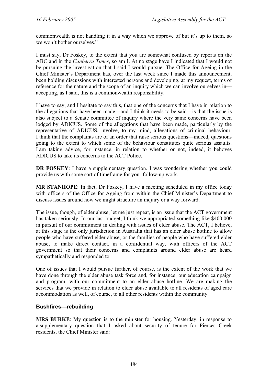commonwealth is not handling it in a way which we approve of but it's up to them, so we won't bother ourselves."

I must say, Dr Foskey, to the extent that you are somewhat confused by reports on the ABC and in the *Canberra Times*, so am I. At no stage have I indicated that I would not be pursuing the investigation that I said I would pursue. The Office for Ageing in the Chief Minister's Department has, over the last week since I made this announcement, been holding discussions with interested persons and developing, at my request, terms of reference for the nature and the scope of an inquiry which we can involve ourselves in accepting, as I said, this is a commonwealth responsibility.

I have to say, and I hesitate to say this, that one of the concerns that I have in relation to the allegations that have been made—and I think it needs to be said—is that the issue is also subject to a Senate committee of inquiry where the very same concerns have been lodged by ADICUS. Some of the allegations that have been made, particularly by the representative of ADICUS, involve, to my mind, allegations of criminal behaviour. I think that the complaints are of an order that raise serious questions—indeed, questions going to the extent to which some of the behaviour constitutes quite serious assaults. I am taking advice, for instance, in relation to whether or not, indeed, it behoves ADICUS to take its concerns to the ACT Police.

**DR FOSKEY:** I have a supplementary question. I was wondering whether you could provide us with some sort of timeframe for your follow-up work.

**MR STANHOPE**: In fact, Dr Foskey, I have a meeting scheduled in my office today with officers of the Office for Ageing from within the Chief Minister's Department to discuss issues around how we might structure an inquiry or a way forward.

The issue, though, of elder abuse, let me just repeat, is an issue that the ACT government has taken seriously. In our last budget, I think we appropriated something like \$400,000 in pursuit of our commitment in dealing with issues of elder abuse. The ACT, I believe, at this stage is the only jurisdiction in Australia that has an elder abuse hotline to allow people who have suffered elder abuse, or the families of people who have suffered elder abuse, to make direct contact, in a confidential way, with officers of the ACT government so that their concerns and complaints around elder abuse are heard sympathetically and responded to.

One of issues that I would pursue further, of course, is the extent of the work that we have done through the elder abuse task force and, for instance, our education campaign and program, with our commitment to an elder abuse hotline. We are making the services that we provide in relation to elder abuse available to all residents of aged care accommodation as well, of course, to all other residents within the community.

### **Bushfires—rebuilding**

**MRS BURKE**: My question is to the minister for housing. Yesterday, in response to a supplementary question that I asked about security of tenure for Pierces Creek residents, the Chief Minister said: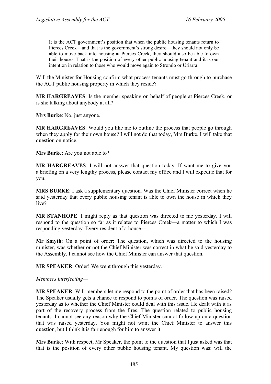It is the ACT government's position that when the public housing tenants return to Pierces Creek—and that is the government's strong desire—they should not only be able to move back into housing at Pierces Creek, they should also be able to own their houses. That is the position of every other public housing tenant and it is our intention in relation to those who would move again to Stromlo or Uriarra.

Will the Minister for Housing confirm what process tenants must go through to purchase the ACT public housing property in which they reside?

**MR HARGREAVES**: Is the member speaking on behalf of people at Pierces Creek, or is she talking about anybody at all?

**Mrs Burke**: No, just anyone.

**MR HARGREAVES**: Would you like me to outline the process that people go through when they apply for their own house? I will not do that today, Mrs Burke. I will take that question on notice.

**Mrs Burke**: Are you not able to?

**MR HARGREAVES**: I will not answer that question today. If want me to give you a briefing on a very lengthy process, please contact my office and I will expedite that for you.

**MRS BURKE**: I ask a supplementary question. Was the Chief Minister correct when he said yesterday that every public housing tenant is able to own the house in which they live?

**MR STANHOPE**: I might reply as that question was directed to me yesterday. I will respond to the question so far as it relates to Pierces Creek—a matter to which I was responding yesterday. Every resident of a house—

**Mr Smyth**: On a point of order: The question, which was directed to the housing minister, was whether or not the Chief Minister was correct in what he said yesterday to the Assembly. I cannot see how the Chief Minister can answer that question.

**MR SPEAKER**: Order! We went through this yesterday.

### *Members interjecting—*

**MR SPEAKER**: Will members let me respond to the point of order that has been raised? The Speaker usually gets a chance to respond to points of order. The question was raised yesterday as to whether the Chief Minister could deal with this issue. He dealt with it as part of the recovery process from the fires. The question related to public housing tenants. I cannot see any reason why the Chief Minister cannot follow up on a question that was raised yesterday. You might not want the Chief Minister to answer this question, but I think it is fair enough for him to answer it.

**Mrs Burke**: With respect, Mr Speaker, the point to the question that I just asked was that that is the position of every other public housing tenant. My question was: will the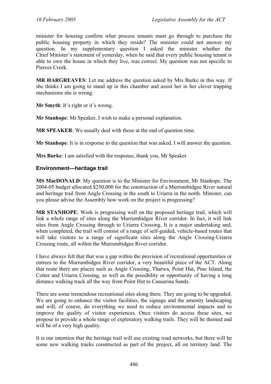minister for housing confirm what process tenants must go through to purchase the public housing property in which they reside? The minister could not answer my question. In my supplementary question I asked the minister whether the Chief Minister's statement of yesterday, when he said that every public housing tenant is able to own the house in which they live, was correct. My question was not specific to Pierces Creek.

**MR HARGREAVES**: Let me address the question asked by Mrs Burke in this way. If she thinks I am going to stand up in this chamber and assist her in her clever trapping mechanisms she is wrong.

**Mr Smyth**: It's right or it's wrong.

**Mr Stanhope**: Mr Speaker, I wish to make a personal explanation.

**MR SPEAKER**: We usually deal with those at the end of question time.

**Mr Stanhope**: It is in response to the question that was asked. I will answer the question.

**Mrs Burke**: I am satisfied with the response, thank you, Mr Speaker.

### **Environment—heritage trail**

**MS MacDONALD**: My question is to the Minister for Environment, Mr Stanhope. The 2004-05 budget allocated \$250,000 for the construction of a Murrumbidgee River natural and heritage trail from Angle Crossing in the south to Uriarra in the north. Minister, can you please advise the Assembly how work on the project is progressing?

**MR STANHOPE**: Work is progressing well on the proposed heritage trail, which will link a whole range of sites along the Murrumbidgee River corridor. In fact, it will link sites from Angle Crossing through to Uriarra Crossing. It is a major undertaking and, when completed, the trail will consist of a range of self-guided, vehicle-based routes that will take visitors to a range of significant sites along the Angle Crossing-Uriarra Crossing route, all within the Murrumbidgee River corridor.

I have always felt that that was a gap within the provision of recreational opportunities or entrees to the Murrumbidgee River corridor, a very beautiful piece of the ACT. Along that route there are places such as Angle Crossing, Tharwa, Point Hut, Pine Island, the Cotter and Uriarra Crossing, as well as the possibility or opportunity of having a long distance walking track all the way from Point Hut to Casuarina Sands.

There are some tremendous recreational sites along there. They are going to be upgraded. We are going to enhance the visitor facilities, the signage and the amenity landscaping and will, of course, do everything we need to reduce environmental impacts and to improve the quality of visitor experiences. Once visitors do access these sites, we propose to provide a whole range of exploratory walking trails. They will be themed and will be of a very high quality.

It is our intention that the heritage trail will use existing road networks, but there will be some new walking tracks constructed as part of the project, all on territory land. The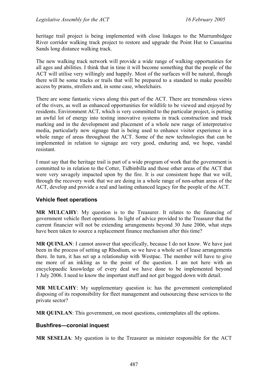heritage trail project is being implemented with close linkages to the Murrumbidgee River corridor walking track project to restore and upgrade the Point Hut to Casuarina Sands long distance walking track.

The new walking track network will provide a wide range of walking opportunities for all ages and abilities. I think that in time it will become something that the people of the ACT will utilise very willingly and happily. Most of the surfaces will be natural, though there will be some tracks or trails that will be prepared to a standard to make possible access by prams, strollers and, in some case, wheelchairs.

There are some fantastic views along this part of the ACT. There are tremendous views of the rivers, as well as enhanced opportunities for wildlife to be viewed and enjoyed by residents. Environment ACT, which is very committed to the particular project, is putting an awful lot of energy into testing innovative systems in track construction and track marking and in the development and placement of a whole new range of interpretative media, particularly new signage that is being used to enhance visitor experience in a whole range of areas throughout the ACT. Some of the new technologies that can be implemented in relation to signage are very good, enduring and, we hope, vandal resistant.

I must say that the heritage trail is part of a wide program of work that the government is committed to in relation to the Cotter, Tidbinbilla and those other areas of the ACT that were very savagely impacted upon by the fire. It is our consistent hope that we will, through the recovery work that we are doing in a whole range of non-urban areas of the ACT, develop and provide a real and lasting enhanced legacy for the people of the ACT.

# **Vehicle fleet operations**

**MR MULCAHY**: My question is to the Treasurer. It relates to the financing of government vehicle fleet operations. In light of advice provided to the Treasurer that the current financier will not be extending arrangements beyond 30 June 2006, what steps have been taken to source a replacement finance mechanism after this time?

**MR QUINLAN**: I cannot answer that specifically, because I do not know. We have just been in the process of setting up Rhodium, so we have a whole set of lease arrangements there. In turn, it has set up a relationship with Westpac. The member will have to give me more of an inkling as to the point of the question. I am not here with an encyclopaedic knowledge of every deal we have done to be implemented beyond 1 July 2006. I need to know the important stuff and not get bogged down with detail.

**MR MULCAHY**: My supplementary question is: has the government contemplated disposing of its responsibility for fleet management and outsourcing these services to the private sector?

**MR QUINLAN**: This government, on most questions, contemplates all the options.

# **Bushfires—coronial inquest**

**MR SESELJA**: My question is to the Treasurer as minister responsible for the ACT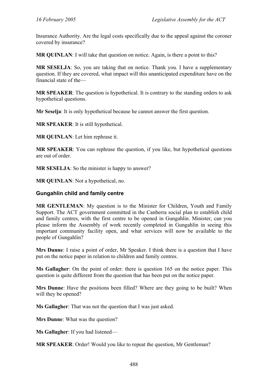Insurance Authority. Are the legal costs specifically due to the appeal against the coroner covered by insurance?

**MR QUINLAN**: I will take that question on notice. Again, is there a point to this?

**MR SESELJA**: So, you are taking that on notice. Thank you. I have a supplementary question. If they are covered, what impact will this unanticipated expenditure have on the financial state of the—

**MR SPEAKER:** The question is hypothetical. It is contrary to the standing orders to ask hypothetical questions.

**Mr Seselja**: It is only hypothetical because he cannot answer the first question.

**MR SPEAKER**: It is still hypothetical.

**MR QUINLAN**: Let him rephrase it.

**MR SPEAKER**: You can rephrase the question, if you like, but hypothetical questions are out of order.

**MR SESELJA:** So the minister is happy to answer?

**MR QUINLAN**: Not a hypothetical, no.

### **Gungahlin child and family centre**

**MR GENTLEMAN**: My question is to the Minister for Children, Youth and Family Support. The ACT government committed in the Canberra social plan to establish child and family centres, with the first centre to be opened in Gungahlin. Minister, can you please inform the Assembly of work recently completed in Gungahlin in seeing this important community facility open, and what services will now be available to the people of Gungahlin?

**Mrs Dunne**: I raise a point of order, Mr Speaker. I think there is a question that I have put on the notice paper in relation to children and family centres.

**Ms Gallagher**: On the point of order: there is question 165 on the notice paper. This question is quite different from the question that has been put on the notice paper.

**Mrs Dunne**: Have the positions been filled? Where are they going to be built? When will they be opened?

**Ms Gallagher**: That was not the question that I was just asked.

**Mrs Dunne**: What was the question?

**Ms Gallagher**: If you had listened—

**MR SPEAKER**: Order! Would you like to repeat the question, Mr Gentleman?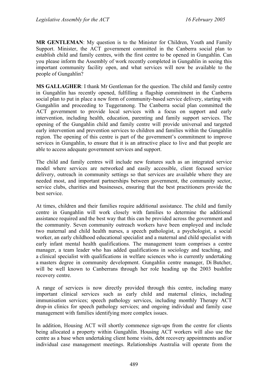**MR GENTLEMAN**: My question is to the Minister for Children, Youth and Family Support. Minister, the ACT government committed in the Canberra social plan to establish child and family centres, with the first centre to be opened in Gungahlin. Can you please inform the Assembly of work recently completed in Gungahlin in seeing this important community facility open, and what services will now be available to the people of Gungahlin?

**MS GALLAGHER**: I thank Mr Gentleman for the question. The child and family centre in Gungahlin has recently opened, fulfilling a flagship commitment in the Canberra social plan to put in place a new form of community-based service delivery, starting with Gungahlin and proceeding to Tuggeranong. The Canberra social plan committed the ACT government to provide local services with a focus on support and early intervention, including health, education, parenting and family support services. The opening of the Gungahlin child and family centre will provide universal and targeted early intervention and prevention services to children and families within the Gungahlin region. The opening of this centre is part of the government's commitment to improve services in Gungahlin, to ensure that it is an attractive place to live and that people are able to access adequate government services and support.

The child and family centres will include new features such as an integrated service model where services are networked and easily accessible, client focused service delivery, outreach in community settings so that services are available where they are needed most, and important partnerships between government, the community sector, service clubs, charities and businesses, ensuring that the best practitioners provide the best service.

At times, children and their families require additional assistance. The child and family centre in Gungahlin will work closely with families to determine the additional assistance required and the best way that this can be provided across the government and the community. Seven community outreach workers have been employed and include two maternal and child health nurses, a speech pathologist, a psychologist, a social worker, an early childhood educational specialist and a maternal and child specialist with early infant mental health qualifications. The management team comprises a centre manager, a team leader who has added qualifications in sociology and teaching, and a clinical specialist with qualifications in welfare sciences who is currently undertaking a masters degree in community development. Gungahlin centre manager, Di Butcher, will be well known to Canberrans through her role heading up the 2003 bushfire recovery centre.

A range of services is now directly provided through this centre, including many important clinical services such as early child and maternal clinics, including immunisation services; speech pathology services, including monthly Therapy ACT drop-in clinics for speech pathology services; and ongoing individual and family case management with families identifying more complex issues.

In addition, Housing ACT will shortly commence sign-ups from the centre for clients being allocated a property within Gungahlin. Housing ACT workers will also use the centre as a base when undertaking client home visits, debt recovery appointments and/or individual case management meetings. Relationships Australia will operate from the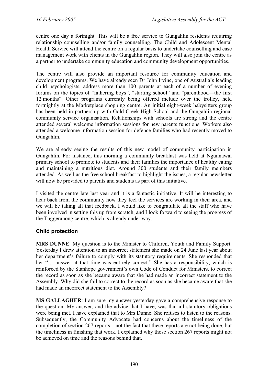centre one day a fortnight. This will be a free service to Gungahlin residents requiring relationship counselling and/or family counselling. The Child and Adolescent Mental Health Service will attend the centre on a regular basis to undertake counselling and case management work with clients in the Gungahlin region. They will also join the centre as a partner to undertake community education and community development opportunities.

The centre will also provide an important resource for community education and development programs. We have already seen Dr John Irvine, one of Australia's leading child psychologists, address more than 100 parents at each of a number of evening forums on the topics of "fathering boys", "starting school" and "parenthood—the first 12 months". Other programs currently being offered include over the trolley, held fortnightly at the Marketplace shopping centre. An initial eight-week babysitters group has been held in partnership with Gold Creek High School and the Gungahlin regional community service organisation. Relationships with schools are strong and the centre attended several welcome information sessions for new parents functions. Workers also attended a welcome information session for defence families who had recently moved to Gungahlin.

We are already seeing the results of this new model of community participation in Gungahlin. For instance, this morning a community breakfast was held at Ngunnawal primary school to promote to students and their families the importance of healthy eating and maintaining a nutritious diet. Around 300 students and their family members attended. As well as the free school breakfast to highlight the issues, a regular newsletter will now be provided to parents and students as part of this initiative.

I visited the centre late last year and it is a fantastic initiative. It will be interesting to hear back from the community how they feel the services are working in their area, and we will be taking all that feedback. I would like to congratulate all the staff who have been involved in setting this up from scratch, and I look forward to seeing the progress of the Tuggeranong centre, which is already under way.

# **Child protection**

**MRS DUNNE**: My question is to the Minister to Children, Youth and Family Support. Yesterday I drew attention to an incorrect statement she made on 24 June last year about her department's failure to comply with its statutory requirements. She responded that her "… answer at that time was entirely correct." She has a responsibility, which is reinforced by the Stanhope government's own Code of Conduct for Ministers, to correct the record as soon as she became aware that she had made an incorrect statement to the Assembly. Why did she fail to correct to the record as soon as she became aware that she had made an incorrect statement to the Assembly?

**MS GALLAGHER**: I am sure my answer yesterday gave a comprehensive response to the question. My answer, and the advice that I have, was that all statutory obligations were being met. I have explained that to Mrs Dunne. She refuses to listen to the reasons. Subsequently, the Community Advocate had concerns about the timeliness of the completion of section 267 reports—not the fact that these reports are not being done, but the timeliness in finishing that work. I explained why those section 267 reports might not be achieved on time and the reasons behind that.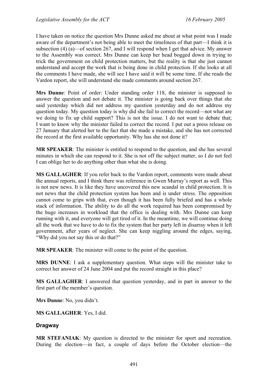I have taken on notice the question Mrs Dunne asked me about at what point was I made aware of the department's not being able to meet the timeliness of that part—I think it is subsection (4) (a)—of section 267, and I will respond when I get that advice. My answer to the Assembly was correct. Mrs Dunne can keep her head bogged down in trying to trick the government on child protection matters, but the reality is that she just cannot understand and accept the work that is being done in child protection. If she looks at all the comments I have made, she will see I have said it will be some time. If she reads the Vardon report, she will understand she made comments around section 267.

**Mrs Dunne**: Point of order: Under standing order 118, the minister is supposed to answer the question and not debate it. The minister is going back over things that she said yesterday which did not address my question yesterday and do not address my question today. My question today is why did she fail to correct the record—not what are we doing to fix up child support? This is not the issue. I do not want to debate that; I want to know why the minister failed to correct the record. I put out a press release on 27 January that alerted her to the fact that she made a mistake, and she has not corrected the record at the first available opportunity. Why has she not done it?

**MR SPEAKER**: The minister is entitled to respond to the question, and she has several minutes in which she can respond to it. She is not off the subject matter, so I do not feel I can oblige her to do anything other than what she is doing.

**MS GALLAGHER**: If you refer back to the Vardon report, comments were made about the annual reports, and I think there was reference in Gwen Murray's report as well. This is not new news. It is like they have uncovered this new scandal in child protection. It is not news that the child protection system has been and is under stress. The opposition cannot come to grips with that, even though it has been fully briefed and has a whole stack of information. The ability to do all the work required has been compromised by the huge increases in workload that the office is dealing with. Mrs Dunne can keep running with it, and everyone will get tired of it. In the meantime, we will continue doing all the work that we have to do to fix the system that her party left in disarray when it left government, after years of neglect. She can keep niggling around the edges, saying, "Why did you not say this or do that?"

**MR SPEAKER**: The minister will come to the point of the question.

**MRS DUNNE**: I ask a supplementary question. What steps will the minister take to correct her answer of 24 June 2004 and put the record straight in this place?

**MS GALLAGHER**: I answered that question yesterday, and in part in answer to the first part of the member's question.

**Mrs Dunne**: No, you didn't.

**MS GALLAGHER**: Yes, I did.

# **Dragway**

**MR STEFANIAK**: My question is directed to the minister for sport and recreation. During the election—in fact, a couple of days before the October election—the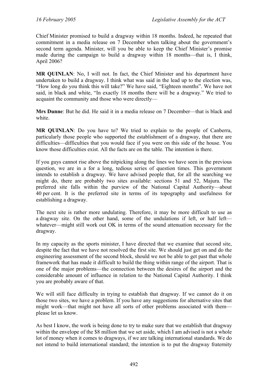Chief Minister promised to build a dragway within 18 months. Indeed, he repeated that commitment in a media release on 7 December when talking about the government's second term agenda. Minister, will you be able to keep the Chief Minister's promise made during the campaign to build a dragway within 18 months—that is, I think, April 2006?

**MR QUINLAN**: No, I will not. In fact, the Chief Minister and his department have undertaken to build a dragway. I think what was said in the lead up to the election was, "How long do you think this will take?" We have said, "Eighteen months". We have not said, in black and white, "In exactly 18 months there will be a dragway." We tried to acquaint the community and those who were directly—

**Mrs Dunne**: But he did. He said it in a media release on 7 December—that is black and white.

**MR QUINLAN**: Do you have to? We tried to explain to the people of Canberra, particularly those people who supported the establishment of a dragway, that there are difficulties—difficulties that you would face if you were on this side of the house. You know those difficulties exist. All the facts are on the table. The intention is there.

If you guys cannot rise above the nitpicking along the lines we have seen in the previous question, we are in a for a long, tedious series of question times. This government intends to establish a dragway. We have advised people that, for all the searching we might do, there are probably two sites available: sections 51 and 52, Majura. The preferred site falls within the purview of the National Capital Authority—about 40 per cent. It is the preferred site in terms of its topography and usefulness for establishing a dragway.

The next site is rather more undulating. Therefore, it may be more difficult to use as a dragway site. On the other hand, some of the undulations if left, or half left whatever—might still work out OK in terms of the sound attenuation necessary for the dragway.

In my capacity as the sports minister, I have directed that we examine that second site, despite the fact that we have not resolved the first site. We should just get on and do the engineering assessment of the second block, should we not be able to get past that whole framework that has made it difficult to build the thing within range of the airport. That is one of the major problems—the connection between the desires of the airport and the considerable amount of influence in relation to the National Capital Authority. I think you are probably aware of that.

We will still face difficulty in trying to establish that dragway. If we cannot do it on those two sites, we have a problem. If you have any suggestions for alternative sites that might work—that might not have all sorts of other problems associated with them please let us know.

As best I know, the work is being done to try to make sure that we establish that dragway within the envelope of the \$8 million that we set aside, which I am advised is not a whole lot of money when it comes to dragways, if we are talking international standards. We do not intend to build international standard; the intention is to put the dragway fraternity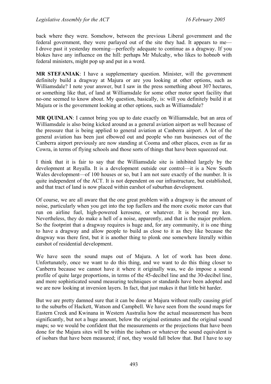back where they were. Somehow, between the previous Liberal government and the federal government, they were parlayed out of the site they had. It appears to me— I drove past it yesterday morning—perfectly adequate to continue as a dragway. If you blokes have any influence on the hill: perhaps Mr Mulcahy, who likes to hobnob with federal ministers, might pop up and put in a word.

**MR STEFANIAK**: I have a supplementary question. Minister, will the government definitely build a dragway at Majura or are you looking at other options, such as Williamsdale? I note your answer, but I saw in the press something about 307 hectares, or something like that, of land at Williamsdale for some other motor sport facility that no-one seemed to know about. My question, basically, is: will you definitely build it at Majura or is the government looking at other options, such as Williamsdale?

**MR QUINLAN**: I cannot bring you up to date exactly on Williamsdale, but an area of Williamsdale is also being kicked around as a general aviation airport as well because of the pressure that is being applied to general aviation at Canberra airport. A lot of the general aviation has been just elbowed out and people who ran businesses out of the Canberra airport previously are now standing at Cooma and other places, even as far as Cowra, in terms of flying schools and those sorts of things that have been squeezed out.

I think that it is fair to say that the Williamsdale site is inhibited largely by the development at Royalla. It is a development outside our control—it is a New South Wales development—of 100 houses or so, but I am not sure exactly of the number. It is quite independent of the ACT. It is not dependent on our infrastructure, but established, and that tract of land is now placed within earshot of suburban development.

Of course, we are all aware that the one great problem with a dragway is the amount of noise, particularly when you get into the top fuellers and the more exotic motor cars that run on airline fuel, high-powered kerosene, or whatever. It is beyond my ken. Nevertheless, they do make a hell of a noise, apparently, and that is the major problem. So the footprint that a dragway requires is huge and, for any community, it is one thing to have a dragway and allow people to build as close to it as they like because the dragway was there first, but it is another thing to plonk one somewhere literally within earshot of residential development.

We have seen the sound maps out of Majura. A lot of work has been done. Unfortunately, once we want to do this thing, and we want to do this thing closer to Canberra because we cannot have it where it originally was, we do impose a sound profile of quite large proportions, in terms of the 45-decibel line and the 30-decibel line, and more sophisticated sound measuring techniques or standards have been adopted and we are now looking at inversion layers. In fact, that just makes it that little bit harder.

But we are pretty damned sure that it can be done at Majura without really causing grief to the suburbs of Hackett, Watson and Campbell. We have seen from the sound maps for Eastern Creek and Kwinana in Western Australia how the actual measurement has been significantly, but not a huge amount, below the original estimates and the original sound maps; so we would be confident that the measurements or the projections that have been done for the Majura sites will be within the isobars or whatever the sound equivalent is of isobars that have been measured; if not, they would fall below that. But I have to say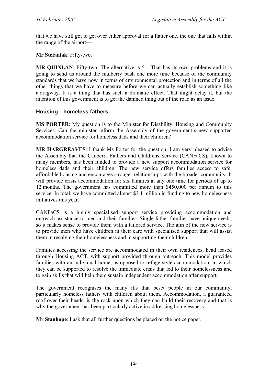that we have still got to get over either approval for a flatter one, the one that falls within the range of the airport—

**Mr Stefaniak**: Fifty-two.

**MR QUINLAN**: Fifty-two. The alternative is 51. That has its own problems and it is going to send us around the mulberry bush one more time because of the community standards that we have now in terms of environmental protection and in terms of all the other things that we have to measure before we can actually establish something like a dragway. It is a thing that has such a dramatic effect. That might delay it, but the intention of this government is to get the damned thing out of the road as an issue.

# **Housing—homeless fathers**

**MS PORTER**: My question is to the Minister for Disability, Housing and Community Services. Can the minister inform the Assembly of the government's new supported accommodation service for homeless dads and their children?

**MR HARGREAVES**: I thank Ms Porter for the question. I am very pleased to advise the Assembly that the Canberra Fathers and Childrens Service (CANFaCS), known to many members, has been funded to provide a new support accommodation service for homeless dads and their children. The new service offers families access to safe, affordable housing and encourages stronger relationships with the broader community. It will provide crisis accommodation for six families at any one time for periods of up to 12 months. The government has committed more than \$450,000 per annum to this service. In total, we have committed almost \$3.1 million in funding to new homelessness initiatives this year.

CANFaCS is a highly specialised support service providing accommodation and outreach assistance to men and their families. Single father families have unique needs, so it makes sense to provide them with a tailored service. The aim of the new service is to provide men who have children in their care with specialised support that will assist them in resolving their homelessness and in supporting their children.

Families accessing the service are accommodated in their own residences, head leased through Housing ACT, with support provided through outreach. This model provides families with an individual home, as opposed to refuge-style accommodation, in which they can be supported to resolve the immediate crisis that led to their homelessness and to gain skills that will help them sustain independent accommodation after support.

The government recognises the many ills that beset people in our community, particularly homeless fathers with children about them. Accommodation, a guaranteed roof over their heads, is the rock upon which they can build their recovery and that is why the government has been particularly active in addressing homelessness.

**Mr Stanhope**: I ask that all further questions be placed on the notice paper.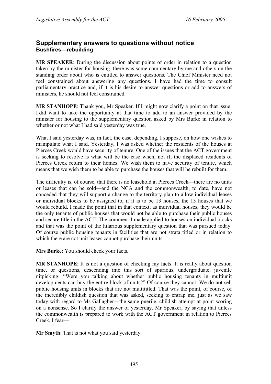# **Supplementary answers to questions without notice Bushfires—rebuilding**

**MR SPEAKER**: During the discussion about points of order in relation to a question taken by the minister for housing, there was some commentary by me and others on the standing order about who is entitled to answer questions. The Chief Minister need not feel constrained about answering any questions. I have had the time to consult parliamentary practice and, if it is his desire to answer questions or add to answers of ministers, he should not feel constrained.

**MR STANHOPE**: Thank you, Mr Speaker. If I might now clarify a point on that issue: I did want to take the opportunity at that time to add to an answer provided by the minister for housing to the supplementary question asked by Mrs Burke in relation to whether or not what I had said yesterday was true.

What I said yesterday was, in fact, the case, depending, I suppose, on how one wishes to manipulate what I said. Yesterday, I was asked whether the residents of the houses at Pierces Creek would have security of tenure. One of the issues that the ACT government is seeking to resolve is what will be the case when, not if, the displaced residents of Pierces Creek return to their homes. We wish them to have security of tenure, which means that we wish them to be able to purchase the houses that will be rebuilt for them.

The difficulty is, of course, that there is no leasehold at Pierces Creek—there are no units or leases that can be sold—and the NCA and the commonwealth, to date, have not conceded that they will support a change to the territory plan to allow individual leases or individual blocks to be assigned to, if it is to be 13 houses, the 13 houses that we would rebuild. I made the point that in that context, as individual houses, they would be the only tenants of public houses that would not be able to purchase their public houses and secure title in the ACT. The comment I made applied to houses on individual blocks and that was the point of the hilarious supplementary question that was pursued today. Of course public housing tenants in facilities that are not strata titled or in relation to which there are not unit leases cannot purchase their units.

**Mrs Burke**: You should check your facts.

**MR STANHOPE**: It is not a question of checking my facts. It is really about question time, or questions, descending into this sort of spurious, undergraduate, juvenile nitpicking: "Were you talking about whether public housing tenants in multiunit developments can buy the entire block of units?" Of course they cannot. We do not sell public housing units in blocks that are not multititled. That was the point, of course, of the incredibly childish question that was asked, seeking to entrap me, just as we saw today with regard to Ms Gallagher—the same puerile, childish attempt at point scoring on a nonsense. So I clarify the answer of yesterday, Mr Speaker, by saying that unless the commonwealth is prepared to work with the ACT government in relation to Pierces Creek, I fear—

**Mr Smyth**: That is not what you said yesterday.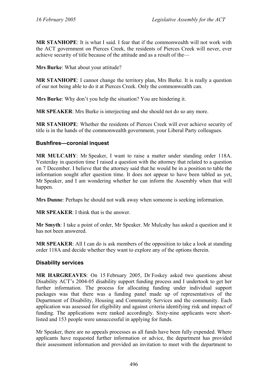**MR STANHOPE**: It is what I said. I fear that if the commonwealth will not work with the ACT government on Pierces Creek, the residents of Pierces Creek will never, ever achieve security of title because of the attitude and as a result of the—

**Mrs Burke**: What about your attitude?

**MR STANHOPE**: I cannot change the territory plan, Mrs Burke. It is really a question of our not being able to do it at Pierces Creek. Only the commonwealth can.

**Mrs Burke**: Why don't you help the situation? You are hindering it.

**MR SPEAKER**: Mrs Burke is interjecting and she should not do so any more.

**MR STANHOPE**: Whether the residents of Pierces Creek will ever achieve security of title is in the hands of the commonwealth government, your Liberal Party colleagues.

### **Bushfires—coronial inquest**

**MR MULCAHY**: Mr Speaker, I want to raise a matter under standing order 118A. Yesterday in question time I raised a question with the attorney that related to a question on 7 December. I believe that the attorney said that he would be in a position to table the information sought after question time. It does not appear to have been tabled as yet, Mr Speaker, and I am wondering whether he can inform the Assembly when that will happen.

**Mrs Dunne**: Perhaps he should not walk away when someone is seeking information.

**MR SPEAKER**: I think that is the answer.

**Mr Smyth**: I take a point of order, Mr Speaker. Mr Mulcahy has asked a question and it has not been answered.

**MR SPEAKER**: All I can do is ask members of the opposition to take a look at standing order 118A and decide whether they want to explore any of the options therein.

### **Disability services**

**MR HARGREAVES**: On 15 February 2005, Dr Foskey asked two questions about Disability ACT's 2004-05 disability support funding process and I undertook to get her further information. The process for allocating funding under individual support packages was that there was a funding panel made up of representatives of the Department of Disability, Housing and Community Services and the community. Each application was assessed for eligibility and against criteria identifying risk and impact of funding. The applications were ranked accordingly. Sixty-nine applicants were shortlisted and 153 people were unsuccessful in applying for funds.

Mr Speaker, there are no appeals processes as all funds have been fully expended. Where applicants have requested further information or advice, the department has provided their assessment information and provided an invitation to meet with the department to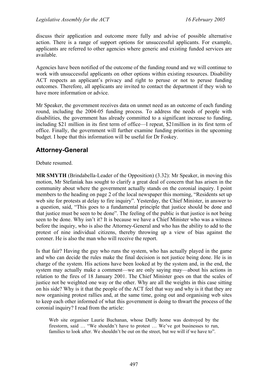discuss their application and outcome more fully and advise of possible alternative action. There is a range of support options for unsuccessful applicants. For example, applicants are referred to other agencies where generic and existing funded services are available.

Agencies have been notified of the outcome of the funding round and we will continue to work with unsuccessful applicants on other options within existing resources. Disability ACT respects an applicant's privacy and right to peruse or not to peruse funding outcomes. Therefore, all applicants are invited to contact the department if they wish to have more information or advice.

Mr Speaker, the government receives data on unmet need as an outcome of each funding round, including the 2004-05 funding process. To address the needs of people with disabilities, the government has already committed to a significant increase to funding, including \$21 million in its first term of office—I repeat, \$21million in its first term of office. Finally, the government will further examine funding priorities in the upcoming budget. I hope that this information will be useful for Dr Foskey.

# **Attorney-General**

Debate resumed.

**MR SMYTH** (Brindabella-Leader of the Opposition) (3.32): Mr Speaker, in moving this motion, Mr Stefaniak has sought to clarify a great deal of concern that has arisen in the community about where the government actually stands on the coronial inquiry. I point members to the heading on page 2 of the local newspaper this morning, "Residents set up web site for protests at delay to fire inquiry". Yesterday, the Chief Minister, in answer to a question, said, "This goes to a fundamental principle that justice should be done and that justice must be seen to be done". The feeling of the public is that justice is not being seen to be done. Why isn't it? It is because we have a Chief Minister who was a witness before the inquiry, who is also the Attorney-General and who has the ability to add to the protest of nine individual citizens, thereby throwing up a view of bias against the coroner. He is also the man who will receive the report.

Is that fair? Having the guy who runs the system, who has actually played in the game and who can decide the rules make the final decision is not justice being done. He is in charge of the system. His actions have been looked at by the system and, in the end, the system may actually make a comment—we are only saying may—about his actions in relation to the fires of 18 January 2001. The Chief Minister goes on that the scales of justice not be weighted one way or the other. Why are all the weights in this case sitting on his side? Why is it that the people of the ACT feel that way and why is it that they are now organising protest rallies and, at the same time, going out and organising web sites to keep each other informed of what this government is doing to thwart the process of the coronial inquiry? I read from the article:

Web site organiser Laurie Buchanan, whose Duffy home was destroyed by the firestorm, said … "We shouldn't have to protest … We've got businesses to run, families to look after. We shouldn't be out on the street, but we will if we have to".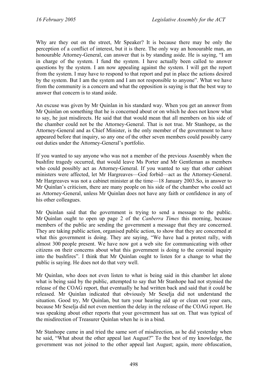Why are they out on the street, Mr Speaker? It is because there may be only the perception of a conflict of interest, but it is there. The only way an honourable man, an honourable Attorney-General, can answer that is by standing aside. He is saying, "I am in charge of the system. I fund the system. I have actually been called to answer questions by the system. I am now appealing against the system. I will get the report from the system. I may have to respond to that report and put in place the actions desired by the system. But I am the system and I am not responsible to anyone". What we have from the community is a concern and what the opposition is saying is that the best way to answer that concern is to stand aside.

An excuse was given by Mr Quinlan in his standard way. When you get an answer from Mr Quinlan on something that he is concerned about or on which he does not know what to say, he just misdirects. He said that that would mean that all members on his side of the chamber could not be the Attorney-General. That is not true. Mr Stanhope, as the Attorney-General and as Chief Minister, is the only member of the government to have appeared before that inquiry, so any one of the other seven members could possibly carry out duties under the Attorney-General's portfolio.

If you wanted to say anyone who was not a member of the previous Assembly when the bushfire tragedy occurred, that would leave Ms Porter and Mr Gentleman as members who could possibly act as Attorney-General. If you wanted to say that other cabinet ministers were affected, let Mr Hargreaves—God forbid—act as the Attorney-General. Mr Hargreaves was not a cabinet minister at the time—18 January 2003.So, in answer to Mr Quinlan's criticism, there are many people on his side of the chamber who could act as Attorney-General, unless Mr Quinlan does not have any faith or confidence in any of his other colleagues.

Mr Quinlan said that the government is trying to send a message to the public. Mr Quinlan ought to open up page 2 of the *Canberra Times* this morning, because members of the public are sending the government a message that they are concerned. They are taking public action, organised public action, to show that they are concerned at what this government is doing. They are saying, "We have had a protest rally, with almost 300 people present. We have now got a web site for communicating with other citizens on their concerns about what this government is doing to the coronial inquiry into the bushfires". I think that Mr Quinlan ought to listen for a change to what the public is saying. He does not do that very well.

Mr Quinlan, who does not even listen to what is being said in this chamber let alone what is being said by the public, attempted to say that Mr Stanhope had not stymied the release of the COAG report, that eventually he had written back and said that it could be released. Mr Quinlan indicated that obviously Mr Seselja did not understand the situation. Good try, Mr Quinlan, but turn your hearing aid up or clean out your ears, because Mr Seselja did not even mention the delay in the release of the COAG report. He was speaking about other reports that your government has sat on. That was typical of the misdirection of Treasurer Quinlan when he is in a bind.

Mr Stanhope came in and tried the same sort of misdirection, as he did yesterday when he said, "What about the other appeal last August?" To the best of my knowledge, the government was not joined to the other appeal last August; again, more obfuscation,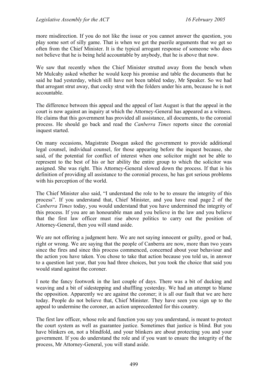more misdirection. If you do not like the issue or you cannot answer the question, you play some sort of silly game. That is when we get the puerile arguments that we get so often from the Chief Minister. It is the typical arrogant response of someone who does not believe that he is being held accountable by anybody, that he is above that now.

We saw that recently when the Chief Minister strutted away from the bench when Mr Mulcahy asked whether he would keep his promise and table the documents that he said he had yesterday, which still have not been tabled today, Mr Speaker. So we had that arrogant strut away, that cocky strut with the folders under his arm, because he is not accountable.

The difference between this appeal and the appeal of last August is that the appeal in the court is now against an inquiry at which the Attorney-General has appeared as a witness. He claims that this government has provided all assistance, all documents, to the coronial process. He should go back and read the *Canberra Times* reports since the coronial inquest started.

On many occasions, Magistrate Doogan asked the government to provide additional legal counsel, individual counsel, for those appearing before the inquest because, she said, of the potential for conflict of interest when one solicitor might not be able to represent to the best of his or her ability the entire group to which the solicitor was assigned. She was right. This Attorney-General slowed down the process. If that is his definition of providing all assistance to the coronial process, he has got serious problems with his perception of the world.

The Chief Minister also said, "I understand the role to be to ensure the integrity of this process". If you understand that, Chief Minister, and you have read page 2 of the *Canberra Times* today, you would understand that you have undermined the integrity of this process. If you are an honourable man and you believe in the law and you believe that the first law officer must rise above politics to carry out the position of Attorney-General, then you will stand aside.

We are not offering a judgment here. We are not saying innocent or guilty, good or bad, right or wrong. We are saying that the people of Canberra are now, more than two years since the fires and since this process commenced, concerned about your behaviour and the action you have taken. You chose to take that action because you told us, in answer to a question last year, that you had three choices, but you took the choice that said you would stand against the coroner.

I note the fancy footwork in the last couple of days. There was a bit of ducking and weaving and a bit of sidestepping and shuffling yesterday. We had an attempt to blame the opposition. Apparently we are against the coroner; it is all our fault that we are here today. People do not believe that, Chief Minister. They have seen you sign up to the appeal to undermine the coroner, an action unprecedented for this country.

The first law officer, whose role and function you say you understand, is meant to protect the court system as well as guarantee justice. Sometimes that justice is blind. But you have blinkers on, not a blindfold, and your blinkers are about protecting you and your government. If you do understand the role and if you want to ensure the integrity of the process, Mr Attorney-General, you will stand aside.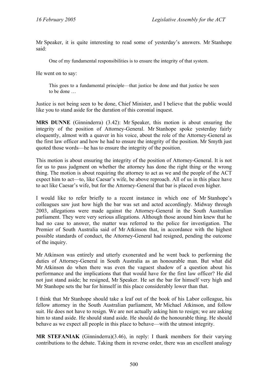Mr Speaker, it is quite interesting to read some of yesterday's answers. Mr Stanhope said:

One of my fundamental responsibilities is to ensure the integrity of that system.

He went on to say:

This goes to a fundamental principle—that justice be done and that justice be seen to be done …

Justice is not being seen to be done, Chief Minister, and I believe that the public would like you to stand aside for the duration of this coronial inquest.

**MRS DUNNE** (Ginninderra) (3.42): Mr Speaker, this motion is about ensuring the integrity of the position of Attorney-General. Mr Stanhope spoke yesterday fairly eloquently, almost with a quaver in his voice, about the role of the Attorney-General as the first law officer and how he had to ensure the integrity of the position. Mr Smyth just quoted those words—he has to ensure the integrity of the position.

This motion is about ensuring the integrity of the position of Attorney-General. It is not for us to pass judgment on whether the attorney has done the right thing or the wrong thing. The motion is about requiring the attorney to act as we and the people of the ACT expect him to act—to, like Caesar's wife, be above reproach. All of us in this place have to act like Caesar's wife, but for the Attorney-General that bar is placed even higher.

I would like to refer briefly to a recent instance in which one of Mr Stanhope's colleagues saw just how high the bar was set and acted accordingly. Midway through 2003, allegations were made against the Attorney-General in the South Australian parliament. They were very serious allegations. Although those around him knew that he had no case to answer, the matter was referred to the police for investigation. The Premier of South Australia said of Mr Atkinson that, in accordance with the highest possible standards of conduct, the Attorney-General had resigned, pending the outcome of the inquiry.

Mr Atkinson was entirely and utterly exonerated and he went back to performing the duties of Attorney-General in South Australia as an honourable man. But what did Mr Atkinson do when there was even the vaguest shadow of a question about his performance and the implications that that would have for the first law officer? He did not just stand aside; he resigned, Mr Speaker. He set the bar for himself very high and Mr Stanhope sets the bar for himself in this place considerably lower than that.

I think that Mr Stanhope should take a leaf out of the book of his Labor colleague, his fellow attorney in the South Australian parliament, Mr Michael Atkinson, and follow suit. He does not have to resign. We are not actually asking him to resign; we are asking him to stand aside. He should stand aside. He should do the honourable thing. He should behave as we expect all people in this place to behave—with the utmost integrity.

**MR STEFANIAK** (Ginninderra)(3.46), in reply: I thank members for their varying contributions to the debate. Taking them in reverse order, there was an excellent analogy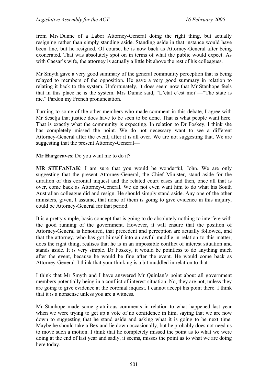from Mrs Dunne of a Labor Attorney-General doing the right thing, but actually resigning rather than simply standing aside. Standing aside in that instance would have been fine, but he resigned. Of course, he is now back as Attorney-General after being exonerated. That was absolutely spot on in terms of what the public would expect. As with Caesar's wife, the attorney is actually a little bit above the rest of his colleagues.

Mr Smyth gave a very good summary of the general community perception that is being relayed to members of the opposition. He gave a very good summary in relation to relating it back to the system. Unfortunately, it does seem now that Mr Stanhope feels that in this place he is the system. Mrs Dunne said, "L'etat c'est moi"—"The state is me." Pardon my French pronunciation.

Turning to some of the other members who made comment in this debate, I agree with Mr Seselja that justice does have to be seen to be done. That is what people want here. That is exactly what the community is expecting. In relation to Dr Foskey, I think she has completely missed the point. We do not necessary want to see a different Attorney-General after the event, after it is all over. We are not suggesting that. We are suggesting that the present Attorney-General—

**Mr Hargreaves**: Do you want me to do it?

**MR STEFANIAK**: I am sure that you would be wonderful, John. We are only suggesting that the present Attorney-General, the Chief Minister, stand aside for the duration of this coronial inquest and the related court cases and then, once all that is over, come back as Attorney-General. We do not even want him to do what his South Australian colleague did and resign. He should simply stand aside. Any one of the other ministers, given, I assume, that none of them is going to give evidence in this inquiry, could be Attorney-General for that period.

It is a pretty simple, basic concept that is going to do absolutely nothing to interfere with the good running of the government. However, it will ensure that the position of Attorney-General is honoured, that precedent and perception are actually followed, and that the attorney, who has got himself into an awful muddle in relation to this matter, does the right thing, realises that he is in an impossible conflict of interest situation and stands aside. It is very simple. Dr Foskey, it would be pointless to do anything much after the event, because he would be fine after the event. He would come back as Attorney-General. I think that your thinking is a bit muddled in relation to that.

I think that Mr Smyth and I have answered Mr Quinlan's point about all government members potentially being in a conflict of interest situation. No, they are not, unless they are going to give evidence at the coronial inquest. I cannot accept his point there. I think that it is a nonsense unless you are a witness.

Mr Stanhope made some gratuitous comments in relation to what happened last year when we were trying to get up a vote of no confidence in him, saying that we are now down to suggesting that he stand aside and asking what it is going to be next time. Maybe he should take a Bex and lie down occasionally, but he probably does not need us to move such a motion. I think that he completely missed the point as to what we were doing at the end of last year and sadly, it seems, misses the point as to what we are doing here today.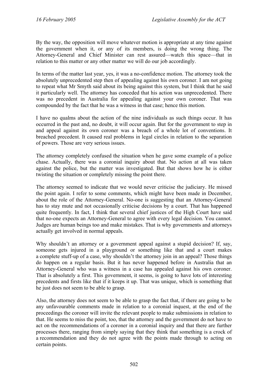By the way, the opposition will move whatever motion is appropriate at any time against the government when it, or any of its members, is doing the wrong thing. The Attorney-General and Chief Minister can rest assured—watch this space—that in relation to this matter or any other matter we will do our job accordingly.

In terms of the matter last year, yes, it was a no-confidence motion. The attorney took the absolutely unprecedented step then of appealing against his own coroner. I am not going to repeat what Mr Smyth said about its being against this system, but I think that he said it particularly well. The attorney has conceded that his action was unprecedented. There was no precedent in Australia for appealing against your own coroner. That was compounded by the fact that he was a witness in that case; hence this motion.

I have no qualms about the action of the nine individuals as such things occur. It has occurred in the past and, no doubt, it will occur again. But for the government to step in and appeal against its own coroner was a breach of a whole lot of conventions. It breached precedent. It caused real problems in legal circles in relation to the separation of powers. Those are very serious issues.

The attorney completely confused the situation when he gave some example of a police chase. Actually, there was a coronial inquiry about that. No action at all was taken against the police, but the matter was investigated. But that shows how he is either twisting the situation or completely missing the point there.

The attorney seemed to indicate that we would never criticise the judiciary. He missed the point again. I refer to some comments, which might have been made in December, about the role of the Attorney-General. No-one is suggesting that an Attorney-General has to stay mute and not occasionally criticise decisions by a court. That has happened quite frequently. In fact, I think that several chief justices of the High Court have said that no-one expects an Attorney-General to agree with every legal decision. You cannot. Judges are human beings too and make mistakes. That is why governments and attorneys actually get involved in normal appeals.

Why shouldn't an attorney or a government appeal against a stupid decision? If, say, someone gets injured in a playground or something like that and a court makes a complete stuff-up of a case, why shouldn't the attorney join in an appeal? Those things do happen on a regular basis. But it has never happened before in Australia that an Attorney-General who was a witness in a case has appealed against his own coroner. That is absolutely a first. This government, it seems, is going to have lots of interesting precedents and firsts like that if it keeps it up. That was unique, which is something that he just does not seem to be able to grasp.

Also, the attorney does not seem to be able to grasp the fact that, if there are going to be any unfavourable comments made in relation to a coronial inquest, at the end of the proceedings the coroner will invite the relevant people to make submissions in relation to that. He seems to miss the point, too, that the attorney and the government do not have to act on the recommendations of a coroner in a coronial inquiry and that there are further processes there, ranging from simply saying that they think that something is a crock of a recommendation and they do not agree with the points made through to acting on certain points.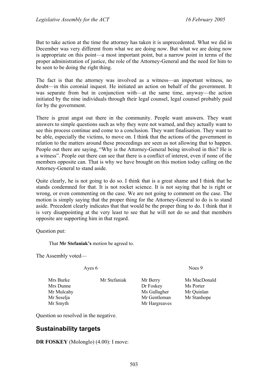But to take action at the time the attorney has taken it is unprecedented. What we did in December was very different from what we are doing now. But what we are doing now is appropriate on this point—a most important point, but a narrow point in terms of the proper administration of justice, the role of the Attorney-General and the need for him to be seen to be doing the right thing.

The fact is that the attorney was involved as a witness—an important witness, no doubt—in this coronial inquest. He initiated an action on behalf of the government. It was separate from but in conjunction with—at the same time, anyway—the action initiated by the nine individuals through their legal counsel, legal counsel probably paid for by the government.

There is great angst out there in the community. People want answers. They want answers to simple questions such as why they were not warned, and they actually want to see this process continue and come to a conclusion. They want finalisation. They want to be able, especially the victims, to move on. I think that the actions of the government in relation to the matters around these proceedings are seen as not allowing that to happen. People out there are saying, "Why is the Attorney-General being involved in this? He is a witness". People out there can see that there is a conflict of interest, even if none of the members opposite can. That is why we have brought on this motion today calling on the Attorney-General to stand aside.

Quite clearly, he is not going to do so. I think that is a great shame and I think that he stands condemned for that. It is not rocket science. It is not saying that he is right or wrong, or even commenting on the case. We are not going to comment on the case. The motion is simply saying that the proper thing for the Attorney-General to do is to stand aside. Precedent clearly indicates that that would be the proper thing to do. I think that it is very disappointing at the very least to see that he will not do so and that members opposite are supporting him in that regard.

Question put:

That **Mr Stefaniak's** motion be agreed to.

The Assembly voted—

Mrs Burke Mr Stefaniak Mr Berry Ms MacDonald Mrs Dunne Dr Foskey Ms Porter Mr Mulcahy Ms Gallagher Mr Quinlan Mr Seselja Mr Gentleman Mr Stanhope Mr Smyth Mr Hargreaves

Ayes 6 Noes 9

Question so resolved in the negative.

# **Sustainability targets**

**DR FOSKEY** (Molonglo) (4.00): I move: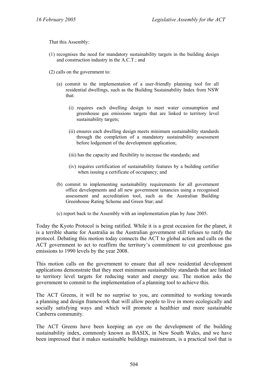That this Assembly:

(1) recognises the need for mandatory sustainability targets in the building design and construction industry in the A.C.T.; and

(2) calls on the government to:

- (a) commit to the implementation of a user-friendly planning tool for all residential dwellings, such as the Building Sustainability Index from NSW that:
	- (i) requires each dwelling design to meet water consumption and greenhouse gas emissions targets that are linked to territory level sustainability targets;
	- (ii) ensures each dwelling design meets minimum sustainability standards through the completion of a mandatory sustainability assessment before lodgement of the development application;
	- (iii) has the capacity and flexibility to increase the standards; and
	- (iv) requires certification of sustainability features by a building certifier when issuing a certificate of occupancy; and
- (b) commit to implementing sustainability requirements for all government office developments and all new government tenancies using a recognised assessment and accreditation tool, such as the Australian Building Greenhouse Rating Scheme and Green Star; and
- (c) report back to the Assembly with an implementation plan by June 2005.

Today the Kyoto Protocol is being ratified. While it is a great occasion for the planet, it is a terrible shame for Australia as the Australian government still refuses to ratify the protocol. Debating this motion today connects the ACT to global action and calls on the ACT government to act to reaffirm the territory's commitment to cut greenhouse gas emissions to 1990 levels by the year 2008.

This motion calls on the government to ensure that all new residential development applications demonstrate that they meet minimum sustainability standards that are linked to territory level targets for reducing water and energy use. The motion asks the government to commit to the implementation of a planning tool to achieve this.

The ACT Greens, it will be no surprise to you, are committed to working towards a planning and design framework that will allow people to live in more ecologically and socially satisfying ways and which will promote a healthier and more sustainable Canberra community.

The ACT Greens have been keeping an eye on the development of the building sustainability index, commonly known as BASIX, in New South Wales, and we have been impressed that it makes sustainable buildings mainstream, is a practical tool that is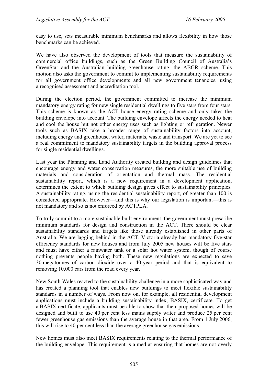easy to use, sets measurable minimum benchmarks and allows flexibility in how those benchmarks can be achieved.

We have also observed the development of tools that measure the sustainability of commercial office buildings, such as the Green Building Council of Australia's GreenStar and the Australian building greenhouse rating, the ABGR scheme. This motion also asks the government to commit to implementing sustainability requirements for all government office developments and all new government tenancies, using a recognised assessment and accreditation tool.

During the election period, the government committed to increase the minimum mandatory energy rating for new single residential dwellings to five stars from four stars. This scheme is known as the ACT house energy rating scheme and only takes the building envelope into account. The building envelope affects the energy needed to heat and cool the house but not other energy uses such as lighting or refrigeration. Newer tools such as BASIX take a broader range of sustainability factors into account, including energy and greenhouse, water, materials, waste and transport. We are yet to see a real commitment to mandatory sustainability targets in the building approval process for single residential dwellings.

Last year the Planning and Land Authority created building and design guidelines that encourage energy and water conservation measures, the more suitable use of building materials and consideration of orientation and thermal mass. The residential sustainability report, which is a new requirement in a development application, determines the extent to which building design gives effect to sustainability principles. A sustainability rating, using the residential sustainability report, of greater than 100 is considered appropriate. However—and this is why our legislation is important—this is not mandatory and so is not enforced by ACTPLA.

To truly commit to a more sustainable built environment, the government must prescribe minimum standards for design and construction in the ACT. There should be clear sustainability standards and targets like those already established in other parts of Australia. We are lagging behind in the ACT. Victoria already has mandatory five-star efficiency standards for new houses and from July 2005 new houses will be five stars and must have either a rainwater tank or a solar hot water system, though of course nothing prevents people having both. These new regulations are expected to save 30 megatonnes of carbon dioxide over a 40-year period and that is equivalent to removing 10,000 cars from the road every year.

New South Wales reacted to the sustainability challenge in a more sophisticated way and has created a planning tool that enables new buildings to meet flexible sustainability standards in a number of ways. From now on, for example, all residential development applications must include a building sustainability index, BASIX, certificate. To get a BASIX certificate, applicants must be able to show that their proposed homes will be designed and built to use 40 per cent less mains supply water and produce 25 per cent fewer greenhouse gas emissions than the average house in that area. From 1 July 2006, this will rise to 40 per cent less than the average greenhouse gas emissions.

New homes must also meet BASIX requirements relating to the thermal performance of the building envelope. This requirement is aimed at ensuring that homes are not overly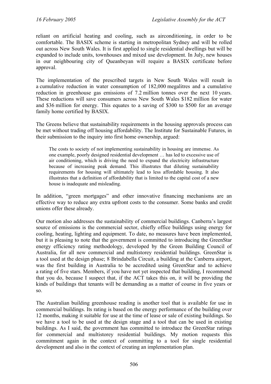reliant on artificial heating and cooling, such as airconditioning, in order to be comfortable. The BASIX scheme is starting in metropolitan Sydney and will be rolled out across New South Wales. It is first applied to single residential dwellings but will be expanded to include units, townhouses and mixed use development. In July, new houses in our neighbouring city of Queanbeyan will require a BASIX certificate before approval.

The implementation of the prescribed targets in New South Wales will result in a cumulative reduction in water consumption of 182,000 megalitres and a cumulative reduction in greenhouse gas emissions of 7.2 million tonnes over the next 10 years. These reductions will save consumers across New South Wales \$182 million for water and \$36 million for energy. This equates to a saving of \$300 to \$500 for an average family home certified by BASIX.

The Greens believe that sustainability requirements in the housing approvals process can be met without trading off housing affordability. The Institute for Sustainable Futures, in their submission to the inquiry into first home ownership, argued:

The costs to society of not implementing sustainability in housing are immense. As one example, poorly designed residential development … has led to excessive use of air conditioning, which is driving the need to expand the electricity infrastructure because of increasing peak demand. This illustrates that diluting sustainability requirements for housing will ultimately lead to less affordable housing. It also illustrates that a definition of affordability that is limited to the capital cost of a new house is inadequate and misleading.

In addition, "green mortgages" and other innovative financing mechanisms are an effective way to reduce any extra upfront costs to the consumer. Some banks and credit unions offer these already.

Our motion also addresses the sustainability of commercial buildings. Canberra's largest source of emissions is the commercial sector, chiefly office buildings using energy for cooling, heating, lighting and equipment. To date, no measures have been implemented, but it is pleasing to note that the government is committed to introducing the GreenStar energy efficiency rating methodology, developed by the Green Building Council of Australia, for all new commercial and multistorey residential buildings. GreenStar is a tool used at the design phase; 8 Brindabella Circuit, a building at the Canberra airport, was the first building in Australia to be accredited using GreenStar and to achieve a rating of five stars. Members, if you have not yet inspected that building, I recommend that you do, because I suspect that, if the ACT takes this on, it will be providing the kinds of buildings that tenants will be demanding as a matter of course in five years or so.

The Australian building greenhouse reading is another tool that is available for use in commercial buildings. Its rating is based on the energy performance of the building over 12 months, making it suitable for use at the time of lease or sale of existing buildings. So we have a tool to be used at the design stage and a tool that can be used in existing buildings. As I said, the government has committed to introduce the GreenStar ratings for commercial and multistorey residential buildings. My motion requests this commitment again in the context of committing to a tool for single residential development and also in the context of creating an implementation plan.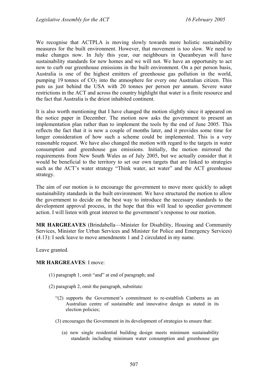We recognise that ACTPLA is moving slowly towards more holistic sustainability measures for the built environment. However, that movement is too slow. We need to make changes now. In July this year, our neighbours in Queanbeyan will have sustainability standards for new homes and we will not. We have an opportunity to act now to curb our greenhouse emissions in the built environment. On a per person basis, Australia is one of the highest emitters of greenhouse gas pollution in the world, pumping 19 tonnes of  $CO<sub>2</sub>$  into the atmosphere for every one Australian citizen. This puts us just behind the USA with 20 tonnes per person per annum. Severe water restrictions in the ACT and across the country highlight that water is a finite resource and the fact that Australia is the driest inhabited continent.

It is also worth mentioning that I have changed the motion slightly since it appeared on the notice paper in December. The motion now asks the government to present an implementation plan rather than to implement the tools by the end of June 2005. This reflects the fact that it is now a couple of months later, and it provides some time for longer consideration of how such a scheme could be implemented. This is a very reasonable request. We have also changed the motion with regard to the targets in water consumption and greenhouse gas emissions. Initially, the motion mirrored the requirements from New South Wales as of July 2005, but we actually consider that it would be beneficial to the territory to set our own targets that are linked to strategies such as the ACT's water strategy "Think water, act water" and the ACT greenhouse strategy.

The aim of our motion is to encourage the government to move more quickly to adopt sustainability standards in the built environment. We have structured the motion to allow the government to decide on the best way to introduce the necessary standards to the development approval process, in the hope that this will lead to speedier government action. I will listen with great interest to the government's response to our motion.

**MR HARGREAVES** (Brindabella—Minister for Disability, Housing and Community Services, Minister for Urban Services and Minister for Police and Emergency Services) (4.13): I seek leave to move amendments 1 and 2 circulated in my name.

Leave granted.

#### **MR HARGREAVES**: I move:

- (1) paragraph 1, omit "and" at end of paragraph; and
- (2) paragraph 2, omit the paragraph, substitute:
	- "(2) supports the Government's commitment to re-establish Canberra as an Australian centre of sustainable and innovative design as stated in its election policies;
	- (3) encourages the Government in its development of strategies to ensure that:
		- (a) new single residential building design meets minimum sustainability standards including minimum water consumption and greenhouse gas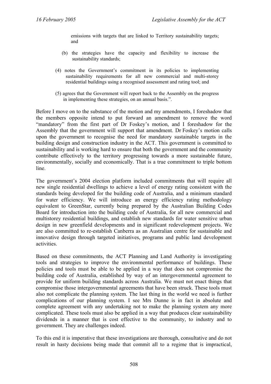emissions with targets that are linked to Territory sustainability targets; and

- (b) the strategies have the capacity and flexibility to increase the sustainability standards;
- (4) notes the Government's commitment in its policies to implementing sustainability requirements for all new commercial and multi-storey residential buildings using a recognised assessment and rating tool; and
- (5) agrees that the Government will report back to the Assembly on the progress in implementing these strategies, on an annual basis.".

Before I move on to the substance of the motion and my amendments, I foreshadow that the members opposite intend to put forward an amendment to remove the word "mandatory" from the first part of Dr Foskey's motion, and I foreshadow for the Assembly that the government will support that amendment. Dr Foskey's motion calls upon the government to recognise the need for mandatory sustainable targets in the building design and construction industry in the ACT. This government is committed to sustainability and is working hard to ensure that both the government and the community contribute effectively to the territory progressing towards a more sustainable future, environmentally, socially and economically. That is a true commitment to triple bottom line.

The government's 2004 election platform included commitments that will require all new single residential dwellings to achieve a level of energy rating consistent with the standards being developed for the building code of Australia, and a minimum standard for water efficiency. We will introduce an energy efficiency rating methodology equivalent to GreenStar, currently being prepared by the Australian Building Codes Board for introduction into the building code of Australia, for all new commercial and multistorey residential buildings, and establish new standards for water sensitive urban design in new greenfield developments and in significant redevelopment projects. We are also committed to re-establish Canberra as an Australian centre for sustainable and innovative design through targeted initiatives, programs and public land development activities.

Based on these commitments, the ACT Planning and Land Authority is investigating tools and strategies to improve the environmental performance of buildings. These policies and tools must be able to be applied in a way that does not compromise the building code of Australia, established by way of an intergovernmental agreement to provide for uniform building standards across Australia. We must not enact things that compromise those intergovernmental agreements that have been struck. These tools must also not complicate the planning system. The last thing in the world we need is further complications of our planning system. I see Mrs Dunne is in fact in absolute and complete agreement with any undertaking not to make the planning system any more complicated. These tools must also be applied in a way that produces clear sustainability dividends in a manner that is cost effective to the community, to industry and to government. They are challenges indeed.

To this end it is imperative that these investigations are thorough, consultative and do not result in hasty decisions being made that commit all to a regime that is impractical,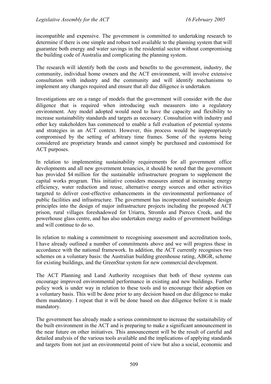incompatible and expensive. The government is committed to undertaking research to determine if there is one simple and robust tool available to the planning system that will guarantee both energy and water savings in the residential sector without compromising the building code of Australia and complicating the planning system.

The research will identify both the costs and benefits to the government, industry, the community, individual home owners and the ACT environment, will involve extensive consultation with industry and the community and will identify mechanisms to implement any changes required and ensure that all due diligence is undertaken.

Investigations are on a range of models that the government will consider with the due diligence that is required when introducing such measurers into a regulatory environment. Any model adopted would need to have the capacity and flexibility to increase sustainability standards and targets as necessary. Consultation with industry and other key stakeholders has commenced to enable a full evaluation of potential systems and strategies in an ACT context. However, this process would be inappropriately compromised by the setting of arbitrary time frames. Some of the systems being considered are proprietary brands and cannot simply be purchased and customised for ACT purposes.

In relation to implementing sustainability requirements for all government office developments and all new government tenancies, it should be noted that the government has provided \$4 million for the sustainable infrastructure program to supplement the capital works program. This initiative considers measures aimed at increasing energy efficiency, water reduction and reuse, alternative energy sources and other activities targeted to deliver cost-effective enhancements in the environmental performance of public facilities and infrastructure. The government has incorporated sustainable design principles into the design of major infrastructure projects including the proposed ACT prison, rural villages foreshadowed for Uriarra, Stromlo and Pierces Creek, and the powerhouse glass centre, and has also undertaken energy audits of government buildings and will continue to do so.

In relation to making a commitment to recognising assessment and accreditation tools, I have already outlined a number of commitments above and we will progress these in accordance with the national framework. In addition, the ACT currently recognises two schemes on a voluntary basis: the Australian building greenhouse rating, ABGR, scheme for existing buildings, and the GreenStar system for new commercial development.

The ACT Planning and Land Authority recognises that both of these systems can encourage improved environmental performance in existing and new buildings. Further policy work is under way in relation to these tools and to encourage their adoption on a voluntary basis. This will be done prior to any decision based on due diligence to make them mandatory. I repeat that it will be done based on due diligence before it is made mandatory.

The government has already made a serious commitment to increase the sustainability of the built environment in the ACT and is preparing to make a significant announcement in the near future on other initiatives. This announcement will be the result of careful and detailed analysis of the various tools available and the implications of applying standards and targets from not just an environmental point of view but also a social, economic and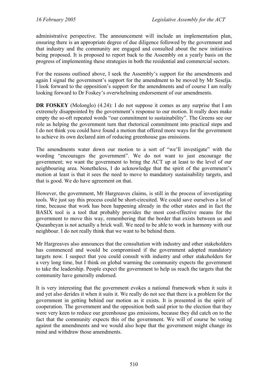administrative perspective. The announcement will include an implementation plan, ensuring there is an appropriate degree of due diligence followed by the government and that industry and the community are engaged and consulted about the new initiatives being proposed. It is proposed to report back to the Assembly on a yearly basis on the progress of implementing these strategies in both the residential and commercial sectors.

For the reasons outlined above, I seek the Assembly's support for the amendments and again I signal the government's support for the amendment to be moved by Mr Seselja. I look forward to the opposition's support for the amendments and of course I am really looking forward to Dr Foskey's overwhelming endorsement of our amendments.

**DR FOSKEY** (Molonglo) (4.24): I do not suppose it comes as any surprise that I am extremely disappointed by the government's response to our motion. It really does make empty the so-oft repeated words "our commitment to sustainability". The Greens see our role as helping the government turn that rhetorical commitment into practical steps and I do not think you could have found a motion that offered more ways for the government to achieve its own declared aim of reducing greenhouse gas emissions.

The amendments water down our motion to a sort of "we'll investigate" with the wording "encourages the government". We do not want to just encourage the government; we want the government to bring the ACT up at least to the level of our neighbouring area. Nonetheless, I do acknowledge that the spirit of the government's motion at least is that it sees the need to move to mandatory sustainability targets, and that is good. We do have agreement on that.

However, the government, Mr Hargreaves claims, is still in the process of investigating tools. We just say this process could be short-circuited. We could save ourselves a lot of time, because that work has been happening already in the other states and in fact the BASIX tool is a tool that probably provides the most cost-effective means for the government to move this way, remembering that the border that exists between us and Queanbeyan is not actually a brick wall. We need to be able to work in harmony with our neighbour. I do not really think that we want to be behind them.

Mr Hargreaves also announces that the consultation with industry and other stakeholders has commenced and would be compromised if the government adopted mandatory targets now. I suspect that you could consult with industry and other stakeholders for a very long time, but I think on global warming the community expects the government to take the leadership. People expect the government to help us reach the targets that the community have generally endorsed.

It is very interesting that the government evokes a national framework when it suits it and yet also derides it when it suits it. We really do not see that there is a problem for the government in getting behind our motion as it exists. It is presented in the spirit of cooperation. The government and the opposition both said prior to the election that they were very keen to reduce our greenhouse gas emissions, because they did catch on to the fact that the community expects this of the government. We will of course be voting against the amendments and we would also hope that the government might change its mind and withdraw those amendments.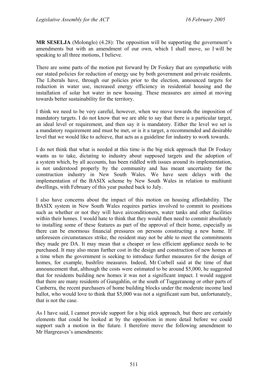**MR SESELJA** (Molonglo) (4.28): The opposition will be supporting the government's amendments but with an amendment of our own, which I shall move, so I will be speaking to all three motions, I believe.

There are some parts of the motion put forward by Dr Foskey that are sympathetic with our stated policies for reduction of energy use by both government and private residents. The Liberals have, through our policies prior to the election, announced targets for reduction in water use, increased energy efficiency in residential housing and the installation of solar hot water in new housing. These measures are aimed at moving towards better sustainability for the territory.

I think we need to be very careful, however, when we move towards the imposition of mandatory targets. I do not know that we are able to say that there is a particular target, an ideal level or requirement, and then say it is mandatory. Either the level we set is a mandatory requirement and must be met, or is it a target, a recommended and desirable level that we would like to achieve, that acts as a guideline for industry to work towards.

I do not think that what is needed at this time is the big stick approach that Dr Foskey wants us to take, dictating to industry about supposed targets and the adoption of a system which, by all accounts, has been riddled with issues around its implementation, is not understood properly by the community and has meant uncertainty for the construction industry in New South Wales. We have seen delays with the implementation of the BASIX scheme by New South Wales in relation to multiunit dwellings, with February of this year pushed back to July.

I also have concerns about the impact of this motion on housing affordability. The BASIX system in New South Wales requires parties involved to commit to positions such as whether or not they will have airconditioners, water tanks and other facilities within their homes. I would hate to think that they would then need to commit absolutely to installing some of these features as part of the approval of their home, especially as there can be enormous financial pressures on persons constructing a new home. If unforeseen circumstances strike, the resident may not be able to meet the commitments they made pre DA. It may mean that a cheaper or less efficient appliance needs to be purchased. It may also mean further cost in the design and construction of new homes at a time when the government is seeking to introduce further measures for the design of homes, for example, bushfire measures. Indeed, Mr Corbell said at the time of that announcement that, although the costs were estimated to be around \$5,000, he suggested that for residents building new homes it was not a significant impact. I would suggest that there are many residents of Gungahlin, or the south of Tuggeranong or other parts of Canberra, the recent purchasers of home building blocks under the moderate income land ballot, who would love to think that \$5,000 was not a significant sum but, unfortunately, that is not the case.

As I have said, I cannot provide support for a big stick approach, but there are certainly elements that could be looked at by the opposition in more detail before we could support such a motion in the future. I therefore move the following amendment to Mr Hargreaves's amendments: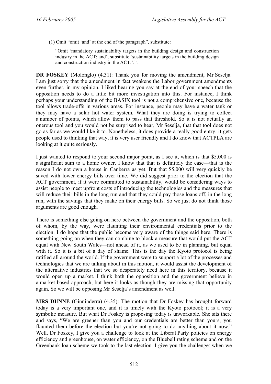(1) Omit "omit 'and' at the end of the paragraph", substitute:

"Omit 'mandatory sustainability targets in the building design and construction industry in the ACT; and', substitute 'sustainability targets in the building design and construction industry in the ACT.'.".

**DR FOSKEY** (Molonglo) (4.31): Thank you for moving the amendment, Mr Seselja. I am just sorry that the amendment in fact weakens the Labor government amendments even further, in my opinion. I liked hearing you say at the end of your speech that the opposition needs to do a little bit more investigation into this. For instance, I think perhaps your understanding of the BASIX tool is not a comprehensive one, because the tool allows trade-offs in various areas. For instance, people may have a water tank or they may have a solar hot water system. What they are doing is trying to collect a number of points, which allow them to pass that threshold. So it is not actually an onerous tool and you would not be surprised to hear, Mr Seselja, that that tool does not go as far as we would like it to. Nonetheless, it does provide a really good entry, it gets people used to thinking that way, it is very user friendly and I do know that ACTPLA are looking at it quite seriously.

I just wanted to respond to your second major point, as I see it, which is that \$5,000 is a significant sum to a home owner. I know that that is definitely the case—that is the reason I do not own a house in Canberra as yet. But that \$5,000 will very quickly be saved with lower energy bills over time. We did suggest prior to the election that the ACT government, if it were committed to sustainability, would be considering ways to assist people to meet upfront costs of introducing the technologies and the measures that will reduce their bills in the long run and that they could pay those loans off, in the long run, with the savings that they make on their energy bills. So we just do not think those arguments are good enough.

There is something else going on here between the government and the opposition, both of whom, by the way, were flaunting their environmental credentials prior to the election. I do hope that the public become very aware of the things said here. There is something going on when they can combine to block a measure that would put the ACT equal with New South Wales—not ahead of it, as we used to be in planning, but equal with it. So it is a bit of a day of shame. This is the day the Kyoto protocol is being ratified all around the world. If the government were to support a lot of the processes and technologies that we are talking about in this motion, it would assist the development of the alternative industries that we so desperately need here in this territory, because it would open up a market. I think both the opposition and the government believe in a market based approach, but here it looks as though they are missing that opportunity again. So we will be opposing Mr Seselja's amendment as well.

**MRS DUNNE** (Ginninderra) (4.35): The motion that Dr Foskey has brought forward today is a very important one, and it is timely with the Kyoto protocol; it is a very symbolic measure. But what Dr Foskey is proposing today is unworkable. She sits there and says, "We are greener than you and our credentials are better than yours; you flaunted them before the election but you're not going to do anything about it now." Well, Dr Foskey, I give you a challenge to look at the Liberal Party policies on energy efficiency and greenhouse, on water efficiency, on the Bluebell rating scheme and on the Greenbank loan scheme we took to the last election. I give you the challenge: when we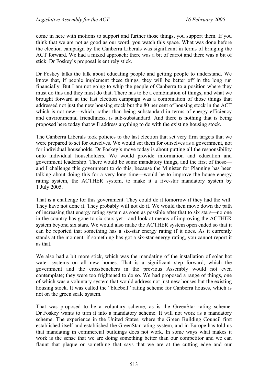come in here with motions to support and further those things, you support them. If you think that we are not as good as our word, you watch this space. What was done before the election campaign by the Canberra Liberals was significant in terms of bringing the ACT forward. We had a mixed approach; there was a bit of carrot and there was a bit of stick. Dr Foskey's proposal is entirely stick.

Dr Foskey talks the talk about educating people and getting people to understand. We know that, if people implement these things, they will be better off in the long run financially. But I am not going to whip the people of Canberra to a position where they must do this and they must do that. There has to be a combination of things, and what we brought forward at the last election campaign was a combination of those things that addressed not just the new housing stock but the 80 per cent of housing stock in the ACT which is not new—which, rather than being substandard in terms of energy efficiency and environmental friendliness, is sub-substandard. And there is nothing that is being proposed here today that will address anything to do with the existing housing stock.

The Canberra Liberals took policies to the last election that set very firm targets that we were prepared to set for ourselves. We would set them for ourselves as a government, not for individual households. Dr Foskey's move today is about putting all the responsibility onto individual householders. We would provide information and education and government leadership. There would be some mandatory things, and the first of those and I challenge this government to do this, because the Minister for Planning has been talking about doing this for a very long time—would be to improve the house energy rating system, the ACTHER system, to make it a five-star mandatory system by 1 July 2005.

That is a challenge for this government. They could do it tomorrow if they had the will. They have not done it. They probably will not do it. We would then move down the path of increasing that energy rating system as soon as possible after that to six stars—no one in the country has gone to six stars yet—and look at means of improving the ACTHER system beyond six stars. We would also make the ACTHER system open ended so that it can be reported that something has a six-star energy rating if it does. As it currently stands at the moment, if something has got a six-star energy rating, you cannot report it as that.

We also had a bit more stick, which was the mandating of the installation of solar hot water systems on all new homes. That is a significant step forward, which the government and the crossbenchers in the previous Assembly would not even contemplate; they were too frightened to do so. We had proposed a range of things, one of which was a voluntary system that would address not just new houses but the existing housing stock. It was called the "bluebell" rating scheme for Canberra houses, which is not on the green scale system.

That was proposed to be a voluntary scheme, as is the GreenStar rating scheme. Dr Foskey wants to turn it into a mandatory scheme. It will not work as a mandatory scheme. The experience in the United States, where the Green Building Council first established itself and established the GreenStar rating system, and in Europe has told us that mandating in commercial buildings does not work. In some ways what makes it work is the sense that we are doing something better than our competitor and we can flaunt that plaque or something that says that we are at the cutting edge and our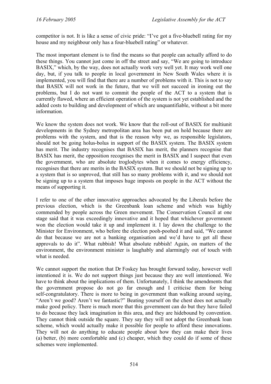competitor is not. It is like a sense of civic pride: "I've got a five-bluebell rating for my house and my neighbour only has a four-bluebell rating" or whatever.

The most important element is to find the means so that people can actually afford to do these things. You cannot just come in off the street and say, "We are going to introduce BASIX," which, by the way, does not actually work very well yet. It may work well one day, but, if you talk to people in local government in New South Wales where it is implemented, you will find that there are a number of problems with it. This is not to say that BASIX will not work in the future, that we will not succeed in ironing out the problems, but I do not want to commit the people of the ACT to a system that is currently flawed, where an efficient operation of the system is not yet established and the added costs to building and development of which are unquantifiable, without a bit more information.

We know the system does not work. We know that the roll-out of BASIX for multiunit developments in the Sydney metropolitan area has been put on hold because there are problems with the system, and that is the reason why we, as responsible legislators, should not be going holus-bolus in support of the BASIX system. The BASIX system has merit. The industry recognises that BASIX has merit, the planners recognise that BASIX has merit, the opposition recognises the merit in BASIX and I suspect that even the government, who are absolute troglodytes when it comes to energy efficiency, recognises that there are merits in the BASIX system. But we should not be signing up to a system that is so unproved, that still has so many problems with it, and we should not be signing up to a system that imposes huge imposts on people in the ACT without the means of supporting it.

I refer to one of the other innovative approaches advocated by the Liberals before the previous election, which is the Greenbank loan scheme and which was highly commended by people across the Green movement. The Conservation Council at one stage said that it was exceedingly innovative and it hoped that whichever government won the election would take it up and implement it. I lay down the challenge to the Minister for Environment, who before the election pooh-poohed it and said, "We cannot do that because we are not a banking organisation and we'd have to get all these approvals to do it". What rubbish! What absolute rubbish! Again, on matters of the environment, the environment minister is laughably and alarmingly out of touch with what is needed.

We cannot support the motion that Dr Foskey has brought forward today, however well intentioned it is. We do not support things just because they are well intentioned. We have to think about the implications of them. Unfortunately, I think the amendments that the government propose do not go far enough and I criticise them for being self-congratulatory. There is more to being in government than walking around saying, "Aren't we good? Aren't we fantastic?" Beating yourself on the chest does not actually make good policy. There is much more that this government can do but they have failed to do because they lack imagination in this area, and they are hidebound by convention. They cannot think outside the square. They say they will not adopt the Greenbank loan scheme, which would actually make it possible for people to afford these innovations. They will not do anything to educate people about how they can make their lives (a) better, (b) more comfortable and (c) cheaper, which they could do if some of these schemes were implemented.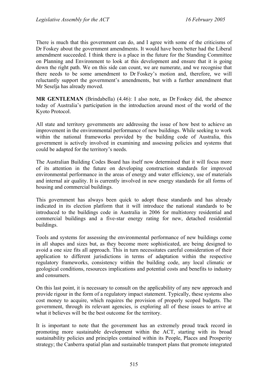There is much that this government can do, and I agree with some of the criticisms of Dr Foskey about the government amendments. It would have been better had the Liberal amendment succeeded. I think there is a place in the future for the Standing Committee on Planning and Environment to look at this development and ensure that it is going down the right path. We on this side can count, we are numerate, and we recognise that there needs to be some amendment to Dr Foskey's motion and, therefore, we will reluctantly support the government's amendments, but with a further amendment that Mr Seselja has already moved.

**MR GENTLEMAN** (Brindabella) (4.46): I also note, as Dr Foskey did, the absence today of Australia's participation in the introduction around most of the world of the Kyoto Protocol.

All state and territory governments are addressing the issue of how best to achieve an improvement in the environmental performance of new buildings. While seeking to work within the national frameworks provided by the building code of Australia, this government is actively involved in examining and assessing policies and systems that could be adapted for the territory's needs.

The Australian Building Codes Board has itself now determined that it will focus more of its attention in the future on developing construction standards for improved environmental performance in the areas of energy and water efficiency, use of materials and internal air quality. It is currently involved in new energy standards for all forms of housing and commercial buildings.

This government has always been quick to adopt these standards and has already indicated in its election platform that it will introduce the national standards to be introduced to the buildings code in Australia in 2006 for multistorey residential and commercial buildings and a five-star energy rating for new, detached residential buildings.

Tools and systems for assessing the environmental performance of new buildings come in all shapes and sizes but, as they become more sophisticated, are being designed to avoid a one size fits all approach. This in turn necessitates careful consideration of their application to different jurisdictions in terms of adaptation within the respective regulatory frameworks, consistency within the building code, any local climatic or geological conditions, resources implications and potential costs and benefits to industry and consumers.

On this last point, it is necessary to consult on the applicability of any new approach and provide rigour in the form of a regulatory impact statement. Typically, these systems also cost money to acquire, which requires the provision of properly scoped budgets. The government, through its relevant agencies, is exploring all of these issues to arrive at what it believes will be the best outcome for the territory.

It is important to note that the government has an extremely proud track record in promoting more sustainable development within the ACT, starting with its broad sustainability policies and principles contained within its People, Places and Prosperity strategy; the Canberra spatial plan and sustainable transport plans that promote integrated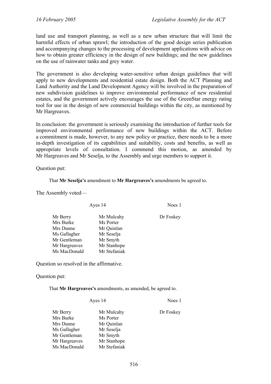land use and transport planning, as well as a new urban structure that will limit the harmful effects of urban sprawl; the introduction of the good design series publication and accompanying changes to the processing of development applications with advice on how to obtain greater efficiency in the design of new buildings; and the new guidelines on the use of rainwater tanks and grey water.

The government is also developing water-sensitive urban design guidelines that will apply to new developments and residential estate design. Both the ACT Planning and Land Authority and the Land Development Agency will be involved in the preparation of new subdivision guidelines to improve environmental performance of new residential estates, and the government actively encourages the use of the GreenStar energy rating tool for use in the design of new commercial buildings within the city, as mentioned by Mr Hargreaves.

In conclusion: the government is seriously examining the introduction of further tools for improved environmental performance of new buildings within the ACT. Before a commitment is made, however, to any new policy or practice, there needs to be a more in-depth investigation of its capabilities and suitability, costs and benefits, as well as appropriate levels of consultation. I commend this motion, as amended by Mr Hargreaves and Mr Seselja, to the Assembly and urge members to support it.

Question put:

That **Mr Seselja's** amendment to **Mr Hargreaves's** amendments be agreed to.

The Assembly voted—

| Ayes 14       |              | Noes 1    |
|---------------|--------------|-----------|
| Mr Berry      | Mr Mulcahy   | Dr Foskey |
| Mrs Burke     | Ms Porter    |           |
| Mrs Dunne     | Mr Quinlan   |           |
| Ms Gallagher  | Mr Seselja   |           |
| Mr Gentleman  | Mr Smyth     |           |
| Mr Hargreaves | Mr Stanhope  |           |
| Ms MacDonald  | Mr Stefaniak |           |

Question so resolved in the affirmative.

Question put:

That **Mr Hargreaves's** amendments, as amended, be agreed to.

Ayes 14 Noes 1

|              | Dr Foskey  |
|--------------|------------|
| Ms Porter    |            |
| Mr Quinlan   |            |
| Mr Seselja   |            |
| Mr Smyth     |            |
| Mr Stanhope  |            |
| Mr Stefaniak |            |
|              | Mr Mulcahy |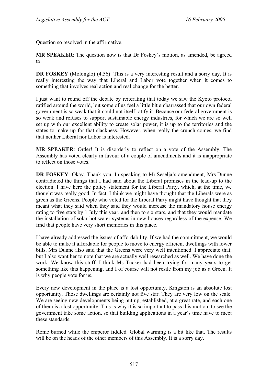Question so resolved in the affirmative.

**MR SPEAKER**: The question now is that Dr Foskey's motion, as amended, be agreed to.

**DR FOSKEY** (Molonglo) (4.56): This is a very interesting result and a sorry day. It is really interesting the way that Liberal and Labor vote together when it comes to something that involves real action and real change for the better.

I just want to round off the debate by reiterating that today we saw the Kyoto protocol ratified around the world, but some of us feel a little bit embarrassed that our own federal government is so weak that it could not itself ratify it. Because our federal government is so weak and refuses to support sustainable energy industries, for which we are so well set up with our excellent ability to create solar power, it is up to the territories and the states to make up for that slackness. However, when really the crunch comes, we find that neither Liberal nor Labor is interested.

**MR SPEAKER**: Order! It is disorderly to reflect on a vote of the Assembly. The Assembly has voted clearly in favour of a couple of amendments and it is inappropriate to reflect on those votes.

**DR FOSKEY**: Okay. Thank you. In speaking to Mr Seselja's amendment, Mrs Dunne contradicted the things that I had said about the Liberal promises in the lead-up to the election. I have here the policy statement for the Liberal Party, which, at the time, we thought was really good. In fact, I think we might have thought that the Liberals were as green as the Greens. People who voted for the Liberal Party might have thought that they meant what they said when they said they would increase the mandatory house energy rating to five stars by 1 July this year, and then to six stars, and that they would mandate the installation of solar hot water systems in new houses regardless of the expense. We find that people have very short memories in this place.

I have already addressed the issues of affordability. If we had the commitment, we would be able to make it affordable for people to move to energy efficient dwellings with lower bills. Mrs Dunne also said that the Greens were very well intentioned. I appreciate that; but I also want her to note that we are actually well researched as well. We have done the work. We know this stuff. I think Ms Tucker had been trying for many years to get something like this happening, and I of course will not resile from my job as a Green. It is why people vote for us.

Every new development in the place is a lost opportunity. Kingston is an absolute lost opportunity. Those dwellings are certainly not five star. They are very low on the scale. We are seeing new developments being put up, established, at a great rate, and each one of them is a lost opportunity. This is why it is so important to pass this motion, to see the government take some action, so that building applications in a year's time have to meet these standards.

Rome burned while the emperor fiddled. Global warming is a bit like that. The results will be on the heads of the other members of this Assembly. It is a sorry day.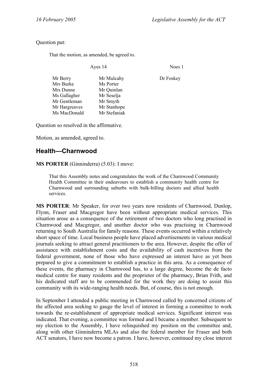Noes 1

### Question put:

That the motion, as amended, be agreed to.

| Ayes 14       |              | Noes      |  |
|---------------|--------------|-----------|--|
| Mr Berry      | Mr Mulcahy   | Dr Foskey |  |
| Mrs Burke     | Ms Porter    |           |  |
| Mrs Dunne     | Mr Quinlan   |           |  |
| Ms Gallagher  | Mr Seselja   |           |  |
| Mr Gentleman  | Mr Smyth     |           |  |
| Mr Hargreaves | Mr Stanhope  |           |  |
| Ms MacDonald  | Mr Stefaniak |           |  |
|               |              |           |  |

Question so resolved in the affirmative.

Motion, as amended, agreed to.

# **Health—Charnwood**

**MS PORTER** (Ginninderra) (5.03): I move:

That this Assembly notes and congratulates the work of the Charnwood Community Health Committee in their endeavours to establish a community health centre for Charnwood and surrounding suburbs with bulk-billing doctors and allied health services.

**MS PORTER**: Mr Speaker, for over two years now residents of Charnwood, Dunlop, Flynn, Fraser and Macgregor have been without appropriate medical services. This situation arose as a consequence of the retirement of two doctors who long practised in Charnwood and Macgregor, and another doctor who was practising in Charnwood returning to South Australia for family reasons. These events occurred within a relatively short space of time. Local business people have placed advertisements in various medical journals seeking to attract general practitioners to the area. However, despite the offer of assistance with establishment costs and the availability of cash incentives from the federal government, none of those who have expressed an interest have as yet been prepared to give a commitment to establish a practice in this area. As a consequence of these events, the pharmacy in Charnwood has, to a large degree, become the de facto medical centre for many residents and the proprietor of the pharmacy, Brian Frith, and his dedicated staff are to be commended for the work they are doing to assist this community with its wide-ranging health needs. But, of course, this is not enough.

In September I attended a public meeting in Charnwood called by concerned citizens of the affected area seeking to gauge the level of interest in forming a committee to work towards the re-establishment of appropriate medical services. Significant interest was indicated. That evening, a committee was formed and I became a member. Subsequent to my election to the Assembly, I have relinquished my position on the committee and, along with other Ginninderra MLAs and also the federal member for Fraser and both ACT senators, I have now become a patron. I have, however, continued my close interest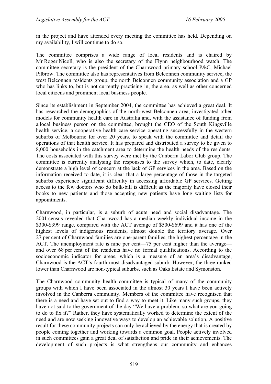in the project and have attended every meeting the committee has held. Depending on my availability, I will continue to do so.

The committee comprises a wide range of local residents and is chaired by Mr Roger Nicoll, who is also the secretary of the Flynn neighbourhood watch. The committee secretary is the president of the Charnwood primary school P&C, Michael Pilbrow. The committee also has representatives from Belconnen community service, the west Belconnen residents group, the north Belconnen community association and a GP who has links to, but is not currently practising in, the area, as well as other concerned local citizens and prominent local business people.

Since its establishment in September 2004, the committee has achieved a great deal. It has researched the demographics of the north-west Belconnen area, investigated other models for community health care in Australia and, with the assistance of funding from a local business person on the committee, brought the CEO of the South Kingsville health service, a cooperative health care service operating successfully in the western suburbs of Melbourne for over 20 years, to speak with the committee and detail the operations of that health service. It has prepared and distributed a survey to be given to 8,000 households in the catchment area to determine the health needs of the residents. The costs associated with this survey were met by the Canberra Labor Club group. The committee is currently analysing the responses to the survey which, to date, clearly demonstrate a high level of concern at the lack of GP services in the area. Based on the information received to date, it is clear that a large percentage of those in the targeted suburbs experience significant difficulty in accessing affordable GP services. Getting access to the few doctors who do bulk-bill is difficult as the majority have closed their books to new patients and those accepting new patients have long waiting lists for appointments.

Charnwood, in particular, is a suburb of acute need and social disadvantage. The 2001 census revealed that Charnwood has a median weekly individual income in the \$300-\$399 range, compared with the ACT average of \$500-\$699 and it has one of the highest levels of indigenous residents, almost double the territory average. Over 27 per cent of Charnwood families are one-parent families, the highest percentage in the ACT. The unemployment rate is nine per cent—75 per cent higher than the average and over 68 per cent of the residents have no formal qualifications. According to the socioeconomic indicator for areas, which is a measure of an area's disadvantage, Charnwood is the ACT's fourth most disadvantaged suburb. However, the three ranked lower than Charnwood are non-typical suburbs, such as Oaks Estate and Symonston.

The Charnwood community health committee is typical of many of the community groups with which I have been associated in the almost 30 years I have been actively involved in the Canberra community. Members of the committee have recognised that there is a need and have set out to find a way to meet it. Like many such groups, they have not said to the government of the day "We have a problem, so what are you going to do to fix it?" Rather, they have systematically worked to determine the extent of the need and are now seeking innovative ways to develop an achievable solution. A positive result for these community projects can only be achieved by the energy that is created by people coming together and working towards a common goal. People actively involved in such committees gain a great deal of satisfaction and pride in their achievements. The development of such projects is what strengthens our community and enhances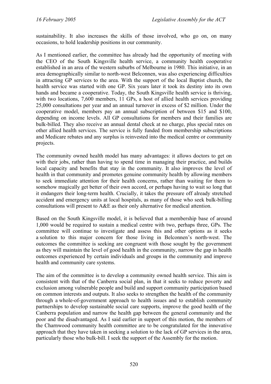sustainability. It also increases the skills of those involved, who go on, on many occasions, to hold leadership positions in our community.

As I mentioned earlier, the committee has already had the opportunity of meeting with the CEO of the South Kingsville health service, a community health cooperative established in an area of the western suburbs of Melbourne in 1980. This initiative, in an area demographically similar to north-west Belconnen, was also experiencing difficulties in attracting GP services to the area. With the support of the local Baptist church, the health service was started with one GP. Six years later it took its destiny into its own hands and became a cooperative. Today, the South Kingsville health service is thriving, with two locations, 7,600 members, 11 GPs, a host of allied health services providing 25,000 consultations per year and an annual turnover in excess of \$2 million. Under the cooperative model, members pay an annual subscription of between \$15 and \$100, depending on income levels. All GP consultations for members and their families are bulk-billed. They also receive an annual dental check at no charge, plus special rates on other allied health services. The service is fully funded from membership subscriptions and Medicare rebates and any surplus is reinvested into the medical centre or community projects.

The community owned health model has many advantages: it allows doctors to get on with their jobs, rather than having to spend time in managing their practice, and builds local capacity and benefits that stay in the community. It also improves the level of health in that community and promotes genuine community health by allowing members to seek immediate attention for their health concerns, rather than waiting for them to somehow magically get better of their own accord, or perhaps having to wait so long that it endangers their long-term health. Crucially, it takes the pressure off already stretched accident and emergency units at local hospitals, as many of those who seek bulk-billing consultations will present to A&E as their only alternative for medical attention.

Based on the South Kingsville model, it is believed that a membership base of around 1,000 would be required to sustain a medical centre with two, perhaps three, GPs. The committee will continue to investigate and assess this and other options as it seeks a solution to this major concern for those living in Belconnen's north-west. The outcomes the committee is seeking are congruent with those sought by the government as they will maintain the level of good health in the community, narrow the gap in health outcomes experienced by certain individuals and groups in the community and improve health and community care systems.

The aim of the committee is to develop a community owned health service. This aim is consistent with that of the Canberra social plan, in that it seeks to reduce poverty and exclusion among vulnerable people and build and support community participation based on common interests and outputs. It also seeks to strengthen the health of the community through a whole-of-government approach to health issues and to establish community partnerships to develop sustainable social care supports, improve the good health of the Canberra population and narrow the health gap between the general community and the poor and the disadvantaged. As I said earlier in support of this motion, the members of the Charnwood community health committee are to be congratulated for the innovative approach that they have taken in seeking a solution to the lack of GP services in the area, particularly those who bulk-bill. I seek the support of the Assembly for the motion.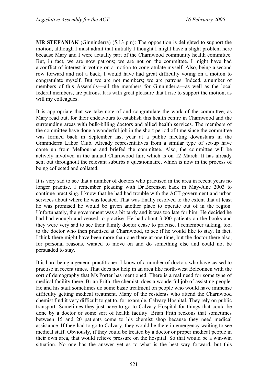**MR STEFANIAK** (Ginninderra) (5.13 pm): The opposition is delighted to support the motion, although I must admit that initially I thought I might have a slight problem here because Mary and I were actually part of the Charnwood community health committee. But, in fact, we are now patrons; we are not on the committee. I might have had a conflict of interest in voting on a motion to congratulate myself. Also, being a second row forward and not a back, I would have had great difficulty voting on a motion to congratulate myself. But we are not members; we are patrons. Indeed, a number of members of this Assembly—all the members for Ginninderra—as well as the local federal members, are patrons. It is with great pleasure that I rise to support the motion, as will my colleagues.

It is appropriate that we take note of and congratulate the work of the committee, as Mary read out, for their endeavours to establish this health centre in Charnwood and the surrounding areas with bulk-billing doctors and allied health services. The members of the committee have done a wonderful job in the short period of time since the committee was formed back in September last year at a public meeting downstairs in the Ginninderra Labor Club. Already representatives from a similar type of set-up have come up from Melbourne and briefed the committee. Also, the committee will be actively involved in the annual Charnwood fair, which is on 12 March. It has already sent out throughout the relevant suburbs a questionnaire, which is now in the process of being collected and collated.

It is very sad to see that a number of doctors who practised in the area in recent years no longer practise. I remember pleading with Dr Berenson back in May-June 2003 to continue practising. I know that he had had trouble with the ACT government and urban services about where he was located. That was finally resolved to the extent that at least he was promised he would be given another place to operate out of in the region. Unfortunately, the government was a bit tardy and it was too late for him. He decided he had had enough and ceased to practise. He had about 3,000 patients on the books and they were very sad to see their family doctor cease to practise. I remember talking, too, to the doctor who then practised at Charnwood, to see if he would like to stay. In fact, I think there might have been more than one there at one time, but the doctor there also, for personal reasons, wanted to move on and do something else and could not be persuaded to stay.

It is hard being a general practitioner. I know of a number of doctors who have ceased to practise in recent times. That does not help in an area like north-west Belconnen with the sort of demography that Ms Porter has mentioned. There is a real need for some type of medical facility there. Brian Frith, the chemist, does a wonderful job of assisting people. He and his staff sometimes do some basic treatment on people who would have immense difficulty getting medical treatment. Many of the residents who attend the Charnwood chemist find it very difficult to get to, for example, Calvary Hospital. They rely on public transport. Sometimes they just have to go to Calvary Hospital for things that could be done by a doctor or some sort of health facility. Brian Frith reckons that sometimes between 15 and 20 patients come to his chemist shop because they need medical assistance. If they had to go to Calvary, they would be there in emergency waiting to see medical staff. Obviously, if they could be treated by a doctor or proper medical people in their own area, that would relieve pressure on the hospital. So that would be a win-win situation. No one has the answer yet as to what is the best way forward, but this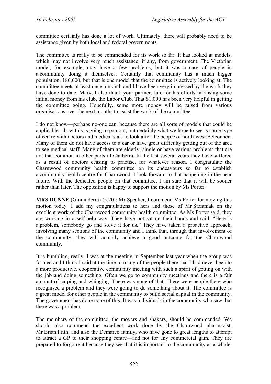committee certainly has done a lot of work. Ultimately, there will probably need to be assistance given by both local and federal governments.

The committee is really to be commended for its work so far. It has looked at models, which may not involve very much assistance, if any, from government. The Victorian model, for example, may have a few problems, but it was a case of people in a community doing it themselves. Certainly that community has a much bigger population, 180,000, but that is one model that the committee is actively looking at. The committee meets at least once a month and I have been very impressed by the work they have done to date. Mary, I also thank your partner, Ian, for his efforts in raising some initial money from his club, the Labor Club. That \$1,000 has been very helpful in getting the committee going. Hopefully, some more money will be raised from various organisations over the next months to assist the work of the committee.

I do not know—perhaps no-one can, because there are all sorts of models that could be applicable—how this is going to pan out, but certainly what we hope to see is some type of centre with doctors and medical staff to look after the people of north-west Belconnen. Many of them do not have access to a car or have great difficulty getting out of the area to see medical staff. Many of them are elderly, single or have various problems that are not that common in other parts of Canberra. In the last several years they have suffered as a result of doctors ceasing to practise, for whatever reason. I congratulate the Charnwood community health committee on its endeavours so far to establish a community health centre for Charnwood. I look forward to that happening in the near future. With the dedicated people on that committee, I am sure that it will be sooner rather than later. The opposition is happy to support the motion by Ms Porter.

**MRS DUNNE** (Ginninderra) (5.20): Mr Speaker, I commend Ms Porter for moving this motion today. I add my congratulations to hers and those of Mr Stefaniak on the excellent work of the Charnwood community health committee. As Ms Porter said, they are working in a self-help way. They have not sat on their hands and said, "Here is a problem, somebody go and solve it for us." They have taken a proactive approach, involving many sections of the community and I think that, through that involvement of the community, they will actually achieve a good outcome for the Charnwood community.

It is humbling, really. I was at the meeting in September last year when the group was formed and I think I said at the time to many of the people there that I had never been to a more productive, cooperative community meeting with such a spirit of getting on with the job and doing something. Often we go to community meetings and there is a fair amount of carping and whinging. There was none of that. There were people there who recognised a problem and they were going to do something about it. The committee is a great model for other people in the community to build social capital in the community. The government has done none of this. It was individuals in the community who saw that there was a problem.

The members of the committee, the movers and shakers, should be commended. We should also commend the excellent work done by the Charnwood pharmacist, Mr Brian Frith, and also the Demarco family, who have gone to great lengths to attempt to attract a GP to their shopping centre—and not for any commercial gain. They are prepared to forgo rent because they see that it is important to the community as a whole.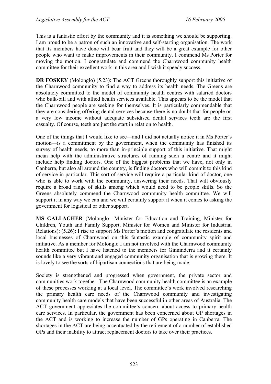This is a fantastic effort by the community and it is something we should be supporting. I am proud to be a patron of such an innovative and self-starting organisation. The work that its members have done will bear fruit and they will be a great example for other people who want to make improvements in their community. I commend Ms Porter for moving the motion. I congratulate and commend the Charnwood community health committee for their excellent work in this area and I wish it speedy success.

**DR FOSKEY** (Molonglo) (5.23): The ACT Greens thoroughly support this initiative of the Charnwood community to find a way to address its health needs. The Greens are absolutely committed to the model of community health centres with salaried doctors who bulk-bill and with allied health services available. This appears to be the model that the Charnwood people are seeking for themselves. It is particularly commendable that they are considering offering dental services because there is no doubt that for people on a very low income without adequate subsidised dental services teeth are the first casualty. Of course, teeth are just the start in relation to health.

One of the things that I would like to see—and I did not actually notice it in Ms Porter's motion—is a commitment by the government, when the community has finished its survey of health needs, to more than in-principle support of this initiative. That might mean help with the administrative structures of running such a centre and it might include help finding doctors. One of the biggest problems that we have, not only in Canberra, but also all around the country, is finding doctors who will commit to this kind of service in particular. This sort of service will require a particular kind of doctor, one who is able to work with the community, answering their needs. That will obviously require a broad range of skills among which would need to be people skills. So the Greens absolutely commend the Charnwood community health committee. We will support it in any way we can and we will certainly support it when it comes to asking the government for logistical or other support.

**MS GALLAGHER** (Molonglo—Minister for Education and Training, Minister for Children, Youth and Family Support, Minister for Women and Minister for Industrial Relations): (5.26): I rise to support Ms Porter's motion and congratulate the residents and local businesses of Charnwood on this fantastic example of community spirit and initiative. As a member for Molonglo I am not involved with the Charnwood community health committee but I have listened to the members for Ginninderra and it certainly sounds like a very vibrant and engaged community organisation that is growing there. It is lovely to see the sorts of bipartisan connections that are being made.

Society is strengthened and progressed when government, the private sector and communities work together. The Charnwood community health committee is an example of these processes working at a local level. The committee's work involved researching the primary health care needs of the Charnwood community and investigating community health care models that have been successful in other areas of Australia. The ACT government appreciates the committee's concern about access to primary health care services. In particular, the government has been concerned about GP shortages in the ACT and is working to increase the number of GPs operating in Canberra. The shortages in the ACT are being accentuated by the retirement of a number of established GPs and their inability to attract replacement doctors to take over their practices.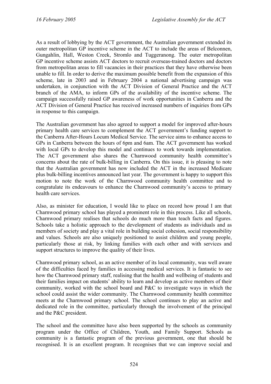As a result of lobbying by the ACT government, the Australian government extended its outer metropolitan GP incentive scheme in the ACT to include the areas of Belconnen, Gungahlin, Hall, Weston Creek, Stromlo and Tuggeranong. The outer metropolitan GP incentive scheme assists ACT doctors to recruit overseas-trained doctors and doctors from metropolitan areas to fill vacancies in their practices that they have otherwise been unable to fill. In order to derive the maximum possible benefit from the expansion of this scheme, late in 2003 and in February 2004 a national advertising campaign was undertaken, in conjunction with the ACT Division of General Practice and the ACT branch of the AMA, to inform GPs of the availability of the incentive scheme. The campaign successfully raised GP awareness of work opportunities in Canberra and the ACT Division of General Practice has received increased numbers of inquiries from GPs in response to this campaign.

The Australian government has also agreed to support a model for improved after-hours primary health care services to complement the ACT government's funding support to the Canberra After-Hours Locum Medical Service. The service aims to enhance access to GPs in Canberra between the hours of 6pm and 6am. The ACT government has worked with local GPs to develop this model and continues to work towards implementation. The ACT government also shares the Charnwood community health committee's concerns about the rate of bulk-billing in Canberra. On this issue, it is pleasing to note that the Australian government has now included the ACT in the increased Medicare plus bulk-billing incentives announced last year. The government is happy to support this motion to note the work of the Charnwood community health committee and to congratulate its endeavours to enhance the Charnwood community's access to primary health care services.

Also, as minister for education, I would like to place on record how proud I am that Charnwood primary school has played a prominent role in this process. Like all schools, Charnwood primary realises that schools do much more than teach facts and figures. Schools take a holistic approach to the development of students as individuals and as members of society and play a vital role in building social cohesion, social responsibility and values. Schools are also uniquely positioned to assist children and young people, particularly those at risk, by linking families with each other and with services and support structures to improve the quality of their lives.

Charnwood primary school, as an active member of its local community, was well aware of the difficulties faced by families in accessing medical services. It is fantastic to see how the Charnwood primary staff, realising that the health and wellbeing of students and their families impact on students' ability to learn and develop as active members of their community, worked with the school board and P&C to investigate ways in which the school could assist the wider community. The Charnwood community health committee meets at the Charnwood primary school. The school continues to play an active and dedicated role in the committee, particularly through the involvement of the principal and the P&C president.

The school and the committee have also been supported by the schools as community program under the Office of Children, Youth, and Family Support. Schools as community is a fantastic program of the previous government, one that should be recognised. It is an excellent program. It recognises that we can improve social and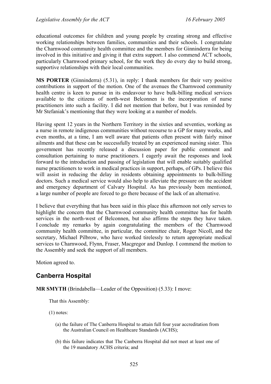educational outcomes for children and young people by creating strong and effective working relationships between families, communities and their schools. I congratulate the Charnwood community health committee and the members for Ginninderra for being involved in this initiative and giving it that extra support. I also commend ACT schools, particularly Charnwood primary school, for the work they do every day to build strong, supportive relationships with their local communities.

**MS PORTER** (Ginninderra) (5.31), in reply: I thank members for their very positive contributions in support of the motion. One of the avenues the Charnwood community health centre is keen to pursue in its endeavour to have bulk-billing medical services available to the citizens of north-west Belconnen is the incorporation of nurse practitioners into such a facility. I did not mention that before, but I was reminded by Mr Stefaniak's mentioning that they were looking at a number of models.

Having spent 12 years in the Northern Territory in the sixties and seventies, working as a nurse in remote indigenous communities without recourse to a GP for many weeks, and even months, at a time, I am well aware that patients often present with fairly minor ailments and that these can be successfully treated by an experienced nursing sister. This government has recently released a discussion paper for public comment and consultation pertaining to nurse practitioners. I eagerly await the responses and look forward to the introduction and passing of legislation that will enable suitably qualified nurse practitioners to work in medical practices in support, perhaps, of GPs. I believe this will assist in reducing the delay in residents obtaining appointments to bulk-billing doctors. Such a medical service would also help to alleviate the pressure on the accident and emergency department of Calvary Hospital. As has previously been mentioned, a large number of people are forced to go there because of the lack of an alternative.

I believe that everything that has been said in this place this afternoon not only serves to highlight the concern that the Charnwood community health committee has for health services in the north-west of Belconnen, but also affirms the steps they have taken. I conclude my remarks by again congratulating the members of the Charnwood community health committee, in particular, the committee chair, Roger Nicoll, and the secretary, Michael Pilbrow, who have worked tirelessly to return appropriate medical services to Charnwood, Flynn, Fraser, Macgregor and Dunlop. I commend the motion to the Assembly and seek the support of all members.

Motion agreed to.

# **Canberra Hospital**

**MR SMYTH** (Brindabella—Leader of the Opposition) (5.33): I move:

That this Assembly:

(1) notes:

- (a) the failure of The Canberra Hospital to attain full four year accreditation from the Australian Council on Healthcare Standards (ACHS);
- (b) this failure indicates that The Canberra Hospital did not meet at least one of the 19 mandatory ACHS criteria; and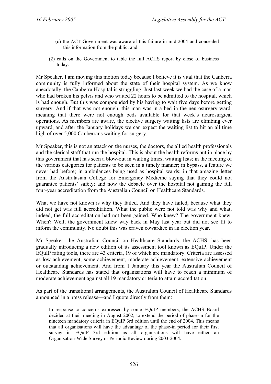- (c) the ACT Government was aware of this failure in mid-2004 and concealed this information from the public; and
- (2) calls on the Government to table the full ACHS report by close of business today.

Mr Speaker, I am moving this motion today because I believe it is vital that the Canberra community is fully informed about the state of their hospital system. As we know anecdotally, the Canberra Hospital is struggling. Just last week we had the case of a man who had broken his pelvis and who waited 22 hours to be admitted to the hospital, which is bad enough. But this was compounded by his having to wait five days before getting surgery. And if that was not enough, this man was in a bed in the neurosurgery ward, meaning that there were not enough beds available for that week's neurosurgical operations. As members are aware, the elective surgery waiting lists are climbing ever upward, and after the January holidays we can expect the waiting list to hit an all time high of over 5,000 Canberrans waiting for surgery.

Mr Speaker, this is not an attack on the nurses, the doctors, the allied health professionals and the clerical staff that run the hospital. This is about the health reforms put in place by this government that has seen a blow-out in waiting times, waiting lists; in the meeting of the various categories for patients to be seen in a timely manner; in bypass, a feature we never had before; in ambulances being used as hospital wards; in that amazing letter from the Australasian College for Emergency Medicine saying that they could not guarantee patients' safety; and now the debacle over the hospital not gaining the full four-year accreditation from the Australian Council on Healthcare Standards.

What we have not known is why they failed. And they have failed, because what they did not get was full accreditation. What the public were not told was why and what, indeed, the full accreditation had not been gained. Who knew? The government knew. When? Well, the government knew way back in May last year but did not see fit to inform the community. No doubt this was craven cowardice in an election year.

Mr Speaker, the Australian Council on Healthcare Standards, the ACHS, has been gradually introducing a new edition of its assessment tool known as EQuIP. Under the EQuIP rating tools, there are 43 criteria, 19 of which are mandatory. Criteria are assessed as low achievement, some achievement, moderate achievement, extensive achievement or outstanding achievement. And from 1 January this year the Australian Council of Healthcare Standards has stated that organisations will have to reach a minimum of moderate achievement against all 19 mandatory criteria to attain accreditation.

As part of the transitional arrangements, the Australian Council of Healthcare Standards announced in a press release—and I quote directly from them:

In response to concerns expressed by some EQuIP members, the ACHS Board decided at their meeting in August 2002, to extend the period of phase-in for the nineteen mandatory criteria in EQuIP 3rd edition until the end of 2004. This means that all organisations will have the advantage of the phase-in period for their first survey in EQuIP 3rd edition as all organisations will have either an Organisation-Wide Survey or Periodic Review during 2003-2004.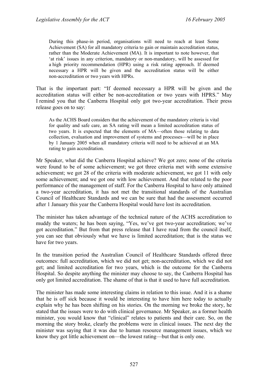During this phase-in period, organisations will need to reach at least Some Achievement (SA) for all mandatory criteria to gain or maintain accreditation status, rather than the Moderate Achievement (MA). It is important to note however, that 'at risk' issues in any criterion, mandatory or non-mandatory, will be assessed for a high priority recommendation (HPR) using a risk rating approach. If deemed necessary a HPR will be given and the accreditation status will be either non-accreditation or two years with HPRs.

That is the important part: "If deemed necessary a HPR will be given and the accreditation status will either be non-accreditation or two years with HPRS." May I remind you that the Canberra Hospital only got two-year accreditation. Their press release goes on to say:

As the ACHS Board considers that the achievement of the mandatory criteria is vital for quality and safe care, an SA rating will mean a limited accreditation status of two years. It is expected that the elements of MA—often those relating to data collection, evaluation and improvement of systems and processes—will be in place by 1 January 2005 when all mandatory criteria will need to be achieved at an MA rating to gain accreditation.

Mr Speaker, what did the Canberra Hospital achieve? We got zero; none of the criteria were found to be of some achievement; we got three criteria met with some extensive achievement; we got 28 of the criteria with moderate achievement, we got 11 with only some achievement; and we got one with low achievement. And that related to the poor performance of the management of staff. For the Canberra Hospital to have only attained a two-year accreditation, it has not met the transitional standards of the Australian Council of Healthcare Standards and we can be sure that had the assessment occurred after 1 January this year the Canberra Hospital would have lost its accreditation.

The minister has taken advantage of the technical nature of the ACHS accreditation to muddy the waters; he has been saying, "Yes, we've got two-year accreditation; we've got accreditation." But from that press release that I have read from the council itself, you can see that obviously what we have is limited accreditation; that is the status we have for two years.

In the transition period the Australian Council of Healthcare Standards offered three outcomes: full accreditation, which we did not get; non-accreditation, which we did not get; and limited accreditation for two years, which is the outcome for the Canberra Hospital. So despite anything the minister may choose to say, the Canberra Hospital has only got limited accreditation. The shame of that is that it used to have full accreditation.

The minister has made some interesting claims in relation to this issue. And it is a shame that he is off sick because it would be interesting to have him here today to actually explain why he has been shifting on his stories. On the morning we broke the story, he stated that the issues were to do with clinical governance. Mr Speaker, as a former health minister, you would know that "clinical" relates to patients and their care. So, on the morning the story broke, clearly the problems were in clinical issues. The next day the minister was saying that it was due to human resource management issues, which we know they got little achievement on—the lowest rating—but that is only one.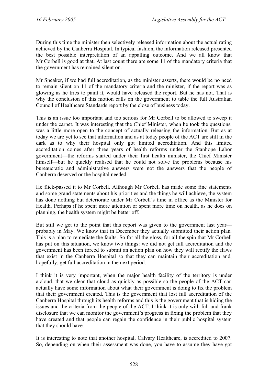During this time the minister then selectively released information about the actual rating achieved by the Canberra Hospital. In typical fashion, the information released presented the best possible interpretation of an appalling outcome. And we all know that Mr Corbell is good at that. At last count there are some 11 of the mandatory criteria that the government has remained silent on.

Mr Speaker, if we had full accreditation, as the minister asserts, there would be no need to remain silent on 11 of the mandatory criteria and the minister, if the report was as glowing as he tries to paint it, would have released the report. But he has not. That is why the conclusion of this motion calls on the government to table the full Australian Council of Healthcare Standards report by the close of business today.

This is an issue too important and too serious for Mr Corbell to be allowed to sweep it under the carpet. It was interesting that the Chief Minister, when he took the questions, was a little more open to the concept of actually releasing the information. But as at today we are yet to see that information and as at today people of the ACT are still in the dark as to why their hospital only got limited accreditation. And this limited accreditation comes after three years of health reforms under the Stanhope Labor government—the reforms started under their first health minister, the Chief Minister himself—but he quickly realised that he could not solve the problems because his bureaucratic and administrative answers were not the answers that the people of Canberra deserved or the hospital needed.

He flick-passed it to Mr Corbell. Although Mr Corbell has made some fine statements and some grand statements about his priorities and the things he will achieve, the system has done nothing but deteriorate under Mr Corbell's time in office as the Minister for Health. Perhaps if he spent more attention or spent more time on health, as he does on planning, the health system might be better off.

But still we get to the point that this report was given to the government last year probably in May. We know that in December they actually submitted their action plan. This is a plan to remediate the faults. So for all the gloss, for all the spin that Mr Corbell has put on this situation, we know two things: we did not get full accreditation and the government has been forced to submit an action plan on how they will rectify the flaws that exist in the Canberra Hospital so that they can maintain their accreditation and, hopefully, get full accreditation in the next period.

I think it is very important, when the major health facility of the territory is under a cloud, that we clear that cloud as quickly as possible so the people of the ACT can actually have some information about what their government is doing to fix the problem that their government created. This is the government that lost full accreditation of the Canberra Hospital through its health reforms and this is the government that is hiding the issues and the criteria from the people of the ACT. I think it is only with full and frank disclosure that we can monitor the government's progress in fixing the problem that they have created and that people can regain the confidence in their public hospital system that they should have.

It is interesting to note that another hospital, Calvary Healthcare, is accredited to 2007. So, depending on when their assessment was done, you have to assume they have got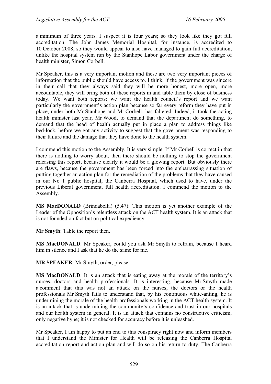a minimum of three years. I suspect it is four years; so they look like they got full accreditation. The John James Memorial Hospital, for instance, is accredited to 10 October 2008; so they would appear to also have managed to gain full accreditation, unlike the hospital system run by the Stanhope Labor government under the charge of health minister, Simon Corbell.

Mr Speaker, this is a very important motion and these are two very important pieces of information that the public should have access to. I think, if the government was sincere in their call that they always said they will be more honest, more open, more accountable, they will bring both of these reports in and table them by close of business today. We want both reports; we want the health council's report and we want particularly the government's action plan because so far every reform they have put in place, under both Mr Stanhope and Mr Corbell, has faltered. Indeed, it took the acting health minister last year, Mr Wood, to demand that the department do something, to demand that the head of health actually put in place a plan to address things like bed-lock, before we got any activity to suggest that the government was responding to their failure and the damage that they have done to the health system.

I commend this motion to the Assembly. It is very simple. If Mr Corbell is correct in that there is nothing to worry about, then there should be nothing to stop the government releasing this report, because clearly it would be a glowing report. But obviously there are flaws, because the government has been forced into the embarrassing situation of putting together an action plan for the remediation of the problems that they have caused in our No 1 public hospital, the Canberra Hospital, which used to have, under the previous Liberal government, full health accreditation. I commend the motion to the Assembly.

**MS MacDONALD** (Brindabella) (5.47): This motion is yet another example of the Leader of the Opposition's relentless attack on the ACT health system. It is an attack that is not founded on fact but on political expediency.

**Mr Smyth**: Table the report then.

**MS MacDONALD**: Mr Speaker, could you ask Mr Smyth to refrain, because I heard him in silence and I ask that he do the same for me.

**MR SPEAKER**: Mr Smyth, order, please!

**MS MacDONALD**: It is an attack that is eating away at the morale of the territory's nurses, doctors and health professionals. It is interesting, because Mr Smyth made a comment that this was not an attack on the nurses, the doctors or the health professionals Mr Smyth fails to understand that, by his continuous white-anting, he is undermining the morale of the health professionals working in the ACT health system. It is an attack that is undermining the community's confidence and trust in our hospitals and our health system in general. It is an attack that contains no constructive criticism, only negative hype; it is not checked for accuracy before it is unleashed.

Mr Speaker, I am happy to put an end to this conspiracy right now and inform members that I understand the Minister for Health will be releasing the Canberra Hospital accreditation report and action plan and will do so on his return to duty. The Canberra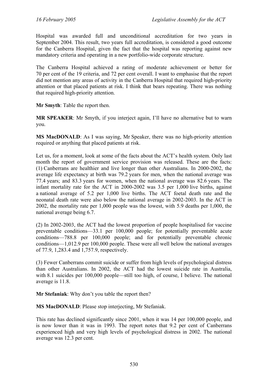Hospital was awarded full and unconditional accreditation for two years in September 2004. This result, two years full accreditation, is considered a good outcome for the Canberra Hospital, given the fact that the hospital was reporting against new mandatory criteria and operating in a new portfolio-wide corporate structure.

The Canberra Hospital achieved a rating of moderate achievement or better for 70 per cent of the 19 criteria, and 72 per cent overall. I want to emphasise that the report did not mention any areas of activity in the Canberra Hospital that required high-priority attention or that placed patients at risk. I think that bears repeating. There was nothing that required high-priority attention.

**Mr Smyth**: Table the report then.

**MR SPEAKER**: Mr Smyth, if you interject again, I'll have no alternative but to warn you.

**MS MacDONALD**: As I was saying, Mr Speaker, there was no high-priority attention required or anything that placed patients at risk.

Let us, for a moment, look at some of the facts about the ACT's health system. Only last month the report of government service provision was released. These are the facts: (1) Canberrans are healthier and live longer than other Australians. In 2000-2002, the average life expectancy at birth was 79.2 years for men, when the national average was 77.4 years; and 83.3 years for women, when the national average was 82.6 years. The infant mortality rate for the ACT in 2000-2002 was 3.5 per 1,000 live births, against a national average of 5.2 per 1,000 live births. The ACT foetal death rate and the neonatal death rate were also below the national average in 2002-2003. In the ACT in 2002, the mortality rate per 1,000 people was the lowest, with 5.9 deaths per 1,000, the national average being 6.7.

(2) In 2002-2003, the ACT had the lowest proportion of people hospitalised for vaccine preventable conditions—33.1 per 100,000 people; for potentially preventable acute conditions—788.8 per 100,000 people; and for potentially preventable chronic conditions—1,012.9 per 100,000 people. These were all well below the national averages of 77.9, 1,283.4 and 1,757.9, respectively.

(3) Fewer Canberrans commit suicide or suffer from high levels of psychological distress than other Australians. In 2002, the ACT had the lowest suicide rate in Australia, with 8.1 suicides per 100,000 people—still too high, of course, I believe. The national average is 11.8.

**Mr Stefaniak**: Why don't you table the report then?

**MS MacDONALD**: Please stop interjecting, Mr Stefaniak.

This rate has declined significantly since 2001, when it was 14 per 100,000 people, and is now lower than it was in 1993. The report notes that 9.2 per cent of Canberrans experienced high and very high levels of psychological distress in 2002. The national average was 12.3 per cent.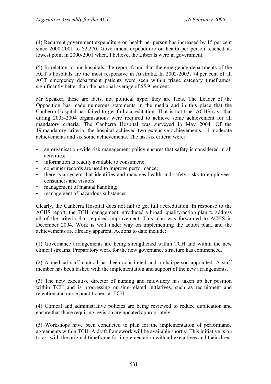(4) Recurrent government expenditure on health per person has increased by 15 per cent since 2000-2001 to \$2,270. Government expenditure on health per person reached its lowest point in 2000-2001 when, I believe, the Liberals were in government.

(5) In relation to our hospitals, the report found that the emergency departments of the ACT's hospitals are the most responsive in Australia. In 2002-2003, 74 per cent of all ACT emergency department patients were seen within triage category timeframes, significantly better than the national average of 65.9 per cent.

Mr Speaker, these are facts, not political hype; they are facts. The Leader of the Opposition has made numerous statements in the media and in this place that the Canberra Hospital has failed to get full accreditation. That is not true. ACHS says that during 2003-2004 organisations were required to achieve some achievement for all mandatory criteria. The Canberra Hospital was surveyed in May 2004. Of the 19 mandatory criteria, the hospital achieved two extensive achievements, 11 moderate achievements and six some achievements. The last six criteria were:

- an organisation-wide risk management policy ensures that safety is considered in all activities;
- information is readily available to consumers;
- consumer records are used to improve performance;
- there is a system that identifies and manages health and safety risks to employees, consumers and visitors;
- management of manual handling;
- management of hazardous substances.

Clearly, the Canberra Hospital does not fail to get full accreditation. In response to the ACHS report, the TCH management introduced a broad, quality-action plan to address all of the criteria that required improvement. This plan was forwarded to ACHS in December 2004. Work is well under way on implementing the action plan, and the achievements are already apparent. Actions to date include:

(1) Governance arrangements are being strengthened within TCH and within the new clinical streams. Preparatory work for the new governance structure has commenced.

(2) A medical staff council has been constituted and a chairperson appointed. A staff member has been tasked with the implementation and support of the new arrangements.

(3) The new executive director of nursing and midwifery has taken up her position within TCH and is progressing nursing-related initiatives, such as recruitment and retention and nurse practitioners at TCH.

(4) Clinical and administrative policies are being reviewed to reduce duplication and ensure that those requiring revision are updated appropriately.

(5) Workshops have been conducted to plan for the implementation of performance agreements within TCH. A draft framework will be available shortly. This initiative is on track, with the original timeframe for implementation with all executives and their direct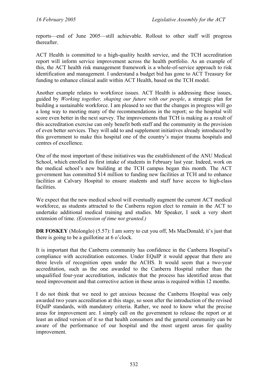reports—end of June 2005—still achievable. Rollout to other staff will progress thereafter.

ACT Health is committed to a high-quality health service, and the TCH accreditation report will inform service improvement across the health portfolio. As an example of this, the ACT health risk management framework is a whole-of-service approach to risk identification and management. I understand a budget bid has gone to ACT Treasury for funding to enhance clinical audit within ACT Health, based on the TCH model.

Another example relates to workforce issues. ACT Health is addressing these issues, guided by *Working together, shaping our future with our people*, a strategic plan for building a sustainable workforce. I am pleased to see that the changes in progress will go a long way to meeting many of the recommendations in the report; so the hospital will score even better in the next survey. The improvements that TCH is making as a result of this accreditation exercise can only benefit both staff and the community in the provision of even better services. They will add to and supplement initiatives already introduced by this government to make this hospital one of the country's major trauma hospitals and centres of excellence.

One of the most important of these initiatives was the establishment of the ANU Medical School, which enrolled its first intake of students in February last year. Indeed, work on the medical school's new building at the TCH campus began this month. The ACT government has committed \$14 million to funding new facilities at TCH and to enhance facilities at Calvary Hospital to ensure students and staff have access to high-class facilities.

We expect that the new medical school will eventually augment the current ACT medical workforce, as students attracted to the Canberra region elect to remain in the ACT to undertake additional medical training and studies. Mr Speaker, I seek a very short extension of time. *(Extension of time not granted.)*

**DR FOSKEY** (Molonglo) (5.57): I am sorry to cut you off, Ms MacDonald; it's just that there is going to be a guillotine at 6 o'clock.

It is important that the Canberra community has confidence in the Canberra Hospital's compliance with accreditation outcomes. Under EQuIP it would appear that there are three levels of recognition open under the ACHS. It would seem that a two-year accreditation, such as the one awarded to the Canberra Hospital rather than the unqualified four-year accreditation, indicates that the process has identified areas that need improvement and that corrective action in those areas is required within 12 months.

I do not think that we need to get anxious because the Canberra Hospital was only awarded two years accreditation at this stage, so soon after the introduction of the revised EQuIP standards, with mandatory criteria. Rather, we need to know what the precise areas for improvement are. I simply call on the government to release the report or at least an edited version of it so that health consumers and the general community can be aware of the performance of our hospital and the most urgent areas for quality improvement.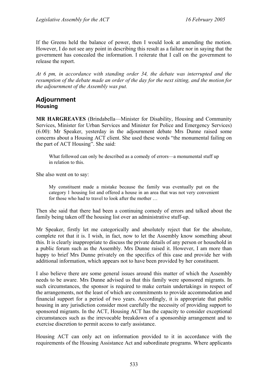If the Greens held the balance of power, then I would look at amending the motion. However, I do not see any point in describing this result as a failure nor in saying that the government has concealed the information. I reiterate that I call on the government to release the report.

*At 6 pm, in accordance with standing order 34, the debate was interrupted and the resumption of the debate made an order of the day for the next sitting, and the motion for the adjournment of the Assembly was put.* 

### **Adjournment Housing**

**MR HARGREAVES** (Brindabella—Minister for Disability, Housing and Community Services, Minister for Urban Services and Minister for Police and Emergency Services) (6.00): Mr Speaker, yesterday in the adjournment debate Mrs Dunne raised some concerns about a Housing ACT client. She used these words "the monumental failing on the part of ACT Housing". She said:

What followed can only be described as a comedy of errors—a monumental stuff up in relation to this.

She also went on to say:

My constituent made a mistake because the family was eventually put on the category 1 housing list and offered a house in an area that was not very convenient for those who had to travel to look after the mother …

Then she said that there had been a continuing comedy of errors and talked about the family being taken off the housing list over an administrative stuff-up.

Mr Speaker, firstly let me categorically and absolutely reject that for the absolute, complete rot that it is. I wish, in fact, now to let the Assembly know something about this. It is clearly inappropriate to discuss the private details of any person or household in a public forum such as the Assembly. Mrs Dunne raised it. However, I am more than happy to brief Mrs Dunne privately on the specifics of this case and provide her with additional information, which appears not to have been provided by her constituent.

I also believe there are some general issues around this matter of which the Assembly needs to be aware. Mrs Dunne advised us that this family were sponsored migrants. In such circumstances, the sponsor is required to make certain undertakings in respect of the arrangements, not the least of which are commitments to provide accommodation and financial support for a period of two years. Accordingly, it is appropriate that public housing in any jurisdiction consider most carefully the necessity of providing support to sponsored migrants. In the ACT, Housing ACT has the capacity to consider exceptional circumstances such as the irrevocable breakdown of a sponsorship arrangement and to exercise discretion to permit access to early assistance.

Housing ACT can only act on information provided to it in accordance with the requirements of the Housing Assistance Act and subordinate programs. Where applicants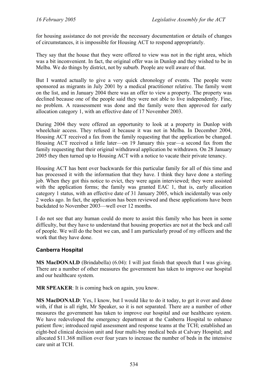for housing assistance do not provide the necessary documentation or details of changes of circumstances, it is impossible for Housing ACT to respond appropriately.

They say that the house that they were offered to view was not in the right area, which was a bit inconvenient. In fact, the original offer was in Dunlop and they wished to be in Melba. We do things by district, not by suburb. People are well aware of that.

But I wanted actually to give a very quick chronology of events. The people were sponsored as migrants in July 2001 by a medical practitioner relative. The family went on the list, and in January 2004 there was an offer to view a property. The property was declined because one of the people said they were not able to live independently. Fine, no problem. A reassessment was done and the family were then approved for early allocation category 1, with an effective date of 17 November 2003.

During 2004 they were offered an opportunity to look at a property in Dunlop with wheelchair access. They refused it because it was not in Melba. In December 2004, Housing ACT received a fax from the family requesting that the application be changed. Housing ACT received a little later—on 19 January this year—a second fax from the family requesting that their original withdrawal application be withdrawn. On 28 January 2005 they then turned up to Housing ACT with a notice to vacate their private tenancy.

Housing ACT has bent over backwards for this particular family for all of this time and has processed it with the information that they have. I think they have done a sterling job. When they got this notice to evict, they were again interviewed; they were assisted with the application forms; the family was granted EAC 1, that is, early allocation category 1 status, with an effective date of 31 January 2005, which incidentally was only 2 weeks ago. In fact, the application has been reviewed and these applications have been backdated to November 2003—well over 12 months.

I do not see that any human could do more to assist this family who has been in some difficulty, but they have to understand that housing properties are not at the beck and call of people. We will do the best we can, and I am particularly proud of my officers and the work that they have done.

#### **Canberra Hospital**

**MS MacDONALD** (Brindabella) (6.04): I will just finish that speech that I was giving. There are a number of other measures the government has taken to improve our hospital and our healthcare system.

**MR SPEAKER:** It is coming back on again, you know.

**MS MacDONALD**: Yes, I know, but I would like to do it today, to get it over and done with, if that is all right, Mr Speaker, so it is not separated. There are a number of other measures the government has taken to improve our hospital and our healthcare system. We have redeveloped the emergency department at the Canberra Hospital to enhance patient flow; introduced rapid assessment and response teams at the TCH; established an eight-bed clinical decision unit and four multi-bay medical beds at Calvary Hospital; and allocated \$11.368 million over four years to increase the number of beds in the intensive care unit at TCH.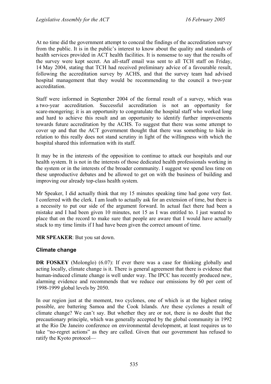At no time did the government attempt to conceal the findings of the accreditation survey from the public. It is in the public's interest to know about the quality and standards of health services provided in ACT health facilities. It is nonsense to say that the results of the survey were kept secret. An all-staff email was sent to all TCH staff on Friday, 14 May 2004, stating that TCH had received preliminary advice of a favourable result, following the accreditation survey by ACHS, and that the survey team had advised hospital management that they would be recommending to the council a two-year accreditation.

Staff were informed in September 2004 of the formal result of a survey, which was a two-year accreditation. Successful accreditation is not an opportunity for scare-mongering; it is an opportunity to congratulate the hospital staff who worked long and hard to achieve this result and an opportunity to identify further improvements towards future accreditation by the ACHS. To suggest that there was some attempt to cover up and that the ACT government thought that there was something to hide in relation to this really does not stand scrutiny in light of the willingness with which the hospital shared this information with its staff.

It may be in the interests of the opposition to continue to attack our hospitals and our health system. It is not in the interests of those dedicated health professionals working in the system or in the interests of the broader community. I suggest we spend less time on these unproductive debates and be allowed to get on with the business of building and improving our already top-class health system.

Mr Speaker, I did actually think that my 15 minutes speaking time had gone very fast. I conferred with the clerk. I am loath to actually ask for an extension of time, but there is a necessity to put our side of the argument forward. In actual fact there had been a mistake and I had been given 10 minutes, not 15 as I was entitled to. I just wanted to place that on the record to make sure that people are aware that I would have actually stuck to my time limits if I had have been given the correct amount of time.

#### **MR SPEAKER**: But you sat down.

#### **Climate change**

**DR FOSKEY** (Molonglo) (6.07): If ever there was a case for thinking globally and acting locally, climate change is it. There is general agreement that there is evidence that human-induced climate change is well under way. The IPCC has recently produced new, alarming evidence and recommends that we reduce our emissions by 60 per cent of 1998-1999 global levels by 2050.

In our region just at the moment, two cyclones, one of which is at the highest rating possible, are battering Samoa and the Cook Islands. Are these cyclones a result of climate change? We can't say. But whether they are or not, there is no doubt that the precautionary principle, which was generally accepted by the global community in 1992 at the Rio De Janeiro conference on environmental development, at least requires us to take "no-regret actions" as they are called. Given that our government has refused to ratify the Kyoto protocol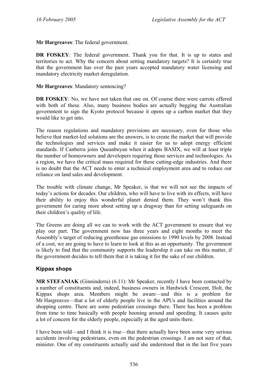**Mr Hargreaves**: The federal government.

**DR FOSKEY:** The federal government. Thank you for that. It is up to states and territories to act. Why the concern about setting mandatory targets? It is certainly true that the government has over the past years accepted mandatory water licensing and mandatory electricity market deregulation.

**Mr Hargreaves**: Mandatory sentencing?

**DR FOSKEY**: No, we have not taken that one on. Of course there were carrots offered with both of these. Also, many business bodies are actually begging the Australian government to sign the Kyoto protocol because it opens up a carbon market that they would like to get into.

The reason regulations and mandatory provisions are necessary, even for those who believe that market-led solutions are the answers, is to create the market that will provide the technologies and services and make it easier for us to adopt energy efficient standards. If Canberra joins Queanbeyan when it adopts BASIX, we will at least triple the number of homeowners and developers requiring those services and technologies. As a region, we have the critical mass required for these cutting-edge industries. And there is no doubt that the ACT needs to enter a technical employment area and to reduce our reliance on land sales and development.

The trouble with climate change, Mr Speaker, is that we will not see the impacts of today's actions for decades. Our children, who will have to live with its effects, will have their ability to enjoy this wonderful planet denied them. They won't thank this government for caring more about setting up a dragway than for setting safeguards on their children's quality of life.

The Greens are doing all we can to work with the ACT government to ensure that we play our part. The government now has three years and eight months to meet the Assembly's target of reducing greenhouse gas emissions to 1990 levels by 2008. Instead of a cost, we are going to have to learn to look at this as an opportunity. The government is likely to find that the community supports the leadership it can take on this matter, if the government decides to tell them that it is taking it for the sake of our children.

## **Kippax shops**

**MR STEFANIAK** (Ginninderra) (6.11): Mr Speaker, recently I have been contacted by a number of constituents and, indeed, business owners in Hardwick Crescent, Holt, the Kippax shops area. Members might be aware—and this is a problem for Mr Hargreaves—that a lot of elderly people live in the APUs and facilities around the shopping centre. There are some pedestrian crossings there. There has been a problem from time to time basically with people hooning around and speeding. It causes quite a lot of concern for the elderly people, especially at the aged units there.

I have been told—and I think it is true—that there actually have been some very serious accidents involving pedestrians, even on the pedestrian crossings. I am not sure of that, minister. One of my constituents actually said she understood that in the last five years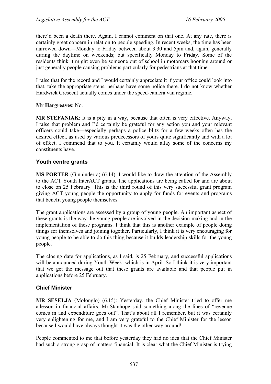there'd been a death there. Again, I cannot comment on that one. At any rate, there is certainly great concern in relation to people speeding. In recent weeks, the time has been narrowed down—Monday to Friday between about 3.30 and 5pm and, again, generally during the daytime on weekends; but specifically Monday to Friday. Some of the residents think it might even be someone out of school in motorcars hooning around or just generally people causing problems particularly for pedestrians at that time.

I raise that for the record and I would certainly appreciate it if your office could look into that, take the appropriate steps, perhaps have some police there. I do not know whether Hardwick Crescent actually comes under the speed-camera van regime.

**Mr Hargreaves**: No.

**MR STEFANIAK**: It is a pity in a way, because that often is very effective. Anyway, I raise that problem and I'd certainly be grateful for any action you and your relevant officers could take—especially perhaps a police blitz for a few weeks often has the desired effect, as used by various predecessors of yours quite significantly and with a lot of effect. I commend that to you. It certainly would allay some of the concerns my constituents have.

#### **Youth centre grants**

**MS PORTER** (Ginninderra) (6.14): I would like to draw the attention of the Assembly to the ACT Youth InterACT grants. The applications are being called for and are about to close on 25 February. This is the third round of this very successful grant program giving ACT young people the opportunity to apply for funds for events and programs that benefit young people themselves.

The grant applications are assessed by a group of young people. An important aspect of these grants is the way the young people are involved in the decision-making and in the implementation of these programs. I think that this is another example of people doing things for themselves and joining together. Particularly, I think it is very encouraging for young people to be able to do this thing because it builds leadership skills for the young people.

The closing date for applications, as I said, is 25 February, and successful applications will be announced during Youth Week, which is in April. So I think it is very important that we get the message out that these grants are available and that people put in applications before 25 February.

#### **Chief Minister**

**MR SESELJA** (Molonglo) (6.15): Yesterday, the Chief Minister tried to offer me a lesson in financial affairs. Mr Stanhope said something along the lines of "revenue comes in and expenditure goes out". That's about all I remember, but it was certainly very enlightening for me, and I am very grateful to the Chief Minister for the lesson because I would have always thought it was the other way around!

People commented to me that before yesterday they had no idea that the Chief Minister had such a strong grasp of matters financial. It is clear what the Chief Minister is trying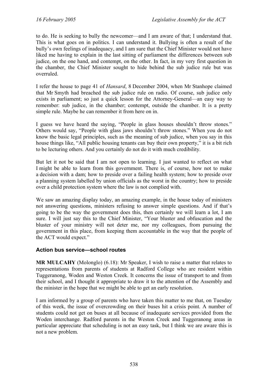to do. He is seeking to bully the newcomer—and I am aware of that; I understand that. This is what goes on in politics. I can understand it. Bullying is often a result of the bully's own feelings of inadequacy, and I am sure that the Chief Minister would not have liked me having to explain in the last sitting of parliament the differences between sub judice, on the one hand, and contempt, on the other. In fact, in my very first question in the chamber, the Chief Minister sought to hide behind the sub judice rule but was overruled.

I refer the house to page 41 of *Hansard*, 8 December 2004, when Mr Stanhope claimed that Mr Smyth had breached the sub judice rule on radio. Of course, sub judice only exists in parliament; so just a quick lesson for the Attorney-General—an easy way to remember: sub judice, in the chamber; contempt, outside the chamber. It is a pretty simple rule. Maybe he can remember it from here on in.

I guess we have heard the saying, "People in glass houses shouldn't throw stones." Others would say, "People with glass jaws shouldn't throw stones." When you do not know the basic legal principles, such as the meaning of sub judice, when you say in this house things like, "All public housing tenants can buy their own property," it is a bit rich to be lecturing others. And you certainly do not do it with much credibility.

But let it not be said that I am not open to learning. I just wanted to reflect on what I might be able to learn from this government. There is, of course, how not to make a decision with a dam; how to preside over a failing health system; how to preside over a planning system labelled by union officials as the worst in the country; how to preside over a child protection system where the law is not complied with.

We saw an amazing display today, an amazing example, in the house today of ministers not answering questions, ministers refusing to answer simple questions. And if that's going to be the way the government does this, then certainly we will learn a lot, I am sure. I will just say this to the Chief Minister, "Your bluster and obfuscation and the bluster of your ministry will not deter me, nor my colleagues, from pursuing the government in this place, from keeping them accountable in the way that the people of the ACT would expect."

#### **Action bus service—school routes**

**MR MULCAHY** (Molonglo) (6.18): Mr Speaker, I wish to raise a matter that relates to representations from parents of students at Radford College who are resident within Tuggeranong, Woden and Weston Creek. It concerns the issue of transport to and from their school, and I thought it appropriate to draw it to the attention of the Assembly and the minister in the hope that we might be able to get an early resolution.

I am informed by a group of parents who have taken this matter to me that, on Tuesday of this week, the issue of overcrowding on their buses hit a crisis point. A number of students could not get on buses at all because of inadequate services provided from the Woden interchange. Radford parents in the Weston Creek and Tuggeranong areas in particular appreciate that scheduling is not an easy task, but I think we are aware this is not a new problem.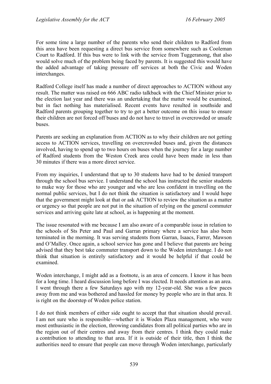For some time a large number of the parents who send their children to Radford from this area have been requesting a direct bus service from somewhere such as Cooleman Court to Radford. If this bus were to link with the service from Tuggeranong, that also would solve much of the problem being faced by parents. It is suggested this would have the added advantage of taking pressure off services at both the Civic and Woden interchanges.

Radford College itself has made a number of direct approaches to ACTION without any result. The matter was raised on 666 ABC radio talkback with the Chief Minister prior to the election last year and there was an undertaking that the matter would be examined, but in fact nothing has materialised. Recent events have resulted in southside and Radford parents grouping together to try to get a better outcome on this issue to ensure their children are not forced off buses and do not have to travel in overcrowded or unsafe buses.

Parents are seeking an explanation from ACTION as to why their children are not getting access to ACTION services, travelling on overcrowded buses and, given the distances involved, having to spend up to two hours on buses when the journey for a large number of Radford students from the Weston Creek area could have been made in less than 30 minutes if there was a more direct service.

From my inquiries, I understand that up to 30 students have had to be denied transport through the school bus service. I understand the school has instructed the senior students to make way for those who are younger and who are less confident in travelling on the normal public services, but I do not think the situation is satisfactory and I would hope that the government might look at that or ask ACTION to review the situation as a matter or urgency so that people are not put in the situation of relying on the general commuter services and arriving quite late at school, as is happening at the moment.

The issue resonated with me because I am also aware of a comparable issue in relation to the schools of Sts Peter and Paul and Garran primary where a service has also been terminated in the morning. It was serving students from Garran, Isaacs, Farrer, Mawson and O'Malley. Once again, a school service has gone and I believe that parents are being advised that they best take commuter transport down to the Woden interchange. I do not think that situation is entirely satisfactory and it would be helpful if that could be examined.

Woden interchange, I might add as a footnote, is an area of concern. I know it has been for a long time. I heard discussion long before I was elected. It needs attention as an area. I went through there a few Saturdays ago with my 12-year-old. She was a few paces away from me and was bothered and hassled for money by people who are in that area. It is right on the doorstep of Woden police station.

I do not think members of either side ought to accept that that situation should prevail. I am not sure who is responsible—whether it is Woden Plaza management, who were most enthusiastic in the election, throwing candidates from all political parties who are in the region out of their centres and away from their centres. I think they could make a contribution to attending to that area. If it is outside of their title, then I think the authorities need to ensure that people can move through Woden interchange, particularly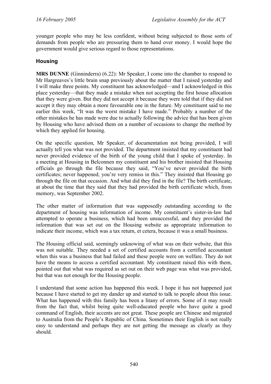younger people who may be less confident, without being subjected to those sorts of demands from people who are pressuring them to hand over money. I would hope the government would give serious regard to those representations.

### **Housing**

**MRS DUNNE** (Ginninderra) (6.22): Mr Speaker, I come into the chamber to respond to Mr Hargreaves's little brain snap previously about the matter that I raised yesterday and I will make three points. My constituent has acknowledged—and I acknowledged in this place yesterday—that they made a mistake when not accepting the first house allocation that they were given. But they did not accept it because they were told that if they did not accept it they may obtain a more favourable one in the future. My constituent said to me earlier this week, "It was the worst mistake I have made." Probably a number of the other mistakes he has made were due to actually following the advice that has been given by Housing who have advised them on a number of occasions to change the method by which they applied for housing.

On the specific question, Mr Speaker, of documentation not being provided, I will actually tell you what was not provided. The department insisted that my constituent had never provided evidence of the birth of the young child that I spoke of yesterday. In a meeting at Housing in Belconnen my constituent and his brother insisted that Housing officials go through the file because they said, "You've never provided the birth certificates; never happened; you're very remiss in this." They insisted that Housing go through the file on that occasion. And what did they find in the file? The birth certificate, at about the time that they said that they had provided the birth certificate which, from memory, was September 2002.

The other matter of information that was supposedly outstanding according to the department of housing was information of income. My constituent's sister-in-law had attempted to operate a business, which had been unsuccessful, and they provided the information that was set out on the Housing website as appropriate information to indicate their income, which was a tax return, et cetera, because it was a small business.

The Housing official said, seemingly unknowing of what was on their website, that this was not suitable. They needed a set of certified accounts from a certified accountant when this was a business that had failed and these people were on welfare. They do not have the means to access a certified accountant. My constituent raised this with them, pointed out that what was required as set out on their web page was what was provided, but that was not enough for the Housing people.

I understand that some action has happened this week. I hope it has not happened just because I have started to get my dander up and started to talk to people about this issue. What has happened with this family has been a litany of errors. Some of it may result from the fact that, whilst being quite well-educated people who have quite a good command of English, their accents are not great. These people are Chinese and migrated to Australia from the People's Republic of China. Sometimes their English is not really easy to understand and perhaps they are not getting the message as clearly as they should.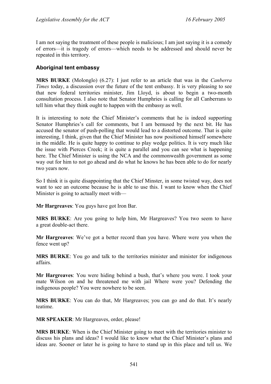I am not saying the treatment of these people is malicious; I am just saying it is a comedy of errors—it is tragedy of errors—which needs to be addressed and should never be repeated in this territory.

## **Aboriginal tent embassy**

**MRS BURKE** (Molonglo) (6.27): I just refer to an article that was in the *Canberra Times* today, a discussion over the future of the tent embassy. It is very pleasing to see that new federal territories minister, Jim Lloyd, is about to begin a two-month consultation process. I also note that Senator Humphries is calling for all Canberrans to tell him what they think ought to happen with the embassy as well.

It is interesting to note the Chief Minister's comments that he is indeed supporting Senator Humphries's call for comments, but I am bemused by the next bit. He has accused the senator of push-polling that would lead to a distorted outcome. That is quite interesting, I think, given that the Chief Minister has now positioned himself somewhere in the middle. He is quite happy to continue to play wedge politics. It is very much like the issue with Pierces Creek; it is quite a parallel and you can see what is happening here. The Chief Minister is using the NCA and the commonwealth government as some way out for him to not go ahead and do what he knows he has been able to do for nearly two years now.

So I think it is quite disappointing that the Chief Minster, in some twisted way, does not want to see an outcome because he is able to use this. I want to know when the Chief Minister is going to actually meet with—

**Mr Hargreaves**: You guys have got Iron Bar.

**MRS BURKE**: Are you going to help him, Mr Hargreaves? You two seem to have a great double-act there.

**Mr Hargreaves**: We've got a better record than you have. Where were you when the fence went up?

**MRS BURKE**: You go and talk to the territories minister and minister for indigenous affairs.

**Mr Hargreaves**: You were hiding behind a bush, that's where you were. I took your mate Wilson on and he threatened me with jail Where were you? Defending the indigenous people? You were nowhere to be seen.

**MRS BURKE**: You can do that, Mr Hargreaves; you can go and do that. It's nearly teatime.

**MR SPEAKER**: Mr Hargreaves, order, please!

**MRS BURKE**: When is the Chief Minister going to meet with the territories minister to discuss his plans and ideas? I would like to know what the Chief Minister's plans and ideas are. Sooner or later he is going to have to stand up in this place and tell us. We